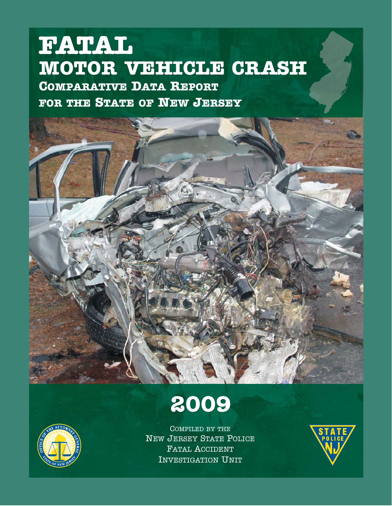# **MOTOR VEHICLE CRASH COMPARATIVE DATA REPORT FOR THE STATE OF NEW JERSEY FATAL**



**2009**

COMPILED BY THE NEW JERSEY STATE POLICE FATAL ACCIDENT INVESTIGATION UNIT

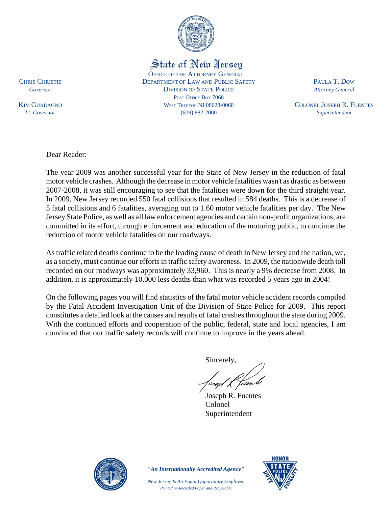

State of New Jersey

OFFICE OF THE ATTORNEY GENERAL CHRIS CHRISTIE DEPARTMENT OF LAW AND PUBLIC SAFETY PAULA T. DOW *Governor* DIVISION OF STATE POLICE *Attorney General* POST OFFICE BOX 7068 KIM GUADAGNO WEST TRENTON NJ 08628-0068 COLONEL JOSEPH R. FUENTES *Lt. Governor* (609) 882-2000 *Superintendent*

Dear Reader:

The year 2009 was another successful year for the State of New Jersey in the reduction of fatal motor vehicle crashes. Although the decrease in motor vehicle fatalities wasn't as drastic as between 2007-2008, it was still encouraging to see that the fatalities were down for the third straight year. In 2009, New Jersey recorded 550 fatal collisions that resulted in 584 deaths. This is a decrease of 5 fatal collisions and 6 fatalities, averaging out to 1.60 motor vehicle fatalities per day. The New Jersey State Police, as well as all law enforcement agencies and certain non-profit organizations, are committed in its effort, through enforcement and education of the motoring public, to continue the reduction of motor vehicle fatalities on our roadways.

As traffic related deaths continue to be the leading cause of death in New Jersey and the nation, we, as a society, must continue our efforts in traffic safety awareness. In 2009, the nationwide death toll recorded on our roadways was approximately 33,960. This is nearly a 9% decrease from 2008. In addition, it is approximately 10,000 less deaths than what was recorded 5 years ago in 2004!

On the following pages you will find statistics of the fatal motor vehicle accident records compiled by the Fatal Accident Investigation Unit of the Division of State Police for 2009. This report constitutes a detailed look at the causes and results of fatal crashes throughout the state during 2009. With the continued efforts and cooperation of the public, federal, state and local agencies, I am convinced that our traffic safety records will continue to improve in the years ahead.

Sincerely,

 Joseph R. Fuentes Colonel Superintendent



*"An Internationally Accredited Agency"*

*New Jersey Is An Equal Opportunity Employer Printed on Recycled Paper and Recyclable*

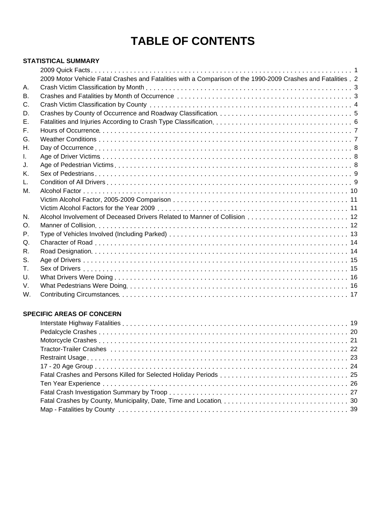## **TABLE OF CONTENTS**

#### **STATISTICAL SUMMARY**

|                | 2009 Motor Vehicle Fatal Crashes and Fatalities with a Comparison of the 1990-2009 Crashes and Fatalities . 2 |  |
|----------------|---------------------------------------------------------------------------------------------------------------|--|
| А.             |                                                                                                               |  |
| В.             |                                                                                                               |  |
| C.             |                                                                                                               |  |
| D.             |                                                                                                               |  |
| Ε.             |                                                                                                               |  |
| F.             |                                                                                                               |  |
| G.             |                                                                                                               |  |
| Н.             |                                                                                                               |  |
| L.             |                                                                                                               |  |
| J.             |                                                                                                               |  |
| Κ.             |                                                                                                               |  |
| L.             |                                                                                                               |  |
| М.             |                                                                                                               |  |
|                |                                                                                                               |  |
|                |                                                                                                               |  |
| N.             |                                                                                                               |  |
| $\mathsf{O}$ . |                                                                                                               |  |
| Р.             |                                                                                                               |  |
| Q.             |                                                                                                               |  |
| R.             |                                                                                                               |  |
| S.             |                                                                                                               |  |
| Τ.             |                                                                                                               |  |
| U.             |                                                                                                               |  |
| V.             |                                                                                                               |  |
| W.             |                                                                                                               |  |

#### **SPECIFIC AREAS OF CONCERN**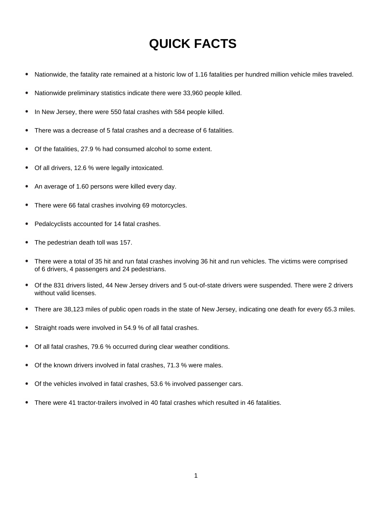## **QUICK FACTS**

- Nationwide, the fatality rate remained at a historic low of 1.16 fatalities per hundred million vehicle miles traveled.  $\bullet$
- Nationwide preliminary statistics indicate there were 33,960 people killed.
- In New Jersey, there were 550 fatal crashes with 584 people killed.
- There was a decrease of 5 fatal crashes and a decrease of 6 fatalities.
- Of the fatalities, 27.9 % had consumed alcohol to some extent.  $\bullet$
- Of all drivers, 12.6 % were legally intoxicated.
- An average of 1.60 persons were killed every day.
- There were 66 fatal crashes involving 69 motorcycles.
- Pedalcyclists accounted for 14 fatal crashes.
- The pedestrian death toll was 157.
- There were a total of 35 hit and run fatal crashes involving 36 hit and run vehicles. The victims were comprised of 6 drivers, 4 passengers and 24 pedestrians.
- Of the 831 drivers listed, 44 New Jersey drivers and 5 out-of-state drivers were suspended. There were 2 drivers without valid licenses.
- There are 38,123 miles of public open roads in the state of New Jersey, indicating one death for every 65.3 miles.
- Straight roads were involved in 54.9 % of all fatal crashes.
- Of all fatal crashes, 79.6 % occurred during clear weather conditions.
- Of the known drivers involved in fatal crashes, 71.3 % were males.
- Of the vehicles involved in fatal crashes, 53.6 % involved passenger cars.
- There were 41 tractor-trailers involved in 40 fatal crashes which resulted in 46 fatalities.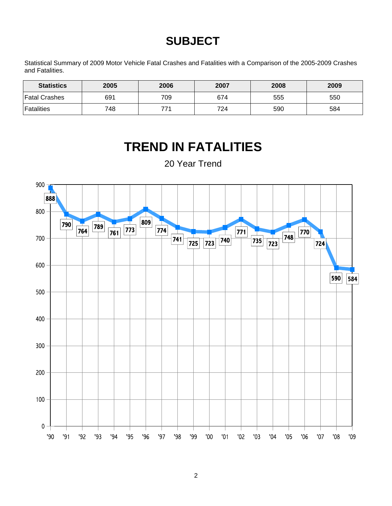## **SUBJECT**

Statistical Summary of 2009 Motor Vehicle Fatal Crashes and Fatalities with a Comparison of the 2005-2009 Crashes and Fatalities.

| <b>Statistics</b> | 2005 | 2006 | 2007 | 2008 | 2009 |
|-------------------|------|------|------|------|------|
| ∣Fatal Crashes    | 691  | 709  | 674  | 555  | 550  |
| <b>Fatalities</b> | 748  | 77.  | 724  | 590  | 584  |

## **TREND IN FATALITIES**

20 Year Trend

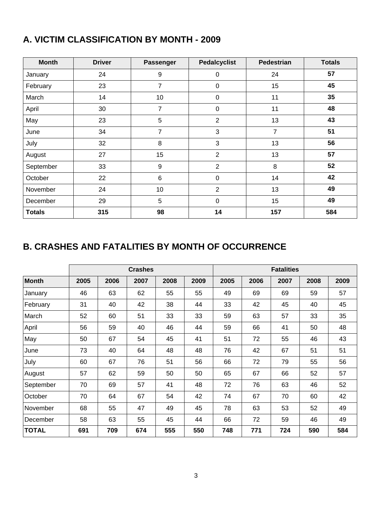## **A. VICTIM CLASSIFICATION BY MONTH - 2009**

| <b>Month</b>  | <b>Driver</b> | <b>Passenger</b> | <b>Pedalcyclist</b> | <b>Pedestrian</b> | <b>Totals</b> |
|---------------|---------------|------------------|---------------------|-------------------|---------------|
| January       | 24            | $9\,$            | 0                   | 24                | 57            |
| February      | 23            | 7                | $\pmb{0}$           | 15                | 45            |
| March         | 14            | 10               | $\mathbf 0$         | 11                | 35            |
| April         | 30            | 7                | $\mathbf 0$         | 11                | 48            |
| May           | 23            | 5                | $\overline{2}$      | 13                | 43            |
| June          | 34            | $\overline{7}$   | 3                   | 7                 | 51            |
| July          | 32            | 8                | 3                   | 13                | 56            |
| August        | 27            | 15               | $\overline{2}$      | 13                | 57            |
| September     | 33            | $9\,$            | $\overline{2}$      | 8                 | 52            |
| October       | 22            | 6                | $\mathbf 0$         | 14                | 42            |
| November      | 24            | 10               | $\overline{2}$      | 13                | 49            |
| December      | 29            | 5                | $\mathbf 0$         | 15                | 49            |
| <b>Totals</b> | 315           | 98               | 14                  | 157               | 584           |

### **B. CRASHES AND FATALITIES BY MONTH OF OCCURRENCE**

|              |      |      | <b>Crashes</b> |      |      | <b>Fatalities</b> |      |      |      |      |  |
|--------------|------|------|----------------|------|------|-------------------|------|------|------|------|--|
| <b>Month</b> | 2005 | 2006 | 2007           | 2008 | 2009 | 2005              | 2006 | 2007 | 2008 | 2009 |  |
| January      | 46   | 63   | 62             | 55   | 55   | 49                | 69   | 69   | 59   | 57   |  |
| February     | 31   | 40   | 42             | 38   | 44   | 33                | 42   | 45   | 40   | 45   |  |
| March        | 52   | 60   | 51             | 33   | 33   | 59                | 63   | 57   | 33   | 35   |  |
| April        | 56   | 59   | 40             | 46   | 44   | 59                | 66   | 41   | 50   | 48   |  |
| May          | 50   | 67   | 54             | 45   | 41   | 51                | 72   | 55   | 46   | 43   |  |
| June         | 73   | 40   | 64             | 48   | 48   | 76                | 42   | 67   | 51   | 51   |  |
| July         | 60   | 67   | 76             | 51   | 56   | 66                | 72   | 79   | 55   | 56   |  |
| August       | 57   | 62   | 59             | 50   | 50   | 65                | 67   | 66   | 52   | 57   |  |
| September    | 70   | 69   | 57             | 41   | 48   | 72                | 76   | 63   | 46   | 52   |  |
| October      | 70   | 64   | 67             | 54   | 42   | 74                | 67   | 70   | 60   | 42   |  |
| November     | 68   | 55   | 47             | 49   | 45   | 78                | 63   | 53   | 52   | 49   |  |
| December     | 58   | 63   | 55             | 45   | 44   | 66                | 72   | 59   | 46   | 49   |  |
| <b>TOTAL</b> | 691  | 709  | 674            | 555  | 550  | 748               | 771  | 724  | 590  | 584  |  |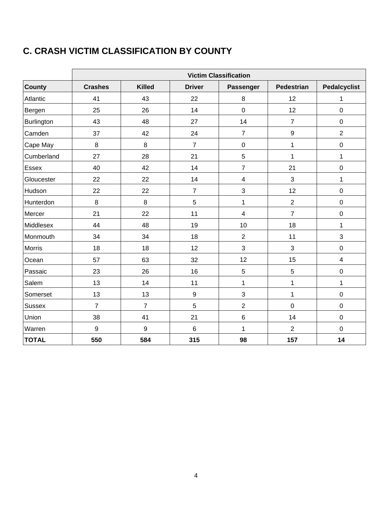## **C. CRASH VICTIM CLASSIFICATION BY COUNTY**

|               | <b>Victim Classification</b> |                |                |                         |                   |                     |  |  |  |  |
|---------------|------------------------------|----------------|----------------|-------------------------|-------------------|---------------------|--|--|--|--|
| <b>County</b> | <b>Crashes</b>               | <b>Killed</b>  | <b>Driver</b>  | Passenger               | <b>Pedestrian</b> | <b>Pedalcyclist</b> |  |  |  |  |
| Atlantic      | 41                           | 43             | 22             | 8                       | 12                | 1                   |  |  |  |  |
| Bergen        | 25                           | 26             | 14             | $\pmb{0}$               | 12                | $\pmb{0}$           |  |  |  |  |
| Burlington    | 43                           | 48             | 27             | 14                      | $\overline{7}$    | $\pmb{0}$           |  |  |  |  |
| Camden        | 37                           | 42             | 24             | $\overline{7}$          | 9                 | $\overline{2}$      |  |  |  |  |
| Cape May      | 8                            | 8              | $\overline{7}$ | 0                       | $\mathbf{1}$      | $\boldsymbol{0}$    |  |  |  |  |
| Cumberland    | 27                           | 28             | 21             | 5                       | 1                 | $\mathbf{1}$        |  |  |  |  |
| Essex         | 40                           | 42             | 14             | $\overline{7}$          | 21                | $\mathbf 0$         |  |  |  |  |
| Gloucester    | 22                           | 22             | 14             | $\overline{\mathbf{4}}$ | 3                 | 1                   |  |  |  |  |
| Hudson        | 22                           | 22             | $\overline{7}$ | 3                       | 12                | $\mathbf 0$         |  |  |  |  |
| Hunterdon     | 8                            | 8              | 5              | $\mathbf{1}$            | $\overline{2}$    | $\mathbf 0$         |  |  |  |  |
| Mercer        | 21                           | 22             | 11             | $\overline{\mathbf{4}}$ | $\overline{7}$    | $\pmb{0}$           |  |  |  |  |
| Middlesex     | 44                           | 48             | 19             | 10                      | 18                | $\mathbf{1}$        |  |  |  |  |
| Monmouth      | 34                           | 34             | 18             | $\overline{2}$          | 11                | 3                   |  |  |  |  |
| Morris        | 18                           | 18             | 12             | 3                       | 3                 | $\pmb{0}$           |  |  |  |  |
| Ocean         | 57                           | 63             | 32             | 12                      | 15                | $\overline{4}$      |  |  |  |  |
| Passaic       | 23                           | 26             | 16             | 5                       | $\overline{5}$    | $\mathbf 0$         |  |  |  |  |
| Salem         | 13                           | 14             | 11             | $\mathbf 1$             | 1                 | 1                   |  |  |  |  |
| Somerset      | 13                           | 13             | 9              | 3                       | $\mathbf{1}$      | $\pmb{0}$           |  |  |  |  |
| <b>Sussex</b> | $\overline{7}$               | $\overline{7}$ | 5              | $\overline{2}$          | $\mathbf 0$       | $\pmb{0}$           |  |  |  |  |
| Union         | 38                           | 41             | 21             | $\,6$                   | 14                | $\mathbf 0$         |  |  |  |  |
| Warren        | 9                            | 9              | $\,6$          | $\mathbf{1}$            | $\overline{2}$    | $\pmb{0}$           |  |  |  |  |
| <b>TOTAL</b>  | 550                          | 584            | 315            | 98                      | 157               | 14                  |  |  |  |  |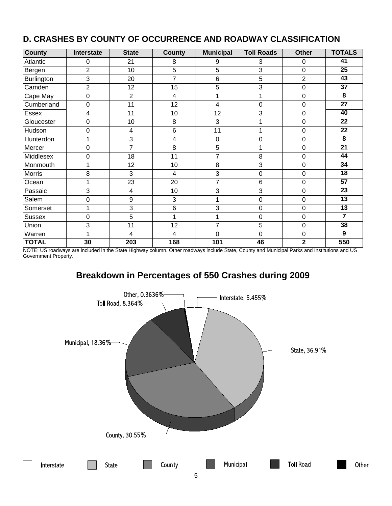| <b>County</b>     | Interstate      | <b>State</b>     | <b>County</b>   | <b>Municipal</b> | <b>Toll Roads</b> | <b>Other</b>   | <b>TOTALS</b>   |
|-------------------|-----------------|------------------|-----------------|------------------|-------------------|----------------|-----------------|
| Atlantic          | 0               | 21               | 8               | 9                | 3                 | 0              | 41              |
| Bergen            | $\overline{2}$  | 10               | 5               | 5                | 3                 | 0              | 25              |
| <b>Burlington</b> | $\sqrt{3}$      | 20               | 7               | 6                | 5                 | $\overline{2}$ | 43              |
| Camden            | $\overline{2}$  | 12               | 15              | 5                | 3                 | 0              | 37              |
| Cape May          | $\mathbf 0$     | $\overline{2}$   | 4               | 1                | 1                 | $\overline{0}$ | $\overline{8}$  |
| Cumberland        | $\mathbf 0$     | 11               | 12              | $\overline{4}$   | $\overline{0}$    | 0              | $\overline{27}$ |
| Essex             | 4               | 11               | 10              | 12               | 3                 | 0              | 40              |
| Gloucester        | $\mathbf 0$     | 10               | 8               | 3                | 1                 | $\mathbf 0$    | 22              |
| Hudson            | $\mathbf 0$     | 4                | 6               | 11               | 1                 | 0              | 22              |
| Hunterdon         | 1               | 3                | 4               | $\overline{0}$   | $\mathbf 0$       | 0              | 8               |
| Mercer            | $\mathbf 0$     | $\overline{7}$   | 8               | 5                | 1                 | $\mathbf 0$    | $\overline{21}$ |
| Middlesex         | $\mathbf 0$     | 18               | 11              | $\overline{7}$   | 8                 | 0              | 44              |
| Monmouth          | 1               | 12               | 10              | 8                | 3                 | 0              | 34              |
| <b>Morris</b>     | 8               | 3                | 4               | 3                | $\mathbf 0$       | 0              | 18              |
| Ocean             | 1               | 23               | 20              | $\overline{7}$   | 6                 | 0              | $\overline{57}$ |
| Passaic           | 3               | 4                | 10              | 3                | 3                 | $\overline{0}$ | $\overline{23}$ |
| Salem             | $\mathbf 0$     | 9                | 3               | 1                | 0                 | 0              | $\overline{13}$ |
| Somerset          | 1               | 3                | $6\phantom{1}6$ | 3                | 0                 | 0              | 13              |
| <b>Sussex</b>     | $\mathbf 0$     | 5                | 1               | 1                | $\mathbf 0$       | 0              | 7               |
| Union             | 3               | 11               | 12              | $\overline{7}$   | 5                 | $\mathbf 0$    | 38              |
| Warren            | 1               | 4                | 4               | $\Omega$         | $\mathbf 0$       | 0              | 9               |
| <b>TOTAL</b>      | $\overline{30}$ | $\overline{203}$ | 168             | 101              | 46                | $\mathbf{2}$   | 550             |

#### **D. CRASHES BY COUNTY OF OCCURRENCE AND ROADWAY CLASSIFICATION**

NOTE: US roadways are included in the State Highway column. Other roadways include State, County and Municipal Parks and Institutions and US Government Property.

## **Breakdown in Percentages of 550 Crashes during 2009**



Other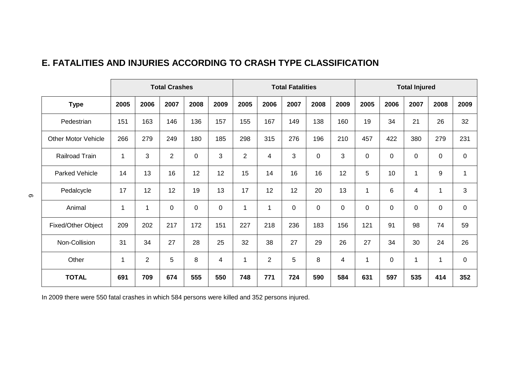### **E. FATALITIES AND INJURIES ACCORDING TO CRASH TYPE CLASSIFICATION**

|                            |                          |                | <b>Total Crashes</b> |                  |             |                |                | <b>Total Fatalities</b> |             |             |             |      | <b>Total Injured</b>    |              |              |
|----------------------------|--------------------------|----------------|----------------------|------------------|-------------|----------------|----------------|-------------------------|-------------|-------------|-------------|------|-------------------------|--------------|--------------|
| <b>Type</b>                | 2005                     | 2006           | 2007                 | 2008             | 2009        | 2005           | 2006           | 2007                    | 2008        | 2009        | 2005        | 2006 | 2007                    | 2008         | 2009         |
| Pedestrian                 | 151                      | 163            | 146                  | 136              | 157         | 155            | 167            | 149                     | 138         | 160         | 19          | 34   | 21                      | 26           | 32           |
| <b>Other Motor Vehicle</b> | 266                      | 279            | 249                  | 180              | 185         | 298            | 315            | 276                     | 196         | 210         | 457         | 422  | 380                     | 279          | 231          |
| Railroad Train             | $\mathbf{1}$             | 3              | $\overline{2}$       | $\boldsymbol{0}$ | 3           | $\overline{2}$ | 4              | 3                       | $\mathbf 0$ | 3           | $\mathbf 0$ | 0    | 0                       | $\mathsf 0$  | $\mathsf 0$  |
| <b>Parked Vehicle</b>      | 14                       | 13             | 16                   | 12               | 12          | 15             | 14             | 16                      | 16          | 12          | 5           | 10   | $\mathbf{1}$            | 9            | $\mathbf{1}$ |
| Pedalcycle                 | 17                       | 12             | 12                   | 19               | 13          | 17             | 12             | 12                      | 20          | 13          | 1           | 6    | $\overline{\mathbf{4}}$ | $\mathbf{1}$ | 3            |
| Animal                     | $\overline{\phantom{a}}$ | $\mathbf{1}$   | $\pmb{0}$            | $\boldsymbol{0}$ | $\mathbf 0$ | 1              | 1              | $\overline{0}$          | $\mathbf 0$ | $\mathbf 0$ | 0           | 0    | 0                       | 0            | $\pmb{0}$    |
| Fixed/Other Object         | 209                      | 202            | 217                  | 172              | 151         | 227            | 218            | 236                     | 183         | 156         | 121         | 91   | 98                      | 74           | 59           |
| Non-Collision              | 31                       | 34             | 27                   | 28               | 25          | 32             | 38             | 27                      | 29          | 26          | 27          | 34   | 30                      | 24           | 26           |
| Other                      | 1                        | $\overline{2}$ | 5                    | 8                | 4           | 1              | $\overline{2}$ | 5                       | 8           | 4           | 1           | 0    | $\mathbf{1}$            | $\mathbf 1$  | $\mathbf 0$  |
| <b>TOTAL</b>               | 691                      | 709            | 674                  | 555              | 550         | 748            | 771            | 724                     | 590         | 584         | 631         | 597  | 535                     | 414          | 352          |

In 2009 there were 550 fatal crashes in which 584 persons were killed and 352 persons injured.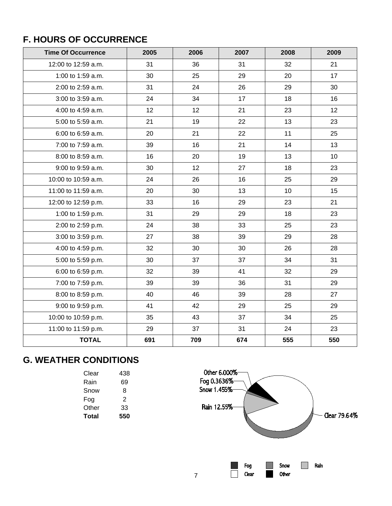## **F. HOURS OF OCCURRENCE**

| <b>Time Of Occurrence</b> | 2005 | 2006 | 2007 | 2008 | 2009 |
|---------------------------|------|------|------|------|------|
| 12:00 to 12:59 a.m.       | 31   | 36   | 31   | 32   | 21   |
| 1:00 to 1:59 a.m.         | 30   | 25   | 29   | 20   | 17   |
| 2:00 to 2:59 a.m.         | 31   | 24   | 26   | 29   | 30   |
| 3:00 to 3:59 a.m.         | 24   | 34   | 17   | 18   | 16   |
| 4:00 to 4:59 a.m.         | 12   | 12   | 21   | 23   | 12   |
| 5:00 to 5:59 a.m.         | 21   | 19   | 22   | 13   | 23   |
| 6:00 to 6:59 a.m.         | 20   | 21   | 22   | 11   | 25   |
| 7:00 to 7:59 a.m.         | 39   | 16   | 21   | 14   | 13   |
| 8:00 to 8:59 a.m.         | 16   | 20   | 19   | 13   | 10   |
| 9:00 to 9:59 a.m.         | 30   | 12   | 27   | 18   | 23   |
| 10:00 to 10:59 a.m.       | 24   | 26   | 16   | 25   | 29   |
| 11:00 to 11:59 a.m.       | 20   | 30   | 13   | 10   | 15   |
| 12:00 to 12:59 p.m.       | 33   | 16   | 29   | 23   | 21   |
| 1:00 to 1:59 p.m.         | 31   | 29   | 29   | 18   | 23   |
| 2:00 to 2:59 p.m.         | 24   | 38   | 33   | 25   | 23   |
| 3:00 to 3:59 p.m.         | 27   | 38   | 39   | 29   | 28   |
| 4:00 to 4:59 p.m.         | 32   | 30   | 30   | 26   | 28   |
| 5:00 to 5:59 p.m.         | 30   | 37   | 37   | 34   | 31   |
| 6:00 to 6:59 p.m.         | 32   | 39   | 41   | 32   | 29   |
| 7:00 to 7:59 p.m.         | 39   | 39   | 36   | 31   | 29   |
| 8:00 to 8:59 p.m.         | 40   | 46   | 39   | 28   | 27   |
| 9:00 to 9:59 p.m.         | 41   | 42   | 29   | 25   | 29   |
| 10:00 to 10:59 p.m.       | 35   | 43   | 37   | 34   | 25   |
| 11:00 to 11:59 p.m.       | 29   | 37   | 31   | 24   | 23   |
| <b>TOTAL</b>              | 691  | 709  | 674  | 555  | 550  |

## **G. WEATHER CONDITIONS**

| 438 |
|-----|
| 69  |
| 8   |
| 2   |
| 33  |
| 550 |
|     |

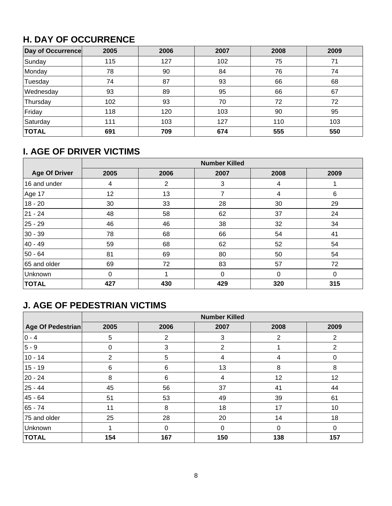## **H. DAY OF OCCURRENCE**

| Day of Occurrence | 2005 | 2006 | 2007 | 2008 | 2009 |
|-------------------|------|------|------|------|------|
| Sunday            | 115  | 127  | 102  | 75   | 71   |
| Monday            | 78   | 90   | 84   | 76   | 74   |
| Tuesday           | 74   | 87   | 93   | 66   | 68   |
| Wednesday         | 93   | 89   | 95   | 66   | 67   |
| Thursday          | 102  | 93   | 70   | 72   | 72   |
| Friday            | 118  | 120  | 103  | 90   | 95   |
| Saturday          | 111  | 103  | 127  | 110  | 103  |
| <b>TOTAL</b>      | 691  | 709  | 674  | 555  | 550  |

## **I. AGE OF DRIVER VICTIMS**

|                      | <b>Number Killed</b> |      |              |             |          |  |  |  |  |
|----------------------|----------------------|------|--------------|-------------|----------|--|--|--|--|
| <b>Age Of Driver</b> | 2005                 | 2006 | 2007         | 2008        | 2009     |  |  |  |  |
| 16 and under         | 4                    | 2    | 3            | 4           |          |  |  |  |  |
| Age 17               | 12 <sup>2</sup>      | 13   | 7            | 4           | 6        |  |  |  |  |
| $18 - 20$            | 30                   | 33   | 28           | 30          | 29       |  |  |  |  |
| 21 - 24              | 48                   | 58   | 62           | 37          | 24       |  |  |  |  |
| 25 - 29              | 46                   | 46   | 38           | 32          | 34       |  |  |  |  |
| $30 - 39$            | 78                   | 68   | 66           | 54          | 41       |  |  |  |  |
| 40 - 49              | 59                   | 68   | 62           | 52          | 54       |  |  |  |  |
| $50 - 64$            | 81                   | 69   | 80           | 50          | 54       |  |  |  |  |
| 65 and older         | 69                   | 72   | 83           | 57          | 72       |  |  |  |  |
| Unknown              | $\Omega$             |      | $\mathbf{0}$ | $\mathbf 0$ | $\Omega$ |  |  |  |  |
| <b>TOTAL</b>         | 427                  | 430  | 429          | 320         | 315      |  |  |  |  |

## **J. AGE OF PEDESTRIAN VICTIMS**

|                   | <b>Number Killed</b> |          |              |      |                |  |  |  |  |  |
|-------------------|----------------------|----------|--------------|------|----------------|--|--|--|--|--|
| Age Of Pedestrian | 2005                 | 2006     | 2007         | 2008 | 2009           |  |  |  |  |  |
| $ 0 - 4 $         | 5                    | 2        | 3            | 2    | $\overline{2}$ |  |  |  |  |  |
| $ 5 - 9 $         | 0                    | 3        | 2            |      | $\overline{2}$ |  |  |  |  |  |
| $10 - 14$         | $\overline{2}$       | 5        | 4            | 4    | 0              |  |  |  |  |  |
| $15 - 19$         | 6                    | 6        | 13           | 8    | 8              |  |  |  |  |  |
| 20 - 24           | 8                    | 6        | 4            | 12   | 12             |  |  |  |  |  |
| 25 - 44           | 45                   | 56       | 37           | 41   | 44             |  |  |  |  |  |
| 45 - 64           | 51                   | 53       | 49           | 39   | 61             |  |  |  |  |  |
| 65 - 74           | 11                   | 8        | 18           | 17   | 10             |  |  |  |  |  |
| 75 and older      | 25                   | 28       | 20           | 14   | 18             |  |  |  |  |  |
| Unknown           |                      | $\Omega$ | $\mathbf{0}$ | 0    | $\Omega$       |  |  |  |  |  |
| <b>TOTAL</b>      | 154                  | 167      | 150          | 138  | 157            |  |  |  |  |  |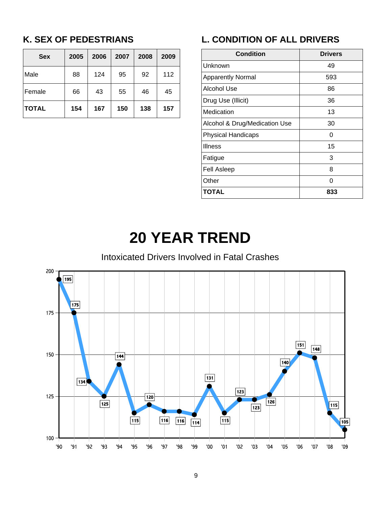## **K. SEX OF PEDESTRIANS**

| <b>Sex</b>   | 2005 | 2006 | 2007 | 2008 | 2009 |
|--------------|------|------|------|------|------|
| Male         | 88   | 124  | 95   | 92   | 112  |
| Female       | 66   | 43   | 55   | 46   | 45   |
| <b>TOTAL</b> | 154  | 167  | 150  | 138  | 157  |

## **L. CONDITION OF ALL DRIVERS**

| <b>Condition</b>              | <b>Drivers</b> |
|-------------------------------|----------------|
| Unknown                       | 49             |
| <b>Apparently Normal</b>      | 593            |
| Alcohol Use                   | 86             |
| Drug Use (Illicit)            | 36             |
| Medication                    | 13             |
| Alcohol & Drug/Medication Use | 30             |
| <b>Physical Handicaps</b>     | O              |
| <b>Illness</b>                | 15             |
| Fatigue                       | 3              |
| <b>Fell Asleep</b>            | 8              |
| Other                         | ი              |
| <b>TOTAL</b>                  | 833            |

# **20 YEAR TREND**

### Intoxicated Drivers Involved in Fatal Crashes

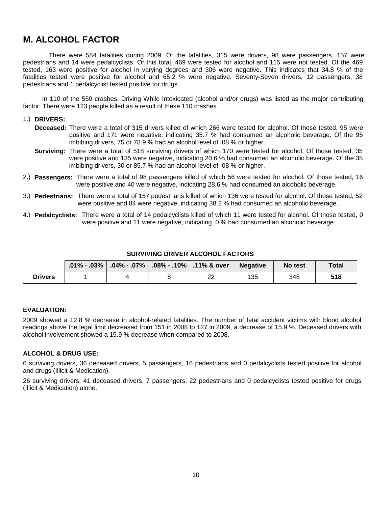### **M. ALCOHOL FACTOR**

 There were 584 fatalities during 2009. Of the fatalities, 315 were drivers, 98 were passengers, 157 were pedestrians and 14 were pedalcyclists. Of this total, 469 were tested for alcohol and 115 were not tested. Of the 469 tested, 163 were positive for alcohol in varying degrees and 306 were negative. This indicates that 34.8 % of the fatalities tested were positive for alcohol and 65.2 % were negative. Seventy-Seven drivers, 12 passengers, 38 pedestrians and 1 pedalcyclist tested positive for drugs.

 In 110 of the 550 crashes, Driving While Intoxicated (alcohol and/or drugs) was listed as the major contributing factor. There were 123 people killed as a result of these 110 crashes.

#### 1.) **DRIVERS:**

- **Deceased:** There were a total of 315 drivers killed of which 266 were tested for alcohol. Of those tested, 95 were positive and 171 were negative, indicating 35.7 % had consumed an alcoholic beverage. Of the 95 imbibing drivers, 75 or 78.9 % had an alcohol level of .08 % or higher.
- **Surviving:** There were a total of 518 surviving drivers of which 170 were tested for alcohol. Of those tested, 35 were positive and 135 were negative, indicating 20.6 % had consumed an alcoholic beverage. Of the 35 imbibing drivers, 30 or 85.7 % had an alcohol level of .08 % or higher.
- 2.) **Passengers:** There were a total of 98 passengers killed of which 56 were tested for alcohol. Of those tested, 16 were positive and 40 were negative, indicating 28.6 % had consumed an alcoholic beverage.
- 3.) **Pedestrians:** There were a total of 157 pedestrians killed of which 136 were tested for alcohol. Of those tested, 52 were positive and 84 were negative, indicating 38.2 % had consumed an alcoholic beverage.
- 4.) **Pedalcyclists:** There were a total of 14 pedalcyclists killed of which 11 were tested for alcohol. Of those tested, 0 were positive and 11 were negative, indicating .0 % had consumed an alcoholic beverage.

|  | <b>SURVIVING DRIVER ALCOHOL FACTORS</b> |  |
|--|-----------------------------------------|--|
|  |                                         |  |

|                |  | .01% - .03% $ $ .04% - .07% $ $ .08% - .10% $ $ .11% & over $ $ | <b>Negative</b> | No test | Total |
|----------------|--|-----------------------------------------------------------------|-----------------|---------|-------|
| <b>Drivers</b> |  | ົ<br>∠∠                                                         | 135             | 348     | 518   |

#### **EVALUATION:**

2009 showed a 12.8 % decrease in alcohol-related fatalities. The number of fatal accident victims with blood alcohol readings above the legal limit decreased from 151 in 2008 to 127 in 2009, a decrease of 15.9 %. Deceased drivers with alcohol involvement showed a 15.9 % decrease when compared to 2008.

#### **ALCOHOL & DRUG USE:**

6 surviving drivers, 36 deceased drivers, 5 passengers, 16 pedestrians and 0 pedalcyclists tested positive for alcohol and drugs (Illicit & Medication).

26 surviving drivers, 41 deceased drivers, 7 passengers, 22 pedestrians and 0 pedalcyclists tested positive for drugs (Illicit & Medication) alone.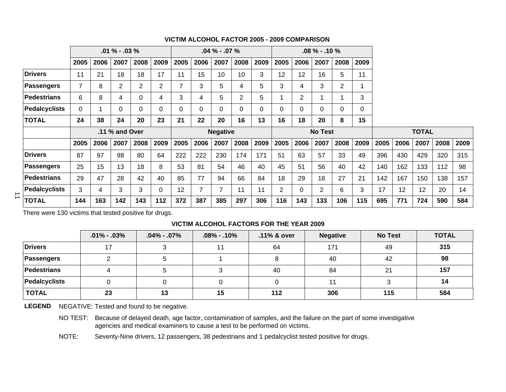|           |                      |                | $.01\% - .03\%$ |                |      | $.04\% - .07\%$<br>$.08\% - .10\%$ |                |                |                 |                |          |                |                |      |                |      |              |      |      |      |      |
|-----------|----------------------|----------------|-----------------|----------------|------|------------------------------------|----------------|----------------|-----------------|----------------|----------|----------------|----------------|------|----------------|------|--------------|------|------|------|------|
|           |                      | 2005           | 2006            | 2007           | 2008 | 2009                               | 2005           | 2006           | 2007            | 2008           | 2009     | 2005           | 2006           | 2007 | 2008           | 2009 |              |      |      |      |      |
|           | <b>Drivers</b>       | 11             | 21              | 18             | 18   | 17                                 | 11             | 15             | 10              | 10             | 3        | 12             | 12             | 16   | 5              | 11   |              |      |      |      |      |
|           | <b>Passengers</b>    | $\overline{7}$ | 8               | $\overline{2}$ | 2    | 2                                  | $\overline{7}$ | 3              | 5               | 4              | 5        | 3              | 4              | 3    | $\overline{2}$ |      |              |      |      |      |      |
|           | Pedestrians          | 6              | 8               | 4              | 0    | 4                                  | 3              | 4              | 5               | $\overline{2}$ | 5        |                | $\overline{2}$ | 1    |                | 3    |              |      |      |      |      |
|           | <b>Pedalcyclists</b> | $\Omega$       |                 | 0              | 0    | 0                                  | 0              | $\Omega$       | 0               | 0              | $\Omega$ | 0              |                | 0    | 0              | 0    |              |      |      |      |      |
|           | <b>TOTAL</b>         | 24             | 38              | 24             | 20   | 23                                 | 21             | 22             | 20              | 16             | 13       | 16             | 18             | 20   | 8              | 15   |              |      |      |      |      |
|           |                      |                |                 | .11 % and Over |      |                                    |                |                | <b>Negative</b> |                |          | <b>No Test</b> |                |      |                |      | <b>TOTAL</b> |      |      |      |      |
|           |                      | 2005           | 2006            | 2007           | 2008 | 2009                               | 2005           | 2006           | 2007            | 2008           | 2009     | 2005           | 2006           | 2007 | 2008           | 2009 | 2005         | 2006 | 2007 | 2008 | 2009 |
|           | <b>Drivers</b>       | 87             | 97              | 98             | 80   | 64                                 | 222            | 222            | 230             | 174            | 171      | 51             | 63             | 57   | 33             | 49   | 396          | 430  | 429  | 320  | 315  |
|           | <b>Passengers</b>    | 25             | 15              | 13             | 18   | 8                                  | 53             | 81             | 54              | 46             | 40       | 45             | 51             | 56   | 40             | 42   | 140          | 162  | 133  | 112  | 98   |
|           | Pedestrians          | 29             | 47              | 28             | 42   | 40                                 | 85             | 77             | 94              | 66             | 84       | 18             | 29             | 18   | 27             | 21   | 142          | 167  | 150  | 138  | 157  |
| $\vec{=}$ | <b>Pedalcyclists</b> | 3              | 4               | 3              | 3    | $\Omega$                           | 12             | $\overline{7}$ | 7               | 11             | 11       | $\overline{2}$ | $\Omega$       | 2    | 6              | 3    | 17           | 12   | 12   | 20   | 14   |
|           | <b>TOTAL</b>         | 144            | 163             | 142            | 143  | 112                                | 372            | 387            | 385             | 297            | 306      | 116            | 143            | 133  | 106            | 115  | 695          | 771  | 724  | 590  | 584  |

#### **VICTIM ALCOHOL FACTOR 2005 - 2009 COMPARISON**

There were 130 victims that tested positive for drugs.

#### **VICTIM ALCOHOL FACTORS FOR THE YEAR 2009**

|                | $.01\% - .03\%$ | $.04\% - .07\%$ | $.08\%$ - .10% | .11% & over | <b>Negative</b> | <b>No Test</b> | <b>TOTAL</b> |
|----------------|-----------------|-----------------|----------------|-------------|-----------------|----------------|--------------|
| <b>Drivers</b> | 17              |                 | 44             | 64          | 171             | 49             | 315          |
| Passengers     |                 |                 |                |             | 40              | 42             | 98           |
| Pedestrians    |                 |                 |                | 40          | 84              | 21             | 157          |
| Pedalcyclists  |                 |                 |                |             |                 |                | 14           |
| <b>TOTAL</b>   | 23              | 13              | 15             | 112         | 306             | 115            | 584          |

LEGEND NEGATIVE: Tested and found to be negative.

NO TEST: Because of delayed death, age factor, contamination of samples, and the failure on the part of some investigative agencies and medical examiners to cause a test to be performed on victims.

NOTE: Seventy-Nine drivers, 12 passengers, 38 pedestrians and 1 pedalcyclist tested positive for drugs.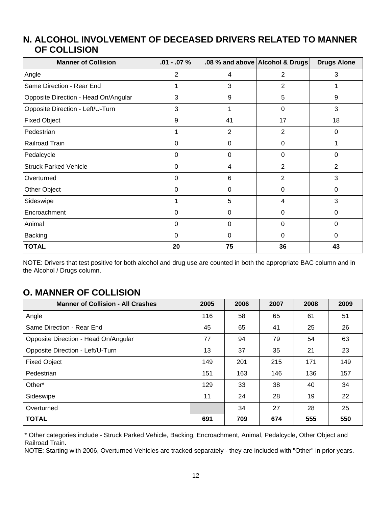#### **ALCOHOL INVOLVEMENT OF DECEASED DRIVERS RELATED TO MANNER N. OF COLLISION**

| <b>Manner of Collision</b>           | $.01 - .07 \%$ |    | .08 % and above Alcohol & Drugs | <b>Drugs Alone</b> |
|--------------------------------------|----------------|----|---------------------------------|--------------------|
| Angle                                | $\overline{2}$ | 4  | 2                               | 3                  |
| Same Direction - Rear End            | 1              | 3  | $\overline{2}$                  |                    |
| Opposite Direction - Head On/Angular | 3              | 9  | 5                               | 9                  |
| Opposite Direction - Left/U-Turn     | 3              |    | 0                               | 3                  |
| <b>Fixed Object</b>                  | 9              | 41 | 17                              | 18                 |
| Pedestrian                           | 1              | 2  | 2                               | 0                  |
| Railroad Train                       | $\mathbf 0$    | 0  | 0                               |                    |
| Pedalcycle                           | 0              | 0  | 0                               | $\Omega$           |
| <b>Struck Parked Vehicle</b>         | 0              | 4  | $\overline{2}$                  | 2                  |
| Overturned                           | $\mathbf 0$    | 6  | $\overline{2}$                  | 3                  |
| Other Object                         | $\Omega$       | 0  | 0                               | $\mathbf 0$        |
| Sideswipe                            | 1              | 5  | 4                               | 3                  |
| Encroachment                         | 0              | 0  | 0                               | 0                  |
| Animal                               | 0              | 0  | 0                               | 0                  |
| <b>Backing</b>                       | 0              | 0  | $\Omega$                        | $\mathbf 0$        |
| <b>TOTAL</b>                         | 20             | 75 | 36                              | 43                 |

NOTE: Drivers that test positive for both alcohol and drug use are counted in both the appropriate BAC column and in the Alcohol / Drugs column.

### **O. MANNER OF COLLISION**

| <b>Manner of Collision - All Crashes</b> | 2005 | 2006 | 2007 | 2008 | 2009 |
|------------------------------------------|------|------|------|------|------|
| Angle                                    | 116  | 58   | 65   | 61   | 51   |
| Same Direction - Rear End                | 45   | 65   | 41   | 25   | 26   |
| Opposite Direction - Head On/Angular     | 77   | 94   | 79   | 54   | 63   |
| Opposite Direction - Left/U-Turn         | 13   | 37   | 35   | 21   | 23   |
| <b>Fixed Object</b>                      | 149  | 201  | 215  | 171  | 149  |
| Pedestrian                               | 151  | 163  | 146  | 136  | 157  |
| Other*                                   | 129  | 33   | 38   | 40   | 34   |
| Sideswipe                                | 11   | 24   | 28   | 19   | 22   |
| Overturned                               |      | 34   | 27   | 28   | 25   |
| <b>TOTAL</b>                             | 691  | 709  | 674  | 555  | 550  |

\* Other categories include - Struck Parked Vehicle, Backing, Encroachment, Animal, Pedalcycle, Other Object and Railroad Train.

NOTE: Starting with 2006, Overturned Vehicles are tracked separately - they are included with "Other" in prior years.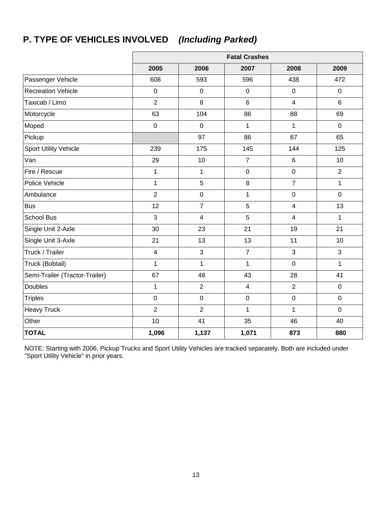## **P. TYPE OF VEHICLES INVOLVED** *(Including Parked)*

|                                |                  |                | <b>Fatal Crashes</b> |                         |                |
|--------------------------------|------------------|----------------|----------------------|-------------------------|----------------|
|                                | 2005             | 2006           | 2007                 | 2008                    | 2009           |
| Passenger Vehicle              | 608              | 593            | 596                  | 438                     | 472            |
| <b>Recreation Vehicle</b>      | $\mathbf 0$      | $\mathbf 0$    | $\mathbf 0$          | $\mathbf 0$             | $\overline{0}$ |
| Taxicab / Limo                 | $\overline{2}$   | 8              | $\,6$                | $\overline{4}$          | $6\phantom{1}$ |
| Motorcycle                     | 63               | 104            | 86                   | 88                      | 69             |
| Moped                          | $\boldsymbol{0}$ | $\mathbf 0$    | 1                    | 1                       | $\mathbf 0$    |
| Pickup                         |                  | 97             | 86                   | 67                      | 65             |
| <b>Sport Utility Vehicle</b>   | 239              | 175            | 145                  | 144                     | 125            |
| Van                            | 29               | 10             | $\overline{7}$       | 6                       | 10             |
| Fire / Rescue                  | $\mathbf{1}$     | $\mathbf{1}$   | $\mathbf 0$          | $\mathbf 0$             | $\overline{2}$ |
| Police Vehicle                 | $\mathbf{1}$     | $\overline{5}$ | 8                    | $\overline{7}$          | 1              |
| Ambulance                      | $\overline{2}$   | $\pmb{0}$      | 1                    | $\mathsf 0$             | $\pmb{0}$      |
| <b>Bus</b>                     | 12               | $\overline{7}$ | 5                    | $\overline{\mathbf{4}}$ | 13             |
| <b>School Bus</b>              | 3                | $\overline{4}$ | 5                    | $\overline{\mathbf{4}}$ | $\mathbf{1}$   |
| Single Unit 2-Axle             | 30               | 23             | 21                   | 19                      | 21             |
| Single Unit 3-Axle             | 21               | 13             | 13                   | 11                      | 10             |
| Truck / Trailer                | $\overline{4}$   | $\mathbf{3}$   | $\overline{7}$       | 3                       | 3              |
| Truck (Bobtail)                | $\mathbf{1}$     | $\mathbf{1}$   | 1                    | $\mathbf 0$             | $\mathbf{1}$   |
| Semi-Trailer (Tractor-Trailer) | 67               | 48             | 43                   | 28                      | 41             |
| <b>Doubles</b>                 | $\mathbf{1}$     | $\overline{2}$ | $\overline{4}$       | $\overline{2}$          | $\overline{0}$ |
| <b>Triples</b>                 | $\boldsymbol{0}$ | $\pmb{0}$      | $\boldsymbol{0}$     | $\pmb{0}$               | $\mathbf 0$    |
| <b>Heavy Truck</b>             | $\overline{2}$   | $\overline{2}$ | 1                    | 1                       | $\mathbf 0$    |
| Other                          | 10               | 41             | 35                   | 46                      | 40             |
| <b>TOTAL</b>                   | 1,096            | 1,137          | 1,071                | 873                     | 880            |

NOTE: Starting with 2006, Pickup Trucks and Sport Utility Vehicles are tracked separately. Both are included under "Sport Utility Vehicle" in prior years.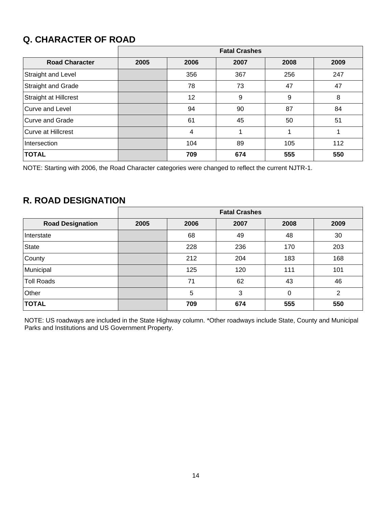## **Q. CHARACTER OF ROAD**

|                              | <b>Fatal Crashes</b> |      |      |      |      |  |  |  |  |  |  |
|------------------------------|----------------------|------|------|------|------|--|--|--|--|--|--|
| <b>Road Character</b>        | 2005                 | 2006 | 2007 | 2008 | 2009 |  |  |  |  |  |  |
| Straight and Level           |                      | 356  | 367  | 256  | 247  |  |  |  |  |  |  |
| <b>Straight and Grade</b>    |                      | 78   | 73   | 47   | 47   |  |  |  |  |  |  |
| <b>Straight at Hillcrest</b> |                      | 12   | 9    | 9    | 8    |  |  |  |  |  |  |
| Curve and Level              |                      | 94   | 90   | 87   | 84   |  |  |  |  |  |  |
| <b>Curve and Grade</b>       |                      | 61   | 45   | 50   | 51   |  |  |  |  |  |  |
| <b>Curve at Hillcrest</b>    |                      | 4    |      |      |      |  |  |  |  |  |  |
| Intersection                 |                      | 104  | 89   | 105  | 112  |  |  |  |  |  |  |
| <b>TOTAL</b>                 |                      | 709  | 674  | 555  | 550  |  |  |  |  |  |  |

NOTE: Starting with 2006, the Road Character categories were changed to reflect the current NJTR-1.

### **R. ROAD DESIGNATION**

|                         |      | <b>Fatal Crashes</b> |      |      |      |  |  |  |  |  |  |
|-------------------------|------|----------------------|------|------|------|--|--|--|--|--|--|
| <b>Road Designation</b> | 2005 | 2006                 | 2007 | 2008 | 2009 |  |  |  |  |  |  |
| Interstate              |      | 68                   | 49   | 48   | 30   |  |  |  |  |  |  |
| <b>State</b>            |      | 228                  | 236  | 170  | 203  |  |  |  |  |  |  |
| County                  |      | 212                  | 204  | 183  | 168  |  |  |  |  |  |  |
| Municipal               |      | 125                  | 120  | 111  | 101  |  |  |  |  |  |  |
| <b>Toll Roads</b>       |      | 71                   | 62   | 43   | 46   |  |  |  |  |  |  |
| Other                   |      | 5                    | 3    | 0    | 2    |  |  |  |  |  |  |
| <b>TOTAL</b>            |      | 709                  | 674  | 555  | 550  |  |  |  |  |  |  |

NOTE: US roadways are included in the State Highway column. \*Other roadways include State, County and Municipal Parks and Institutions and US Government Property.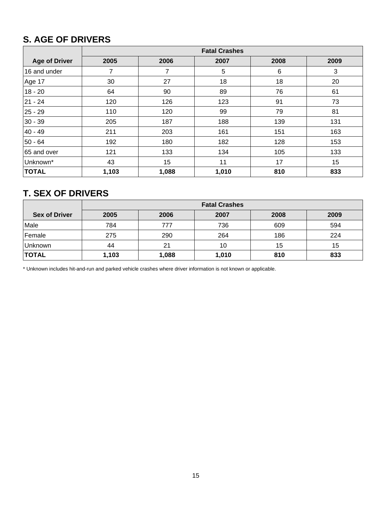## **S. AGE OF DRIVERS**

|                      | <b>Fatal Crashes</b> |       |       |      |      |  |  |
|----------------------|----------------------|-------|-------|------|------|--|--|
| <b>Age of Driver</b> | 2005                 | 2006  | 2007  | 2008 | 2009 |  |  |
| 16 and under         | 7                    | 7     | 5     | 6    | 3    |  |  |
| Age 17               | 30                   | 27    | 18    | 18   | 20   |  |  |
| $18 - 20$            | 64                   | 90    | 89    | 76   | 61   |  |  |
| $ 21 - 24 $          | 120                  | 126   | 123   | 91   | 73   |  |  |
| $25 - 29$            | 110                  | 120   | 99    | 79   | 81   |  |  |
| $30 - 39$            | 205                  | 187   | 188   | 139  | 131  |  |  |
| $40 - 49$            | 211                  | 203   | 161   | 151  | 163  |  |  |
| 50 - 64              | 192                  | 180   | 182   | 128  | 153  |  |  |
| 65 and over          | 121                  | 133   | 134   | 105  | 133  |  |  |
| Unknown*             | 43                   | 15    | 11    | 17   | 15   |  |  |
| <b>TOTAL</b>         | 1,103                | 1,088 | 1,010 | 810  | 833  |  |  |

### **T. SEX OF DRIVERS**

|                      | <b>Fatal Crashes</b> |       |       |      |      |  |  |
|----------------------|----------------------|-------|-------|------|------|--|--|
| <b>Sex of Driver</b> | 2005                 | 2006  | 2007  | 2008 | 2009 |  |  |
| Male                 | 784                  | 777   | 736   | 609  | 594  |  |  |
| Female               | 275                  | 290   | 264   | 186  | 224  |  |  |
| Unknown              | 44                   | 21    | 10    | 15   | 15   |  |  |
| <b>TOTAL</b>         | 1,103                | 1,088 | 1,010 | 810  | 833  |  |  |

\* Unknown includes hit-and-run and parked vehicle crashes where driver information is not known or applicable.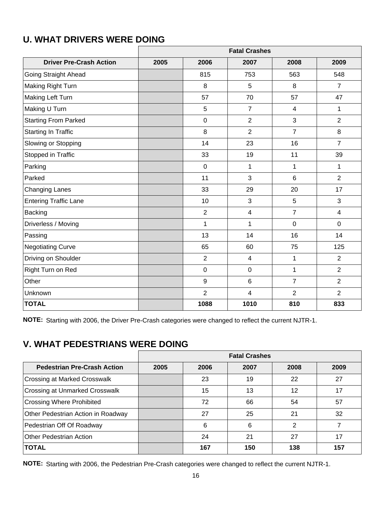|                                | <b>Fatal Crashes</b> |                  |                         |                |                |  |
|--------------------------------|----------------------|------------------|-------------------------|----------------|----------------|--|
| <b>Driver Pre-Crash Action</b> | 2005                 | 2006             | 2007                    | 2008           | 2009           |  |
| Going Straight Ahead           |                      | 815              | 753                     | 563            | 548            |  |
| Making Right Turn              |                      | 8                | 5                       | 8              | $\overline{7}$ |  |
| Making Left Turn               |                      | 57               | 70                      | 57             | 47             |  |
| Making U Turn                  |                      | $\overline{5}$   | $\overline{7}$          | $\overline{4}$ | $\mathbf{1}$   |  |
| <b>Starting From Parked</b>    |                      | $\pmb{0}$        | $\overline{2}$          | 3              | $\overline{2}$ |  |
| Starting In Traffic            |                      | 8                | $\overline{2}$          | $\overline{7}$ | 8              |  |
| Slowing or Stopping            |                      | 14               | 23                      | 16             | $\overline{7}$ |  |
| Stopped in Traffic             |                      | 33               | 19                      | 11             | 39             |  |
| Parking                        |                      | $\mathbf 0$      | 1                       | 1              | $\mathbf{1}$   |  |
| Parked                         |                      | 11               | 3                       | $6\phantom{1}$ | $\overline{2}$ |  |
| <b>Changing Lanes</b>          |                      | 33               | 29                      | 20             | 17             |  |
| <b>Entering Traffic Lane</b>   |                      | 10               | 3                       | 5              | 3              |  |
| Backing                        |                      | $\overline{2}$   | $\overline{\mathbf{4}}$ | $\overline{7}$ | $\overline{4}$ |  |
| Driverless / Moving            |                      | $\mathbf 1$      | 1                       | $\mathbf 0$    | $\overline{0}$ |  |
| Passing                        |                      | 13               | 14                      | 16             | 14             |  |
| <b>Negotiating Curve</b>       |                      | 65               | 60                      | 75             | 125            |  |
| Driving on Shoulder            |                      | $\overline{2}$   | $\overline{4}$          | $\mathbf 1$    | $\overline{2}$ |  |
| Right Turn on Red              |                      | $\pmb{0}$        | $\pmb{0}$               | $\mathbf{1}$   | 2              |  |
| Other                          |                      | $\boldsymbol{9}$ | $6\phantom{1}6$         | $\overline{7}$ | $\overline{2}$ |  |
| Unknown                        |                      | $\overline{2}$   | 4                       | $\overline{2}$ | $\overline{2}$ |  |
| <b>TOTAL</b>                   |                      | 1088             | 1010                    | 810            | 833            |  |

### **U. WHAT DRIVERS WERE DOING**

**NOTE:** Starting with 2006, the Driver Pre-Crash categories were changed to reflect the current NJTR-1.

## **V. WHAT PEDESTRIANS WERE DOING**

|                                       |      |      | <b>Fatal Crashes</b> |      |      |
|---------------------------------------|------|------|----------------------|------|------|
| <b>Pedestrian Pre-Crash Action</b>    | 2005 | 2006 | 2007                 | 2008 | 2009 |
| <b>Crossing at Marked Crosswalk</b>   |      | 23   | 19                   | 22   | 27   |
| <b>Crossing at Unmarked Crosswalk</b> |      | 15   | 13                   | 12   | 17   |
| <b>Crossing Where Prohibited</b>      |      | 72   | 66                   | 54   | 57   |
| Other Pedestrian Action in Roadway    |      | 27   | 25                   | 21   | 32   |
| Pedestrian Off Of Roadway             |      | 6    | 6                    | 2    |      |
| Other Pedestrian Action               |      | 24   | 21                   | 27   | 17   |
| <b>TOTAL</b>                          |      | 167  | 150                  | 138  | 157  |

**NOTE:** Starting with 2006, the Pedestrian Pre-Crash categories were changed to reflect the current NJTR-1.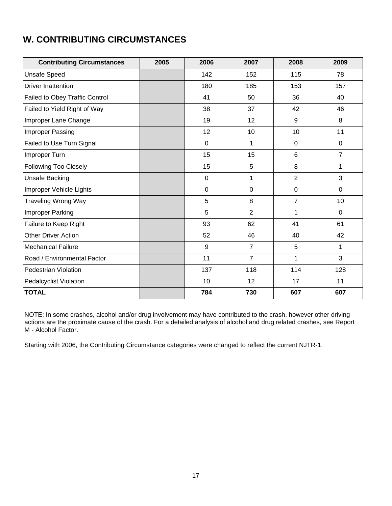## **W. CONTRIBUTING CIRCUMSTANCES**

| <b>Contributing Circumstances</b> | 2005 | 2006           | 2007           | 2008            | 2009           |
|-----------------------------------|------|----------------|----------------|-----------------|----------------|
| <b>Unsafe Speed</b>               |      | 142            | 152            | 115             | 78             |
| <b>Driver Inattention</b>         |      | 180            | 185            | 153             | 157            |
| Failed to Obey Traffic Control    |      | 41             | 50             | 36              | 40             |
| Failed to Yield Right of Way      |      | 38             | 37             | 42              | 46             |
| Improper Lane Change              |      | 19             | 12             | $9\,$           | 8              |
| Improper Passing                  |      | 12             | 10             | 10              | 11             |
| Failed to Use Turn Signal         |      | $\overline{0}$ | 1              | $\mathbf 0$     | $\mathbf 0$    |
| Improper Turn                     |      | 15             | 15             | $6\phantom{1}6$ | $\overline{7}$ |
| Following Too Closely             |      | 15             | 5              | 8               | 1              |
| Unsafe Backing                    |      | $\mathbf 0$    | 1              | $\overline{2}$  | 3              |
| Improper Vehicle Lights           |      | $\mathbf 0$    | 0              | $\mathbf 0$     | $\overline{0}$ |
| <b>Traveling Wrong Way</b>        |      | 5              | 8              | $\overline{7}$  | 10             |
| Improper Parking                  |      | 5              | $\overline{2}$ | 1               | $\overline{0}$ |
| Failure to Keep Right             |      | 93             | 62             | 41              | 61             |
| <b>Other Driver Action</b>        |      | 52             | 46             | 40              | 42             |
| <b>Mechanical Failure</b>         |      | 9              | $\overline{7}$ | 5               | 1              |
| Road / Environmental Factor       |      | 11             | $\overline{7}$ | 1               | 3              |
| <b>Pedestrian Violation</b>       |      | 137            | 118            | 114             | 128            |
| <b>Pedalcyclist Violation</b>     |      | 10             | 12             | 17              | 11             |
| <b>TOTAL</b>                      |      | 784            | 730            | 607             | 607            |

NOTE: In some crashes, alcohol and/or drug involvement may have contributed to the crash, however other driving actions are the proximate cause of the crash. For a detailed analysis of alcohol and drug related crashes, see Report M - Alcohol Factor.

Starting with 2006, the Contributing Circumstance categories were changed to reflect the current NJTR-1.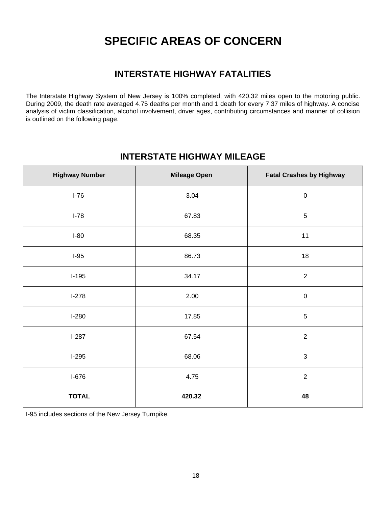## **SPECIFIC AREAS OF CONCERN**

### **INTERSTATE HIGHWAY FATALITIES**

The Interstate Highway System of New Jersey is 100% completed, with 420.32 miles open to the motoring public. During 2009, the death rate averaged 4.75 deaths per month and 1 death for every 7.37 miles of highway. A concise analysis of victim classification, alcohol involvement, driver ages, contributing circumstances and manner of collision is outlined on the following page.

#### **INTERSTATE HIGHWAY MILEAGE**

| <b>Highway Number</b> | <b>Mileage Open</b> | <b>Fatal Crashes by Highway</b> |
|-----------------------|---------------------|---------------------------------|
| $I-76$                | 3.04                | $\boldsymbol{0}$                |
| $I-78$                | 67.83               | $\sqrt{5}$                      |
| $I-80$                | 68.35               | 11                              |
| $I-95$                | 86.73               | 18                              |
| $I-195$               | 34.17               | $\overline{2}$                  |
| $I-278$               | 2.00                | $\boldsymbol{0}$                |
| $I-280$               | 17.85               | $\sqrt{5}$                      |
| $I-287$               | 67.54               | $\overline{2}$                  |
| $I-295$               | 68.06               | 3                               |
| $I-676$               | 4.75                | $\overline{2}$                  |
| <b>TOTAL</b>          | 420.32              | 48                              |

I-95 includes sections of the New Jersey Turnpike.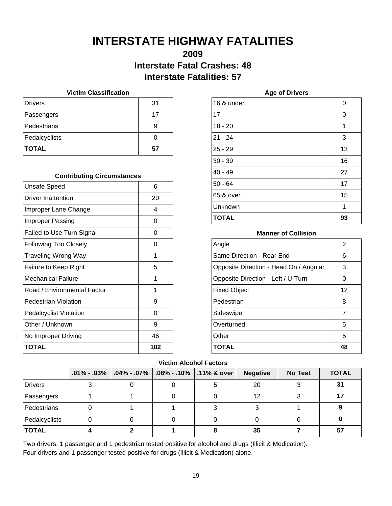## **INTERSTATE HIGHWAY FATALITIES**

### **2009 Interstate Fatal Crashes: 48 Interstate Fatalities: 57**

#### **Victim Classification**

| <b>Drivers</b> | 31 |
|----------------|----|
| Passengers     | 17 |
| Pedestrians    | 9  |
| Pedalcyclists  |    |
| <b>TOTAL</b>   | 57 |

#### **Contributing Circumstances**

| <b>Unsafe Speed</b>           | 6   |
|-------------------------------|-----|
| Driver Inattention            | 20  |
| Improper Lane Change          | 4   |
| Improper Passing              | ი   |
| Failed to Use Turn Signal     | 0   |
| <b>Following Too Closely</b>  | O   |
| Traveling Wrong Way           | 1   |
| Failure to Keep Right         | 5   |
| Mechanical Failure            | 1   |
| Road / Environmental Factor   | 1   |
| Pedestrian Violation          | 9   |
| <b>Pedalcyclist Violation</b> | O   |
| Other / Unknown               | 9   |
| No Improper Driving           | 46  |
| TOTAL                         | 102 |

| 16 & under   | 0  |
|--------------|----|
| 17           | 0  |
| $18 - 20$    | 1  |
| $21 - 24$    | 3  |
| $25 - 29$    | 13 |
| $30 - 39$    | 16 |
| $40 - 49$    | 27 |
| $50 - 64$    | 17 |
| 65 & over    | 15 |
| Unknown      | 1  |
| <b>TOTAL</b> | 93 |

**Age of Drivers**

#### **Manner of Collision**

| Angle                                  | 2  |
|----------------------------------------|----|
| Same Direction - Rear End              | 6  |
| Opposite Direction - Head On / Angular | 3  |
| Opposite Direction - Left / U-Turn     | 0  |
| <b>Fixed Object</b>                    | 12 |
| Pedestrian                             | 8  |
| Sideswipe                              | 7  |
| Overturned                             | 5  |
| Other                                  | 5  |
| TOTAL                                  | 48 |

#### **Victim Alcohol Factors**

|                | $.01\% - .03\%$ | $ .04\% - .07\%$ | $\vert$ .08% - .10% $\vert$ .11% & over | <b>Negative</b> | <b>No Test</b> | <b>TOTAL</b> |
|----------------|-----------------|------------------|-----------------------------------------|-----------------|----------------|--------------|
| <b>Drivers</b> |                 |                  | 5                                       | 20              |                | 31           |
| Passengers     |                 |                  |                                         | 12              |                |              |
| Pedestrians    |                 |                  |                                         |                 |                |              |
| Pedalcyclists  |                 |                  |                                         |                 |                |              |
| <b>TOTAL</b>   |                 |                  |                                         | 35              |                | 57           |

Two drivers, 1 passenger and 1 pedestrian tested positive for alcohol and drugs (Illicit & Medication). Four drivers and 1 passenger tested positive for drugs (Illicit & Medication) alone.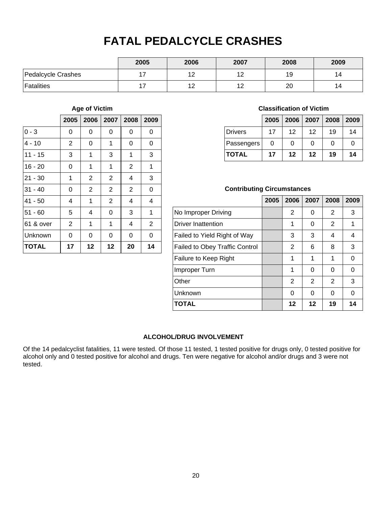## **FATAL PEDALCYCLE CRASHES**

|                    | 2005  | 2006 | 2007      | 2008 | 2009 |
|--------------------|-------|------|-----------|------|------|
| Pedalcycle Crashes | $4 -$ |      | 12<br>' 4 | 19   | 14   |
| Fatalities         | $4 -$ | . .  | 12        | 20   | 14   |

#### **Age of Victim**

|              | 2005           | 2006           | 2007           | 2008           | 2009           |
|--------------|----------------|----------------|----------------|----------------|----------------|
| $0 - 3$      | 0              | 0              | 0              | 0              | 0              |
| $4 - 10$     | $\overline{2}$ | 0              | 1              | 0              | 0              |
| $11 - 15$    | 3              | 1              | 3              | 1              | 3              |
| $16 - 20$    | 0              | 1              | 1              | $\overline{2}$ | 1              |
| $21 - 30$    | 1              | $\overline{2}$ | $\overline{2}$ | 4              | 3              |
| $31 - 40$    | 0              | $\overline{2}$ | $\overline{2}$ | $\overline{2}$ | 0              |
| $41 - 50$    | 4              | 1              | $\overline{2}$ | 4              | 4              |
| $51 - 60$    | 5              | 4              | 0              | 3              | 1              |
| 61 & over    | $\overline{2}$ | 1              | 1              | 4              | $\overline{2}$ |
| Unknown      | 0              | 0              | 0              | 0              | 0              |
| <b>TOTAL</b> | 17             | 12             | 12             | 20             | 14             |

#### **Classification of Victim**

|              | 2005 |                 |    | 2006   2007   2008   2009 |    |
|--------------|------|-----------------|----|---------------------------|----|
| Drivers      | 17   | 12 <sup>2</sup> | 12 | 19                        | 14 |
| Passengers   | 0    | 0               | ი  | 0                         |    |
| <b>TOTAL</b> | 17   | 12              | 12 | 19                        | 14 |

#### **Contributing Circumstances**

|                                       | 2005 | 2006 | 2007 | 2008     | 2009     |
|---------------------------------------|------|------|------|----------|----------|
| No Improper Driving                   |      | 2    | ∩    | 2        | 3        |
| <b>Driver Inattention</b>             |      | 1    | 0    | 2        | 1        |
| Failed to Yield Right of Way          |      | 3    | 3    | 4        | 4        |
| <b>Failed to Obey Traffic Control</b> |      | 2    | 6    | 8        | 3        |
| Failure to Keep Right                 |      | 1    | 1    | 1        | 0        |
| Improper Turn                         |      | 1    | 0    | $\Omega$ | $\Omega$ |
| Other                                 |      | 2    | 2    | 2        | 3        |
| Unknown                               |      | O    | 0    | 0        | 0        |
| <b>TOTAL</b>                          |      | 12   | 12   | 19       | 14       |

#### **ALCOHOL/DRUG INVOLVEMENT**

Of the 14 pedalcyclist fatalities, 11 were tested. Of those 11 tested, 1 tested positive for drugs only, 0 tested positive for alcohol only and 0 tested positive for alcohol and drugs. Ten were negative for alcohol and/or drugs and 3 were not tested.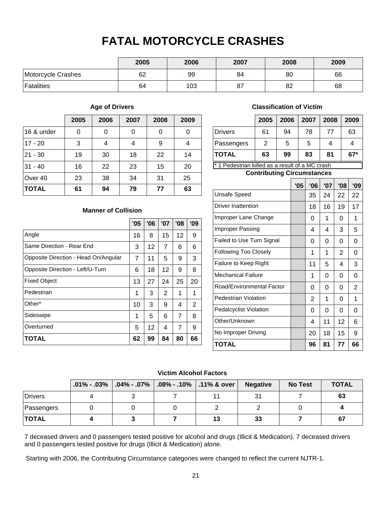## **FATAL MOTORCYCLE CRASHES**

|                    | 2005 | 2006 | 2007 | 2008 | 2009 |
|--------------------|------|------|------|------|------|
| Motorcycle Crashes | 62   | 99   | 84   | 80   | 66   |
| <b>Fatalities</b>  | 64   | 103  | 87   | 82   | 68   |

#### **Age of Drivers**

|              | 2005 | 2006 | 2007 | 2008 | 2009 |
|--------------|------|------|------|------|------|
| 16 & under   | 0    | 0    | 0    | 0    |      |
| $17 - 20$    | 3    | 4    | 4    | 9    |      |
| $21 - 30$    | 19   | 30   | 18   | 22   | 14   |
| $31 - 40$    | 16   | 22   | 23   | 15   | 20   |
| Over 40      | 23   | 38   | 34   | 31   | 25   |
| <b>TOTAL</b> | 61   | 94   | 79   | 77   | 63   |

**Manner of Collision**

**TOTAL 62 99 84 80 66**

Angle

Fixed Object Pedestrian Other\*

Sideswipe Overturned

Same Direction - Rear End

Opposite Direction - Head On/Angular

Opposite Direction - Left/U-Turn

#### **Classification of Victim**

| 61 | 94 | 78 | 77                             |                                                      |
|----|----|----|--------------------------------|------------------------------------------------------|
|    |    |    |                                | 63                                                   |
| 2  | 5  | 5  |                                |                                                      |
| 63 | 99 | 83 | 81                             | $67*$                                                |
|    |    |    | Des als stadium de l'alternitz | $\alpha = 1$ . The set of $\alpha$ MAC is set of the |

\* 1 Pedestrian killed as a result of a MC crash

#### **Contributing Circumstances**  $\Box$ ┯

|                               | '05 | '06 | '07 | '08 | '09 |
|-------------------------------|-----|-----|-----|-----|-----|
| <b>Unsafe Speed</b>           |     | 35  | 24  | 22  | 22  |
| <b>Driver Inattention</b>     |     | 18  | 16  | 19  | 17  |
| Improper Lane Change          |     | 0   | 1   | 0   | 1   |
| Improper Passing              |     | 4   | 4   | 3   | 5   |
| Failed to Use Turn Signal     |     | 0   | 0   | 0   | 0   |
| <b>Following Too Closely</b>  |     | 1   | 1   | 2   | 0   |
| Failure to Keep Right         |     | 11  | 5   | 4   | 3   |
| Mechanical Failure            |     | 1   | 0   | 0   | 0   |
| Road/Environmental Factor     |     | 0   | 0   | 0   | 2   |
| Pedestrian Violation          |     | 2   | 1   | 0   | 1   |
| <b>Pedalcyclist Violation</b> |     | 0   | 0   | 0   | 0   |
| Other/Unknown                 |     | 4   | 11  | 12  | 6   |
| No Improper Driving           |     | 20  | 18  | 15  | 9   |
| <b>TOTAL</b>                  |     | 96  | 81  | 77  | 66  |

#### **Victim Alcohol Factors**

|                |  | .01% - .03% $ .04\%$ - .07% $ .08\%$ - .10% $ .11\%$ & over $ $ | <b>Negative</b> | <b>No Test</b> | <b>TOTAL</b> |
|----------------|--|-----------------------------------------------------------------|-----------------|----------------|--------------|
| <b>Drivers</b> |  |                                                                 | 31              |                | 63           |
| Passengers     |  |                                                                 |                 |                |              |
| <b>TOTAL</b>   |  | 13                                                              | 33              |                | 67           |

7 deceased drivers and 0 passengers tested positive for alcohol and drugs (Illicit & Medication). 7 deceased drivers and 0 passengers tested positive for drugs (Illicit & Medication) alone.

Starting with 2006, the Contributing Circumstance categories were changed to reflect the current NJTR-1.

 $16 \mid 8 \mid 15 \mid 12 \mid 9$  $3 | 12 | 7 | 6 | 6$  $7 | 11 | 5 | 9 | 3$  $6 \mid 18 \mid 12 \mid 9 \mid 8$  $13 \mid 27 \mid 24 \mid 25 \mid 20$ 1 | 3 | 2 | 1 | 1  $10 \mid 3 \mid 9 \mid 4 \mid 2$ 1 | 5 | 6 | 7 | 8  $5 | 12 | 4 | 7 | 9$ 

**'05 '06 '07 '08 '09**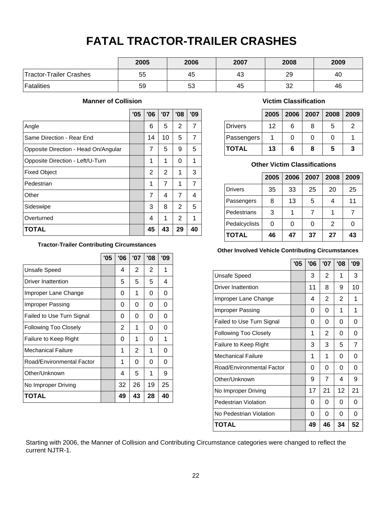## **FATAL TRACTOR-TRAILER CRASHES**

|                         | 2005 | 2006 | 2007 | 2008 | 2009 |
|-------------------------|------|------|------|------|------|
| Tractor-Trailer Crashes | 55   | 45   | 43   | 29   | 40   |
| <b>Fatalities</b>       | 59   | 53   | 45   | 32   | 46   |

#### **Manner of Collision**

|                                      | '05 | '06 | '07 | '08 | '09 |
|--------------------------------------|-----|-----|-----|-----|-----|
| Angle                                |     | 6   | 5   | 2   | 7   |
| Same Direction - Rear End            |     | 14  | 10  | 5   | 7   |
| Opposite Direction - Head On/Angular |     | 7   | 5   | 9   | 5   |
| Opposite Direction - Left/U-Turn     |     | 1   | 1   | 0   | 1   |
| <b>Fixed Object</b>                  |     | 2   | 2   | 1   | 3   |
| Pedestrian                           |     | 1   | 7   | 1   | 7   |
| Other                                |     | 7   | 4   | 7   | 4   |
| Sideswipe                            |     | 3   | 8   | 2   | 5   |
| Overturned                           |     | 4   | 1   | 2   | 1   |
| <b>TOTAL</b>                         |     | 45  | 43  | 29  | 40  |

#### **Tractor-Trailer Contributing Circumstances**

|                              | '05 | '06 | '07 | '08 | '09 |
|------------------------------|-----|-----|-----|-----|-----|
| Unsafe Speed                 |     | 4   | 2   | 2   | 1   |
| Driver Inattention           |     | 5   | 5   | 5   | 4   |
| Improper Lane Change         |     | 0   | 1   | 0   | 0   |
| Improper Passing             |     | 0   | 0   | 0   | 0   |
| Failed to Use Turn Signal    |     | 0   | 0   | 0   | 0   |
| <b>Following Too Closely</b> |     | 2   | 1   | 0   | 0   |
| Failure to Keep Right        |     | 0   | 1   | 0   | 1   |
| <b>Mechanical Failure</b>    |     | 1   | 2   | 1   | 0   |
| Road/Environmental Factor    |     | 1   | 0   | 0   | 0   |
| Other/Unknown                |     | 4   | 5   | 1   | 9   |
| No Improper Driving          |     | 32  | 26  | 19  | 25  |
| TOTAL                        |     | 49  | 43  | 28  | 40  |

#### **Victim Classification**

|                |    |   | 2005   2006   2007   2008   2009 |   |   |
|----------------|----|---|----------------------------------|---|---|
| <b>Drivers</b> | 12 | 6 | 8                                | 5 | 2 |
| Passengers     |    | 0 |                                  |   |   |
| <b>TOTAL</b>   | 13 | 6 | 8                                | 5 | 3 |

#### **Other Victim Classifications**

|                | 2005 | 2006 | 2007 | 2008           | 2009 |
|----------------|------|------|------|----------------|------|
| <b>Drivers</b> | 35   | 33   | 25   | 20             | 25   |
| Passengers     | 8    | 13   | 5    | 4              | 11   |
| Pedestrians    | 3    | 1    |      |                |      |
| Pedalcyclists  | 0    | 0    | O    | $\overline{2}$ |      |
| <b>TOTAL</b>   | 46   | 47   | 37   | 27             | 43   |

#### **Other Involved Vehicle Contributing Circumstances**

|                              | '05 | '06 | '07            | '08 | '09            |
|------------------------------|-----|-----|----------------|-----|----------------|
| <b>Unsafe Speed</b>          |     | 3   | 2              | 1   | 3              |
| <b>Driver Inattention</b>    |     | 11  | 8              | 9   | 10             |
| Improper Lane Change         |     | 4   | 2              | 2   | 1              |
| Improper Passing             |     | 0   | 0              | 1   | 1              |
| Failed to Use Turn Signal    |     | 0   | 0              | 0   | 0              |
| <b>Following Too Closely</b> |     | 1   | 2              | 0   | 0              |
| Failure to Keep Right        |     | 3   | 3              | 5   | $\overline{7}$ |
| <b>Mechanical Failure</b>    |     | 1   | 1              | 0   | 0              |
| Road/Environmental Factor    |     | 0   | 0              | 0   | 0              |
| Other/Unknown                |     | 9   | $\overline{7}$ | 4   | 9              |
| No Improper Driving          |     | 17  | 21             | 12  | 21             |
| Pedestrian Violation         |     | 0   | 0              | 0   | 0              |
| No Pedestrian Violation      |     | 0   | 0              | 0   | 0              |
| TOTAL                        |     | 49  | 46             | 34  | 52             |

Starting with 2006, the Manner of Collision and Contributing Circumstance categories were changed to reflect the current NJTR-1.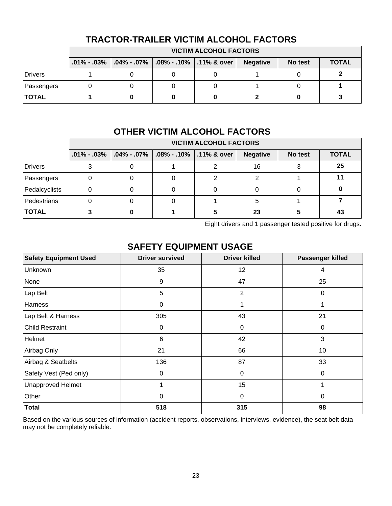|              | <b>VICTIM ALCOHOL FACTORS</b> |                                                                            |  |  |                 |         |              |  |
|--------------|-------------------------------|----------------------------------------------------------------------------|--|--|-----------------|---------|--------------|--|
|              |                               | $.01\%$ - .03% $\mid .04\%$ - .07% $\mid .08\%$ - .10% $\mid .11\%$ & over |  |  | <b>Negative</b> | No test | <b>TOTAL</b> |  |
| Drivers      |                               |                                                                            |  |  |                 |         |              |  |
| Passengers   |                               |                                                                            |  |  |                 |         |              |  |
| <b>TOTAL</b> |                               |                                                                            |  |  |                 |         |              |  |

#### **TRACTOR-TRAILER VICTIM ALCOHOL FACTORS**

## **OTHER VICTIM ALCOHOL FACTORS**

|               | <b>VICTIM ALCOHOL FACTORS</b> |                                     |                                         |  |                 |         |              |  |
|---------------|-------------------------------|-------------------------------------|-----------------------------------------|--|-----------------|---------|--------------|--|
|               |                               | $.01\%$ - $.03\%$ $.04\%$ - $.07\%$ | $\vert$ .08% - .10% $\vert$ .11% & over |  | <b>Negative</b> | No test | <b>TOTAL</b> |  |
| Drivers       |                               |                                     |                                         |  | 16              |         | 25           |  |
| Passengers    |                               |                                     |                                         |  |                 |         |              |  |
| Pedalcyclists |                               |                                     |                                         |  |                 |         |              |  |
| Pedestrians   |                               |                                     |                                         |  |                 |         |              |  |
| <b>TOTAL</b>  |                               |                                     |                                         |  | 23              |         | 43           |  |

Eight drivers and 1 passenger tested positive for drugs.

#### **SAFETY EQUIPMENT USAGE**

| <b>Safety Equipment Used</b> | <b>Driver survived</b> | <b>Driver killed</b> | Passenger killed |
|------------------------------|------------------------|----------------------|------------------|
| Unknown                      | 35                     | 12                   | 4                |
| None                         | 9                      | 47                   | 25               |
| Lap Belt                     | 5                      | $\overline{2}$       | 0                |
| Harness                      | 0                      | 1                    | 1                |
| Lap Belt & Harness           | 305                    | 43                   | 21               |
| <b>Child Restraint</b>       | $\mathbf 0$            | 0                    | 0                |
| Helmet                       | $6\phantom{1}6$        | 42                   | 3                |
| Airbag Only                  | 21                     | 66                   | 10               |
| Airbag & Seatbelts           | 136                    | 87                   | 33               |
| Safety Vest (Ped only)       | 0                      | 0                    | 0                |
| <b>Unapproved Helmet</b>     | 1                      | 15                   | 1                |
| Other                        | 0                      | 0                    | $\Omega$         |
| <b>Total</b>                 | 518                    | 315                  | 98               |

Based on the various sources of information (accident reports, observations, interviews, evidence), the seat belt data may not be completely reliable.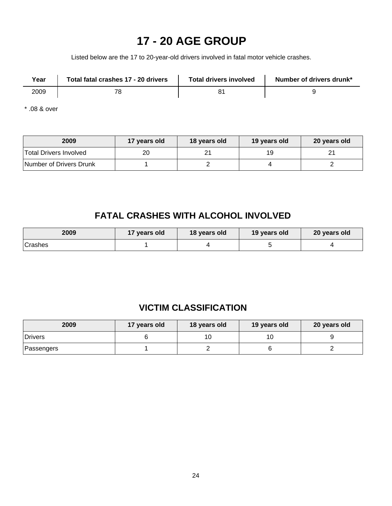## **17 - 20 AGE GROUP**

Listed below are the 17 to 20-year-old drivers involved in fatal motor vehicle crashes.

| Year | Total fatal crashes 17 - 20 drivers | <b>Total drivers involved</b> | Number of drivers drunk* |
|------|-------------------------------------|-------------------------------|--------------------------|
| 2009 | <u>_</u>                            |                               |                          |

\* .08 & over

| 2009                    | 17 years old | 18 years old | 19 years old | 20 years old |
|-------------------------|--------------|--------------|--------------|--------------|
| Total Drivers Involved  |              |              | 19           |              |
| Number of Drivers Drunk |              |              |              |              |

### **FATAL CRASHES WITH ALCOHOL INVOLVED**

| 2009    | 17 years old | 18 years old | 19 years old | 20 years old |
|---------|--------------|--------------|--------------|--------------|
| Crashes |              |              |              |              |

### **VICTIM CLASSIFICATION**

| 2009       | 17 years old | 18 years old | 19 years old | 20 years old |  |
|------------|--------------|--------------|--------------|--------------|--|
| Drivers    |              |              | 1 C          |              |  |
| Passengers |              |              |              |              |  |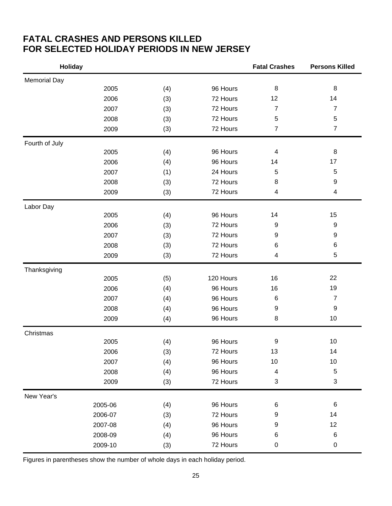### **FATAL CRASHES AND PERSONS KILLED FOR SELECTED HOLIDAY PERIODS IN NEW JERSEY**

| <b>Holiday</b>      |         |     |           | <b>Fatal Crashes</b> | <b>Persons Killed</b> |
|---------------------|---------|-----|-----------|----------------------|-----------------------|
| <b>Memorial Day</b> |         |     |           |                      |                       |
|                     | 2005    | (4) | 96 Hours  | 8                    | 8                     |
|                     | 2006    | (3) | 72 Hours  | 12                   | 14                    |
|                     | 2007    | (3) | 72 Hours  | $\overline{7}$       | $\overline{7}$        |
|                     | 2008    | (3) | 72 Hours  | 5                    | 5                     |
|                     | 2009    | (3) | 72 Hours  | $\overline{7}$       | $\overline{7}$        |
| Fourth of July      |         |     |           |                      |                       |
|                     | 2005    | (4) | 96 Hours  | 4                    | 8                     |
|                     | 2006    | (4) | 96 Hours  | 14                   | 17                    |
|                     | 2007    | (1) | 24 Hours  | 5                    | $\mathbf 5$           |
|                     | 2008    | (3) | 72 Hours  | 8                    | 9                     |
|                     | 2009    | (3) | 72 Hours  | 4                    | 4                     |
| Labor Day           |         |     |           |                      |                       |
|                     | 2005    | (4) | 96 Hours  | 14                   | 15                    |
|                     | 2006    | (3) | 72 Hours  | 9                    | $\boldsymbol{9}$      |
|                     | 2007    | (3) | 72 Hours  | 9                    | 9                     |
|                     | 2008    | (3) | 72 Hours  | 6                    | 6                     |
|                     | 2009    | (3) | 72 Hours  | 4                    | 5                     |
| Thanksgiving        |         |     |           |                      |                       |
|                     | 2005    | (5) | 120 Hours | 16                   | 22                    |
|                     | 2006    | (4) | 96 Hours  | 16                   | 19                    |
|                     | 2007    | (4) | 96 Hours  | $\,6$                | $\overline{7}$        |
|                     | 2008    | (4) | 96 Hours  | 9                    | 9                     |
|                     | 2009    | (4) | 96 Hours  | 8                    | 10                    |
| Christmas           |         |     |           |                      |                       |
|                     | 2005    | (4) | 96 Hours  | 9                    | 10                    |
|                     | 2006    | (3) | 72 Hours  | 13                   | 14                    |
|                     | 2007    | (4) | 96 Hours  | $10$                 | 10                    |
|                     | 2008    | (4) | 96 Hours  | 4                    | $\mathbf 5$           |
|                     | 2009    | (3) | 72 Hours  | 3                    | 3                     |
| New Year's          |         |     |           |                      |                       |
|                     | 2005-06 | (4) | 96 Hours  | $\,6$                | 6                     |
|                     | 2006-07 | (3) | 72 Hours  | 9                    | 14                    |
|                     | 2007-08 | (4) | 96 Hours  | 9                    | 12                    |
|                     | 2008-09 | (4) | 96 Hours  | $\,6$                | 6                     |
|                     | 2009-10 | (3) | 72 Hours  | 0                    | 0                     |

Figures in parentheses show the number of whole days in each holiday period.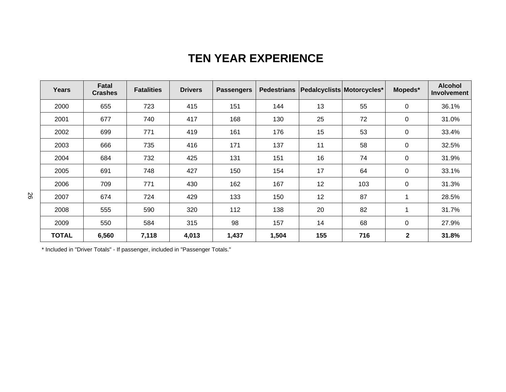## **TEN YEAR EXPERIENCE**

| <b>Years</b> | Fatal<br><b>Crashes</b> | <b>Fatalities</b> | <b>Drivers</b> | <b>Passengers</b> | <b>Pedestrians</b> | Pedalcyclists Motorcycles* |     | Mopeds*      | <b>Alcohol</b><br><b>Involvement</b> |
|--------------|-------------------------|-------------------|----------------|-------------------|--------------------|----------------------------|-----|--------------|--------------------------------------|
| 2000         | 655                     | 723               | 415            | 151               | 144                | 13                         | 55  | $\mathbf 0$  | 36.1%                                |
| 2001         | 677                     | 740               | 417            | 168               | 130                | 25                         | 72  | $\mathbf 0$  | 31.0%                                |
| 2002         | 699                     | 771               | 419            | 161               | 176                | 15                         | 53  | $\mathbf 0$  | 33.4%                                |
| 2003         | 666                     | 735               | 416            | 171               | 137                | 11                         | 58  | $\mathbf 0$  | 32.5%                                |
| 2004         | 684                     | 732               | 425            | 131               | 151                | 16                         | 74  | 0            | 31.9%                                |
| 2005         | 691                     | 748               | 427            | 150               | 154                | 17                         | 64  | $\mathbf 0$  | 33.1%                                |
| 2006         | 709                     | 771               | 430            | 162               | 167                | 12                         | 103 | 0            | 31.3%                                |
| 2007         | 674                     | 724               | 429            | 133               | 150                | 12                         | 87  | 1            | 28.5%                                |
| 2008         | 555                     | 590               | 320            | 112               | 138                | 20                         | 82  | 1            | 31.7%                                |
| 2009         | 550                     | 584               | 315            | 98                | 157                | 14                         | 68  | 0            | 27.9%                                |
| <b>TOTAL</b> | 6,560                   | 7,118             | 4,013          | 1,437             | 1,504              | 155                        | 716 | $\mathbf{2}$ | 31.8%                                |

\* Included in "Driver Totals" - If passenger, included in "Passenger Totals."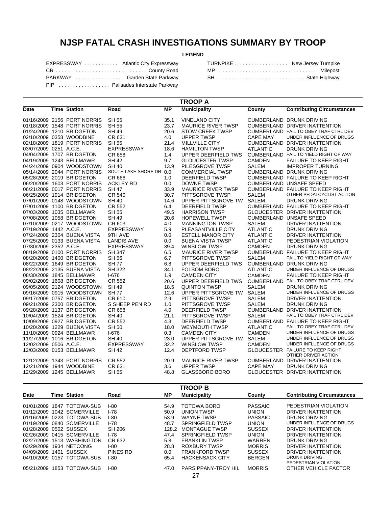## **NJSP FATAL CRASH INVESTIGATIONS SUMMARY BY TROOP**

#### **LEGEND**

| EXPRESSWAY  Atlantic City Expressway |  |
|--------------------------------------|--|
| CR  County Road                      |  |
| PARKWAY  Garden State Parkway        |  |
| PIP  Palisades Interstate Parkway    |  |

| TURNPIKE New Jersey Turnpike |  |
|------------------------------|--|
| MP  Milepost                 |  |
| SH  State Highway            |  |

| <b>TROOP A</b>         |  |                             |                         |           |                           |                 |                                         |  |
|------------------------|--|-----------------------------|-------------------------|-----------|---------------------------|-----------------|-----------------------------------------|--|
| Date                   |  | <b>Time Station</b>         | Road                    | <b>MP</b> | <b>Municipality</b>       | County          | <b>Contributing Circumstances</b>       |  |
|                        |  | 01/16/2009 2156 PORT NORRIS | <b>SH 55</b>            | 35.1      | <b>VINELAND CITY</b>      |                 | <b>CUMBERLAND DRUNK DRIVING</b>         |  |
|                        |  | 01/18/2009 1548 PORT NORRIS | <b>SH 55</b>            | 23.7      | <b>MAURICE RIVER TWSP</b> |                 | CUMBERLAND DRIVER INATTENTION           |  |
|                        |  | 01/24/2009 1210 BRIDGETON   | <b>SH 49</b>            | 20.6      | <b>STOW CREEK TWSP</b>    |                 | CUMBERLAND FAIL TO OBEY TRAF CTRL DEV   |  |
|                        |  | 02/10/2009 0358 WOODBINE    | CR 631                  | 4.0       | <b>UPPER TWSP</b>         | <b>CAPE MAY</b> | UNDER INFLUENCE OF DRUGS                |  |
|                        |  | 02/18/2009 1819 PORT NORRIS | <b>SH 55</b>            | 21.4      | MILLVILLE CITY            |                 | <b>CUMBERLAND DRIVER INATTENTION</b>    |  |
| 03/07/2009 0251 A.C.E. |  |                             | <b>EXPRESSWAY</b>       | 18.6      | <b>HAMILTON TWSP</b>      | <b>ATLANTIC</b> | <b>DRUNK DRIVING</b>                    |  |
|                        |  | 04/04/2009 1707 BRIDGETON   | CR 658                  | 1.4       | UPPER DEERFIELD TWS       |                 | CUMBERLAND FAIL TO YIELD RIGHT OF WAY   |  |
|                        |  | 04/19/2009 1243 BELLMAWR    | <b>SH 42</b>            | 9.7       | <b>GLOUCESTER TWSP</b>    | <b>CAMDEN</b>   | <b>FAILURE TO KEEP RIGHT</b>            |  |
|                        |  | 04/24/2009 0904 WOODSTOWN   | <b>SH 40</b>            | 13.9      | PILESGROVE TWSP           | <b>SALEM</b>    | <b>IMPROPER TURNING</b>                 |  |
|                        |  | 05/14/2009 2044 PORT NORRIS | SOUTH LAKE SHORE DR 0.0 |           | <b>COMMERCIAL TWSP</b>    |                 | <b>CUMBERLAND DRUNK DRIVING</b>         |  |
|                        |  | 05/28/2009 2019 BRIDGETON   | CR 666                  | 1.0       | <b>DEERFIELD TWSP</b>     |                 | CUMBERLAND FAILURE TO KEEP RIGHT        |  |
|                        |  | 06/20/2009 1603 PORT NORRIS | <b>ACKLEY RD</b>        | 0.0       | <b>DOWNE TWSP</b>         |                 | <b>CUMBERLAND UNSAFE SPEED</b>          |  |
|                        |  | 06/21/2009 0017 PORT NORRIS | <b>SH 47</b>            | 33.9      | <b>MAURICE RIVER TWSP</b> |                 | <b>CUMBERLAND FAILURE TO KEEP RIGHT</b> |  |
|                        |  | 06/25/2009 1914 BRIDGETON   | <b>CR 540</b>           | 30.7      | PITTSGROVE TWSP           | <b>SALEM</b>    | OTHER PEDALCYCLIST ACTION               |  |
|                        |  |                             |                         |           |                           |                 |                                         |  |
|                        |  | 07/01/2009 0148 WOODSTOWN   | <b>SH 40</b>            | 14.6      | UPPER PITTSGROVE TW       | <b>SALEM</b>    | <b>DRUNK DRIVING</b>                    |  |
|                        |  | 07/01/2009 1100 BRIDGETON   | CR 552                  | 6.4       | <b>DEERFIELD TWSP</b>     |                 | CUMBERLAND FAILURE TO KEEP RIGHT        |  |
|                        |  | 07/03/2009 1035 BELLMAWR    | <b>SH 55</b>            | 49.5      | <b>HARRISON TWSP</b>      |                 | <b>GLOUCESTER DRIVER INATTENTION</b>    |  |
|                        |  | 07/08/2009 1058 BRIDGETON   | <b>SH 49</b>            | 20.6      | <b>HOPEWELL TWSP</b>      |                 | <b>CUMBERLAND UNSAFE SPEED</b>          |  |
|                        |  | 07/10/2009 0217 WOODSTOWN   | CR 603                  | 4.0       | <b>MANNINGTON TWSP</b>    | <b>SALEM</b>    | DRIVER INATTENTION                      |  |
| 07/19/2009 1442 A.C.E. |  |                             | <b>EXPRESSWAY</b>       | 5.9       | PLEASANTVILLE CITY        | <b>ATLANTIC</b> | <b>DRUNK DRIVING</b>                    |  |
|                        |  | 07/24/2009 2304 BUENA VISTA | 9TH AVE                 | 0.0       | <b>ESTELL MANOR CITY</b>  | <b>ATLANTIC</b> | DRIVER INATTENTION                      |  |
|                        |  | 07/25/2009 0133 BUENA VISTA | <b>LANDIS AVE</b>       | 0.0       | <b>BUENA VISTA TWSP</b>   | <b>ATLANTIC</b> | PEDESTRIAN VIOLATION                    |  |
| 07/30/2009 2352 A.C.E. |  |                             | <b>EXPRESSWAY</b>       | 39.4      | <b>WINSLOW TWSP</b>       | CAMDEN          | DRUNK DRIVING                           |  |
|                        |  | 08/19/2009 0100 PORT NORRIS | <b>SH 347</b>           | 6.5       | <b>MAURICE RIVER TWSP</b> |                 | CUMBERLAND FAILURE TO KEEP RIGHT        |  |
|                        |  | 08/20/2009 1400 BRIDGETON   | <b>SH 56</b>            | 6.7       | PITTSGROVE TWSP           | SALEM           | FAIL TO YIELD RIGHT OF WAY              |  |
|                        |  | 08/22/2009 1649 BRIDGETON   | SH 77                   | 6.8       | UPPER DEERFIELD TWS       |                 | <b>CUMBERLAND DRUNK DRIVING</b>         |  |
|                        |  | 08/22/2009 2135 BUENA VISTA | <b>SH 322</b>           | 34.1      | <b>FOLSOM BORO</b>        | <b>ATLANTIC</b> | UNDER INFLUENCE OF DRUGS                |  |
|                        |  | 08/30/2009 1845 BELLMAWR    | $I-676$                 | 1.9       | <b>CAMDEN CITY</b>        | <b>CAMDEN</b>   | <b>FAILURE TO KEEP RIGHT</b>            |  |
|                        |  | 09/02/2009 1608 BRIDGETON   | <b>CR 552</b>           | 20.6      | UPPER DEERFIELD TWS       |                 | CUMBERLAND FAIL TO OBEY TRAF CTRL DEV   |  |
|                        |  | 09/05/2009 2124 WOODSTOWN   | <b>SH 49</b>            | 18.5      | <b>QUINTON TWSP</b>       | <b>SALEM</b>    | <b>DRUNK DRIVING</b>                    |  |
|                        |  | 09/16/2009 0915 WOODSTOWN   | <b>SH77</b>             | 12.6      | UPPER PITTSGROVE TW       | <b>SALEM</b>    | UNDER INFLUENCE OF DRUGS                |  |
|                        |  | 09/17/2009 0757 BRIDGETON   | CR 610                  | 2.9       | PITTSGROVE TWSP           | <b>SALEM</b>    | DRIVER INATTENTION                      |  |
|                        |  | 09/21/2009 2300 BRIDGETON   | S SHEEP PEN RD          | 1.0       | PITTSGROVE TWSP           | <b>SALEM</b>    | <b>DRUNK DRIVING</b>                    |  |
|                        |  | 09/28/2009 1137 BRIDGETON   | CR 658                  | 4.0       | <b>DEERFIELD TWSP</b>     |                 | <b>CUMBERLAND DRIVER INATTENTION</b>    |  |
|                        |  | 10/04/2009 1524 BRIDGETON   | <b>SH 40</b>            | 21.1      | PITTSGROVE TWSP           | <b>SALEM</b>    | FAIL TO OBEY TRAF CTRL DEV              |  |
|                        |  | 10/09/2009 0927 BRIDGETON   | CR 552                  | 4.3       | DEERFIELD TWSP            |                 | <b>CUMBERLAND FAILURE TO KEEP RIGHT</b> |  |
|                        |  | 10/20/2009 1229 BUENA VISTA | <b>SH 50</b>            | 18.0      | <b>WEYMOUTH TWSP</b>      | <b>ATLANTIC</b> | FAIL TO OBEY TRAF CTRL DEV              |  |
|                        |  | 11/10/2009 0924 BELLMAWR    | $I-676$                 | 0.3       | <b>CAMDEN CITY</b>        | <b>CAMDEN</b>   | UNDER INFLUENCE OF DRUGS                |  |
|                        |  | 11/27/2009 1016 BRIDGETON   | <b>SH 40</b>            | 23.0      | UPPER PITTSGROVE TW       | <b>SALEM</b>    | UNDER INFLUENCE OF DRUGS                |  |
| 12/02/2009 0506 A.C.E. |  |                             | <b>EXPRESSWAY</b>       | 32.2      | <b>WINSLOW TWSP</b>       | <b>CAMDEN</b>   | UNDER INFLUENCE OF DRUGS                |  |
|                        |  | 12/03/2009 0153 BELLMAWR    | SH 42                   | 12.4      | <b>DEPTFORD TWSP</b>      |                 | GLOUCESTER FAILURE TO KEEP RIGHT,       |  |
|                        |  |                             |                         |           |                           |                 | OTHER DRIVER ACTION                     |  |
|                        |  | 12/12/2009 1343 PORT NORRIS | CR 552                  | 20.9      | <b>MAURICE RIVER TWSP</b> |                 | CUMBERLAND DRIVER INATTENTION           |  |
|                        |  | 12/21/2009 1944 WOODBINE    | CR 631                  | 3.6       | <b>UPPER TWSP</b>         | <b>CAPE MAY</b> | <b>DRUNK DRIVING</b>                    |  |
|                        |  | 12/29/2009 1245 BELLMAWR    | <b>SH 55</b>            | 48.8      | <b>GLASSBORO BORO</b>     |                 | GLOUCESTER DRIVER INATTENTION           |  |

|                        |      |                            |          |       | <b>TROOP B</b>         |                |                                   |
|------------------------|------|----------------------------|----------|-------|------------------------|----------------|-----------------------------------|
| Date                   |      | <b>Time Station</b>        | Road     | MP.   | <b>Municipality</b>    | County         | <b>Contributing Circumstances</b> |
| 01/01/2009             |      | 1847 TOTOWA-SUB            | I-80     | 54.9  | TOTOWA BORO            | <b>PASSAIC</b> | PEDESTRIAN VIOLATION              |
| 01/12/2009             |      | 1042 SOMERVILLE            | I-78     | 50.9  | <b>UNION TWSP</b>      | <b>UNION</b>   | DRIVER INATTENTION                |
|                        |      | 01/16/2009 0223 TOTOWA-SUB | $1-80$   | 53.9  | <b>WAYNE TWSP</b>      | <b>PASSAIC</b> | DRUNK DRIVING                     |
| 01/19/2009             |      | 0840 SOMERVILLE            | $1-78$   | 48.7  | SPRINGFIELD TWSP       | <b>UNION</b>   | UNDER INFLUENCE OF DRUGS          |
| 01/28/2009 0502 SUSSEX |      |                            | SH 206   | 128.2 | <b>MONTAGUE TWSP</b>   | <b>SUSSEX</b>  | DRIVER INATTENTION                |
|                        |      | 02/26/2009 0415 SOMERVILLE | I-78     | 47.4  | SPRINGFIELD TWSP       | <b>UNION</b>   | DRIVER INATTENTION                |
| 02/27/2009             |      | 1513 WASHINGTON            | CR 632   | 5.8   | <b>FRANKLIN TWSP</b>   | <b>WARREN</b>  | DRUNK DRIVING                     |
| 03/29/2009             |      | 1934 NETCONG               | I-80     | 28.8  | ROXBURY TWSP           | <b>MORRIS</b>  | DRIVER INATTENTION                |
| 04/09/2009             | 1401 | SUSSEX                     | PINES RD | 0.0   | <b>FRANKFORD TWSP</b>  | <b>SUSSEX</b>  | DRIVER INATTENTION                |
| 04/10/2009             | 0157 | TOTOWA-SUB                 | $1-80$   | 65.4  | <b>HACKENSACK CITY</b> | <b>BERGEN</b>  | DRUNK DRIVING.                    |
|                        |      |                            |          |       |                        |                | PEDESTRIAN VIOLATION              |
| 05/21/2009             | 1853 | <b>TOTOWA-SUB</b>          | $1-80$   | 47.0  | PARSIPPANY-TROY HIL    | <b>MORRIS</b>  | OTHER VEHICLE FACTOR              |
|                        |      |                            |          |       | 27                     |                |                                   |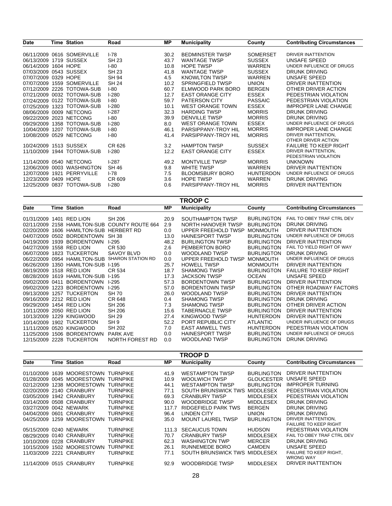| <b>Date</b>            |      | Time Station               | Road    | МP   | <b>Municipality</b>     | County           | <b>Contributing Circumstances</b> |
|------------------------|------|----------------------------|---------|------|-------------------------|------------------|-----------------------------------|
|                        |      |                            |         |      |                         |                  |                                   |
|                        |      | 06/11/2009 0616 SOMERVILLE | $1-78$  | 30.2 | <b>BEDMINSTER TWSP</b>  | <b>SOMERSET</b>  | DRIVER INATTENTION                |
| 06/13/2009             |      | 1719 SUSSEX                | SH 23   | 43.7 | <b>WANTAGE TWSP</b>     | <b>SUSSEX</b>    | UNSAFE SPEED                      |
| 06/14/2009 1604 HOPE   |      |                            | I-80    | 10.8 | <b>HOPE TWSP</b>        | <b>WARREN</b>    | UNDER INFLUENCE OF DRUGS          |
| 07/03/2009 0543 SUSSEX |      |                            | SH 23   | 41.8 | <b>WANTAGE TWSP</b>     | <b>SUSSEX</b>    | <b>DRUNK DRIVING</b>              |
| 07/07/2009 0329 HOPE   |      |                            | SH 94   | 4.5  | <b>KNOWLTON TWSP</b>    | <b>WARREN</b>    | UNSAFE SPEED                      |
|                        |      | 07/07/2009 1559 SOMERVILLE | SH 24   | 10.2 | SPRINGFIELD TWSP        | <b>UNION</b>     | DRIVER INATTENTION                |
|                        |      | 07/12/2009 2226 TOTOWA-SUB | $I-80$  | 60.7 | ELMWOOD PARK BORO       | <b>BERGEN</b>    | OTHER DRIVER ACTION               |
|                        |      | 07/21/2009 0032 TOTOWA-SUB | l-280   | 12.7 | <b>EAST ORANGE CITY</b> | <b>ESSEX</b>     | PEDESTRIAN VIOLATION              |
|                        |      | 07/24/2009 0122 TOTOWA-SUB | $I-80$  | 59.7 | <b>PATERSON CITY</b>    | <b>PASSAIC</b>   | PEDESTRIAN VIOLATION              |
|                        |      | 07/25/2009 1323 TOTOWA-SUB | l-280   | 10.1 | <b>WEST ORANGE TOWN</b> | <b>ESSEX</b>     | <b>IMPROPER LANE CHANGE</b>       |
|                        |      | 08/06/2009 0009 NETCONG    | $1-287$ | 32.3 | <b>HARDING TWSP</b>     | <b>MORRIS</b>    | <b>DRUNK DRIVING</b>              |
|                        |      | 09/22/2009 2023 NETCONG    | I-80    | 39.9 | <b>DENVILLE TWSP</b>    | <b>MORRIS</b>    | <b>DRUNK DRIVING</b>              |
| 09/29/2009             |      | 1358 TOTOWA-SUB            | $1-280$ | 8.0  | <b>WEST ORANGE TOWN</b> | <b>ESSEX</b>     | UNDER INFLUENCE OF DRUGS          |
| 10/04/2009             |      | 1207 TOTOWA-SUB            | I-80    | 46.1 | PARSIPPANY-TROY HIL     | <b>MORRIS</b>    | <b>IMPROPER LANE CHANGE</b>       |
|                        |      | 10/08/2009 0529 NETCONG    | I-80    | 41.4 | PARSIPPANY-TROY HIL     | <b>MORRIS</b>    | DRIVER INATTENTION,               |
|                        |      |                            |         |      |                         |                  | OTHER DRIVER ACTION               |
| 10/24/2009             |      | 1513 SUSSEX                | CR 626  | 3.2  | <b>HAMPTON TWSP</b>     | <b>SUSSEX</b>    | <b>FAILURE TO KEEP RIGHT</b>      |
| 11/10/2009             |      | 1944 TOTOWA-SUB            | $1-280$ | 12.2 | <b>EAST ORANGE CITY</b> | <b>ESSEX</b>     | DRIVER INATTENTION.               |
|                        |      |                            |         |      |                         |                  | PEDESTRIAN VIOLATION              |
|                        |      | 11/14/2009 0540 NETCONG    | $1-287$ | 49.2 | <b>MONTVILLE TWSP</b>   | <b>MORRIS</b>    | <b>UNKNOWN</b>                    |
| 12/06/2009 0003        |      | WASHINGTON                 | SH 46   | 9.8  | <b>WHITE TWSP</b>       | <b>WARREN</b>    | DRIVER INATTENTION                |
| 12/07/2009             | 1921 | PERRYVILLE                 | $1-78$  | 7.5  | <b>BLOOMSBURY BORO</b>  | <b>HUNTERDON</b> | UNDER INFLUENCE OF DRUGS          |
| 12/23/2009 0409 HOPE   |      |                            | CR 609  | 3.6  | <b>HOPE TWSP</b>        | <b>WARREN</b>    | <b>DRUNK DRIVING</b>              |
|                        |      | 12/25/2009 0837 TOTOWA-SUB | $1-280$ | 0.6  | PARSIPPANY-TROY HIL     | <b>MORRIS</b>    | DRIVER INATTENTION                |

|            | TROOP C |                     |                          |      |                        |                   |                                   |  |  |
|------------|---------|---------------------|--------------------------|------|------------------------|-------------------|-----------------------------------|--|--|
| Date       |         | <b>Time Station</b> | Road                     | MР   | <b>Municipality</b>    | County            | <b>Contributing Circumstances</b> |  |  |
| 01/31/2009 | 1401    | <b>RED LION</b>     | <b>SH 206</b>            | 20.9 | SOUTHAMPTON TWSP       | <b>BURLINGTON</b> | FAIL TO OBEY TRAF CTRL DEV        |  |  |
| 02/11/2009 | 2158    | <b>HAMILTON-SUB</b> | <b>COUNTY ROUTE 664</b>  | 2.9  | NORTH HANOVER TWSP     | <b>BURLINGTON</b> | <b>DRUNK DRIVING</b>              |  |  |
| 02/20/2009 | 1606    | <b>HAMILTON-SUB</b> | <b>HERBERT RD</b>        | 0.0  | UPPER FREEHOLD TWSP    | <b>MONMOUTH</b>   | DRIVER INATTENTION                |  |  |
| 04/07/2009 | 0502    | <b>BORDENTOWN</b>   | <b>SH 38</b>             | 13.0 | <b>HAINESPORT TWSP</b> | <b>BURLINGTON</b> | UNDER INFLUENCE OF DRUGS          |  |  |
| 04/19/2009 | 1939    | <b>BORDENTOWN</b>   | $1-295$                  | 48.2 | <b>BURLINGTON TWSP</b> | <b>BURLINGTON</b> | DRIVER INATTENTION                |  |  |
| 04/27/2009 | 1558    | <b>RED LION</b>     | CR 530                   | 2.6  | PEMBERTON BORO         | <b>BURLINGTON</b> | FAIL TO YIELD RIGHT OF WAY        |  |  |
| 06/07/2009 | 1823    | <b>TUCKERTON</b>    | <b>SAVOY BLVD</b>        | 0.0  | <b>WOODLAND TWSP</b>   | <b>BURLINGTON</b> | <b>DRUNK DRIVING</b>              |  |  |
| 06/22/2009 | 0954    | <b>HAMILTON-SUB</b> | <b>SHARON STATION RD</b> | 0.0  | UPPER FREEHOLD TWSP    | <b>MONMOUTH</b>   | UNDER INFLUENCE OF DRUGS          |  |  |
| 06/26/2009 | 350     | <b>HAMILTON-SUB</b> | $1 - 195$                | 25.7 | <b>HOWELL TWSP</b>     | <b>MONMOUTH</b>   | DRIVER INATTENTION                |  |  |
| 08/19/2009 |         | 1518 RED LION       | CR 534                   | 18.7 | <b>SHAMONG TWSP</b>    | <b>BURLINGTON</b> | <b>FAILURE TO KEEP RIGHT</b>      |  |  |
| 08/28/2009 |         | 1619 HAMILTON-SUB   | $1 - 195$                | 17.3 | <b>JACKSON TWSP</b>    | <b>OCEAN</b>      | UNSAFE SPEED                      |  |  |
| 09/02/2009 | 0411    | <b>BORDENTOWN</b>   | $1-295$                  | 57.3 | <b>BORDENTOWN TWSP</b> | <b>BURLINGTON</b> | DRIVER INATTENTION                |  |  |
| 09/02/2009 | 223     | <b>BORDENTOWN</b>   | $1-295$                  | 57.0 | <b>BORDENTOWN TWSP</b> | <b>BURLINGTON</b> | OTHER ROADWAY FACTORS             |  |  |
| 09/13/2009 | 257     | <b>TUCKERTON</b>    | <b>SH 70</b>             | 26.0 | <b>WOODLAND TWSP</b>   | <b>BURLINGTON</b> | DRIVER INATTENTION                |  |  |
| 09/16/2009 |         | 2212 RED LION       | CR 648                   | 0.4  | <b>SHAMONG TWSP</b>    | <b>BURLINGTON</b> | DRUNK DRIVING                     |  |  |
| 09/29/2009 | 1454    | RED LION            | <b>SH 206</b>            | 7.3  | <b>SHAMONG TWSP</b>    | <b>BURLINGTON</b> | OTHER DRIVER ACTION               |  |  |
| 10/11/2009 | 2050    | <b>RED LION</b>     | <b>SH 206</b>            | 15.6 | <b>TABERNACLE TWSP</b> | <b>BURLINGTON</b> | DRIVER INATTENTION                |  |  |
| 10/13/2009 | 229     | <b>KINGWOOD</b>     | <b>SH 29</b>             | 27.4 | KINGWOOD TWSP          | <b>HUNTERDON</b>  | DRIVER INATTENTION                |  |  |
| 10/14/2009 | 1902    | <b>TUCKERTON</b>    | SH <sub>9</sub>          | 52.2 | PORT REPUBLIC CITY     | <b>ATLANTIC</b>   | UNDER INFLUENCE OF DRUGS          |  |  |
| 11/11/2009 | 0520    | <b>KINGWOOD</b>     | SH 202                   | 7.0  | <b>EAST AMWELL TWS</b> | <b>HUNTERDON</b>  | PEDESTRIAN VIOLATION              |  |  |
| 11/25/2009 | 1506    | <b>BORDENTOWN</b>   | <b>PARK AVE</b>          | 0.0  | <b>HAINESPORT TWSP</b> | <b>BURLINGTON</b> | UNDER INFLUENCE OF DRUGS          |  |  |
| 12/15/2009 | 2228    | <b>TUCKERTON</b>    | NORTH FOREST RD          | 0.0  | <b>WOODLAND TWSP</b>   | <b>BURLINGTON</b> | <b>DRUNK DRIVING</b>              |  |  |

|                        |      |                          |                 |       | TROOP D                    |                   |                                   |
|------------------------|------|--------------------------|-----------------|-------|----------------------------|-------------------|-----------------------------------|
| Date                   |      | <b>Time Station</b>      | Road            | МP    | <b>Municipality</b>        | County            | <b>Contributing Circumstances</b> |
|                        |      |                          |                 |       |                            |                   |                                   |
| 01/10/2009             | 1639 | MOORESTOWN               | <b>TURNPIKE</b> | 41.9  | <b>WESTAMPTON TWSP</b>     | <b>BURLINGTON</b> | DRIVER INATTENTION                |
| 01/28/2009             | 0045 | <b>MOORESTOWN</b>        | <b>TURNPIKE</b> | 10.9  | WOOLWICH TWSP              | <b>GLOUCESTER</b> | UNSAFE SPEED                      |
| 02/12/2009             | 1238 | <b>MOORESTOWN</b>        | <b>TURNPIKE</b> | 44.1  | <b>WESTAMPTON TWSP</b>     | <b>BURLINGTON</b> | <b>IMPROPER TURNING</b>           |
| 02/20/2009             | 2140 | <b>CRANBURY</b>          | <b>TURNPIKE</b> | 77.1  | SOUTH BRUNSWICK TWS        | <b>MIDDLESEX</b>  | PEDESTRIAN VIOLATION              |
| 03/05/2009             | 1942 | <b>CRANBURY</b>          | <b>TURNPIKE</b> | 69.3  | <b>CRANBURY TWSP</b>       | <b>MIDDLESEX</b>  | PEDESTRIAN VIOLATION              |
| 03/14/2009             | 0508 | <b>CRANBURY</b>          | <b>TURNPIKE</b> | 90.0  | <b>WOODBRIDGE TWSP</b>     | <b>MIDDLESEX</b>  | DRUNK DRIVING                     |
| 03/27/2009             | 0042 | <b>NEWARK</b>            | <b>TURNPIKE</b> | 117.7 | RIDGEFIELD PARK TWS        | <b>BERGEN</b>     | DRUNK DRIVING                     |
| 04/04/2009             | 0601 | <b>CRANBURY</b>          | <b>TURNPIKE</b> | 96.4  | <b>LINDEN CITY</b>         | <b>UNION</b>      | DRUNK DRIVING                     |
| 04/25/2009             | 1259 | <b>MOORESTOWN</b>        | <b>TURNPIKE</b> | 35.0  | MOUNT LAUREL TWSP          | <b>BURLINGTON</b> | DRIVER INATTENTION.               |
|                        |      |                          |                 |       |                            |                   | <b>FAILURE TO KEEP RIGHT</b>      |
| 05/15/2009 0240 NEWARK |      |                          | <b>TURNPIKE</b> | 111.3 | <b>SECAUCUS TOWN</b>       | <b>HUDSON</b>     | PEDESTRIAN VIOLATION              |
| 08/29/2009             | 0140 | <b>CRANBURY</b>          | <b>TURNPIKE</b> | 70.7  | <b>CRANBURY TWSP</b>       | <b>MIDDLESEX</b>  | FAIL TO OBEY TRAF CTRL DEV        |
| 10/10/2009             | 0228 | CRANBURY                 | <b>TURNPIKE</b> | 62.3  | <b>WASHINGTON TWP</b>      | <b>MERCER</b>     | DRUNK DRIVING                     |
| 10/15/2009             | 1502 | <b>MOORESTOWN</b>        | <b>TURNPIKE</b> | 26.1  | <b>RUNNEMEDE BORO</b>      | <b>CAMDEN</b>     | <b>UNSAFE SPEED</b>               |
| 11/03/2009             | 2221 | <b>CRANBURY</b>          | TURNPIKE        | 77.1  | <b>SOUTH BRUNSWICK TWS</b> | <b>MIDDLESEX</b>  | FAILURE TO KEEP RIGHT.            |
|                        |      |                          |                 |       |                            |                   | <b>WRONG WAY</b>                  |
|                        |      | 11/14/2009 0515 CRANBURY | <b>TURNPIKE</b> | 92.9  | <b>WOODBRIDGE TWSP</b>     | <b>MIDDLESEX</b>  | DRIVER INATTENTION                |
|                        |      |                          |                 |       |                            |                   |                                   |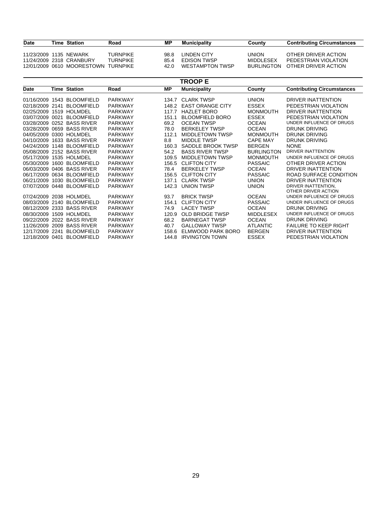| Date                   | Time Station                        | Road            | ΜP   | Municipality       | Countv       | <b>Contributing Circumstances</b> |
|------------------------|-------------------------------------|-----------------|------|--------------------|--------------|-----------------------------------|
| 11/23/2009 1135 NEWARK |                                     | <b>TURNPIKE</b> | 98.8 | <b>LINDEN CITY</b> | <b>UNION</b> | OTHER DRIVER ACTION               |
|                        | 11/24/2009 2318 CRANBURY            | <b>TURNPIKE</b> | 85.4 | <b>FDISON TWSP</b> | MIDDI FSFX   | PEDESTRIAN VIOLATION              |
|                        | 12/01/2009 0610 MOORESTOWN TURNPIKE |                 | 42 N | WESTAMPTON TWSP    | BURI INGTON  | OTHER DRIVER ACTION               |

|                 |      |                            |                |           | <b>TROOP E</b>          |                   |                                   |
|-----------------|------|----------------------------|----------------|-----------|-------------------------|-------------------|-----------------------------------|
| Date            |      | <b>Time Station</b>        | Road           | <b>MP</b> | <b>Municipality</b>     | County            | <b>Contributing Circumstances</b> |
| 01/16/2009      | 1543 | <b>BLOOMFIELD</b>          | <b>PARKWAY</b> | 134.7     | <b>CLARK TWSP</b>       | <b>UNION</b>      | DRIVER INATTENTION                |
|                 |      |                            |                |           |                         |                   |                                   |
| 02/18/2009      | 2141 | BI OOMFIFI D               | <b>PARKWAY</b> | 148.2     | <b>EAST ORANGE CITY</b> | <b>ESSEX</b>      | PEDESTRIAN VIOLATION              |
| 02/25/2009 1519 |      | HOLMDEL                    | <b>PARKWAY</b> | 117.7     | <b>HAZLET BORO</b>      | <b>MONMOUTH</b>   | DRIVER INATTENTION                |
| 03/07/2009 0021 |      | <b>BLOOMFIELD</b>          | <b>PARKWAY</b> | 151.1     | <b>BLOOMFIELD BORO</b>  | <b>ESSEX</b>      | PEDESTRIAN VIOLATION              |
| 03/28/2009 0252 |      | <b>BASS RIVER</b>          | <b>PARKWAY</b> | 69.2      | <b>OCEAN TWSP</b>       | <b>OCEAN</b>      | UNDER INFLUENCE OF DRUGS          |
| 03/28/2009      | 0659 | <b>BASS RIVER</b>          | <b>PARKWAY</b> | 78.0      | <b>BERKELEY TWSP</b>    | <b>OCEAN</b>      | <b>DRUNK DRIVING</b>              |
| 04/05/2009      | 0300 | <b>HOLMDEL</b>             | <b>PARKWAY</b> | 112.1     | <b>MIDDLETOWN TWSP</b>  | <b>MONMOUTH</b>   | <b>DRUNK DRIVING</b>              |
| 04/10/2009      | 1633 | <b>BASS RIVER</b>          | <b>PARKWAY</b> | 8.8       | <b>MIDDLE TWSP</b>      | <b>CAPE MAY</b>   | DRUNK DRIVING                     |
| 04/24/2009      | 1148 | <b>BLOOMFIELD</b>          | <b>PARKWAY</b> | 160.3     | SADDLE BROOK TWSP       | <b>BERGEN</b>     | <b>NONE</b>                       |
|                 |      | 05/08/2009 2152 BASS RIVER | <b>PARKWAY</b> | 54.2      | <b>BASS RIVER TWSP</b>  | <b>BURLINGTON</b> | DRIVER INATTENTION                |
| 05/17/2009      |      | 1535 HOLMDEL               | <b>PARKWAY</b> | 109.5     | <b>MIDDLETOWN TWSP</b>  | <b>MONMOUTH</b>   | UNDER INFLUENCE OF DRUGS          |
| 05/30/2009      | 1600 | <b>BLOOMFIELD</b>          | <b>PARKWAY</b> | 156.5     | <b>CLIFTON CITY</b>     | <b>PASSAIC</b>    | OTHER DRIVER ACTION               |
| 06/03/2009      | 0406 | <b>BASS RIVER</b>          | <b>PARKWAY</b> | 78.4      | <b>BERKELEY TWSP</b>    | <b>OCEAN</b>      | DRIVER INATTENTION                |
| 06/17/2009      | 0634 | <b>BLOOMFIELD</b>          | <b>PARKWAY</b> | 156.5     | <b>CLIFTON CITY</b>     | <b>PASSAIC</b>    | ROAD SURFACE CONDITION            |
| 06/21/2009      | 1030 | <b>BLOOMFIELD</b>          | <b>PARKWAY</b> | 137.1     | <b>CLARK TWSP</b>       | <b>UNION</b>      | DRIVER INATTENTION                |
| 07/07/2009 0448 |      | <b>BLOOMFIELD</b>          | <b>PARKWAY</b> | 142.3     | <b>UNION TWSP</b>       | <b>UNION</b>      | DRIVER INATTENTION.               |
|                 |      |                            |                |           |                         |                   | OTHER DRIVER ACTION               |
| 07/24/2009      |      | 2038 HOLMDEL               | <b>PARKWAY</b> | 93.7      | <b>BRICK TWSP</b>       | <b>OCEAN</b>      | UNDER INFLUENCE OF DRUGS          |
| 08/03/2009 2140 |      | <b>BLOOMFIELD</b>          | <b>PARKWAY</b> | 154.1     | <b>CLIFTON CITY</b>     | <b>PASSAIC</b>    | UNDER INFLUENCE OF DRUGS          |
| 08/12/2009      | 2333 | <b>BASS RIVER</b>          | <b>PARKWAY</b> | 74.9      | <b>LACEY TWSP</b>       | <b>OCEAN</b>      | DRUNK DRIVING                     |
| 08/30/2009      | 1509 | <b>HOLMDEL</b>             | <b>PARKWAY</b> | 120.9     | <b>OLD BRIDGE TWSP</b>  | <b>MIDDLESEX</b>  | UNDER INFLUENCE OF DRUGS          |
| 09/22/2009      | 2022 | <b>BASS RIVER</b>          | <b>PARKWAY</b> | 68.2      | <b>BARNEGAT TWSP</b>    | <b>OCEAN</b>      | <b>DRUNK DRIVING</b>              |
| 11/26/2009      | 2009 | <b>BASS RIVER</b>          | <b>PARKWAY</b> | 40.7      | <b>GALLOWAY TWSP</b>    | <b>ATLANTIC</b>   | <b>FAILURE TO KEEP RIGHT</b>      |
| 12/17/2009      | 2241 | <b>BLOOMFIELD</b>          | <b>PARKWAY</b> | 158.6     | ELMWOOD PARK BORO       | <b>BERGEN</b>     | DRIVER INATTENTION                |
| 12/18/2009 0401 |      | <b>BLOOMFIELD</b>          | <b>PARKWAY</b> | 144.8     | <b>IRVINGTON TOWN</b>   | <b>ESSEX</b>      | PEDESTRIAN VIOLATION              |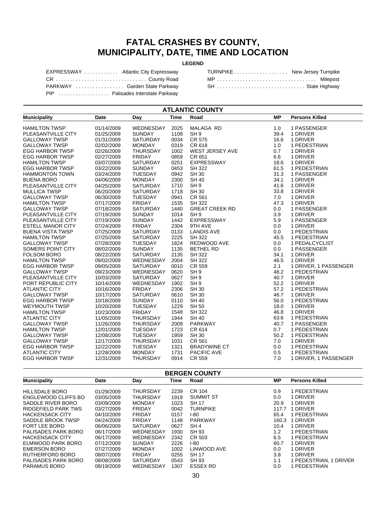#### **FATAL CRASHES BY COUNTY, MUNICIPALITY, DATE, TIME AND LOCATION**

#### **LEGEND**

| EXPRESSWAY  Atlantic City Expressway |  |
|--------------------------------------|--|
| CR County Road                       |  |
| PARKWAY  Garden State Parkway        |  |
| PIP  Palisades Interstate Parkway    |  |

| TURNPIKE New Jersey Turnpike |  |
|------------------------------|--|
| MP  Milepost                 |  |
| SH  State Highway            |  |

| <b>ATLANTIC COUNTY</b>   |            |                 |             |                        |           |                       |  |  |
|--------------------------|------------|-----------------|-------------|------------------------|-----------|-----------------------|--|--|
| <b>Municipality</b>      | Date       | Day             | <b>Time</b> | Road                   | <b>MP</b> | <b>Persons Killed</b> |  |  |
| <b>HAMILTON TWSP</b>     | 01/14/2009 | WEDNESDAY       | 2025        | <b>MALAGA RD</b>       | 1.0       | 1 PASSENGER           |  |  |
| PLEASANTVILLE CITY       | 01/25/2009 | <b>SUNDAY</b>   | 1108        | SH <sub>9</sub>        | 39.4      | 1 DRIVER              |  |  |
| <b>GALLOWAY TWSP</b>     | 01/31/2009 | SATURDAY        | 0034        | <b>CR 575</b>          | 16.6      | 1 DRIVER              |  |  |
| <b>GALLOWAY TWSP</b>     | 02/02/2009 | <b>MONDAY</b>   | 0319        | CR 618                 | 1.0       | 1 PEDESTRIAN          |  |  |
| <b>EGG HARBOR TWSP</b>   | 02/26/2009 | THURSDAY        | 1002        | <b>WEST JERSEY AVE</b> | 0.7       | 1 DRIVER              |  |  |
| <b>EGG HARBOR TWSP</b>   | 02/27/2009 | <b>FRIDAY</b>   | 0859        | CR 651                 | 6.6       | 1 DRIVER              |  |  |
| <b>HAMILTON TWSP</b>     | 03/07/2009 | <b>SATURDAY</b> | 0251        | <b>EXPRESSWAY</b>      | 18.6      | 1 DRIVER              |  |  |
| <b>EGG HARBOR TWSP</b>   | 03/22/2009 | <b>SUNDAY</b>   | 0453        | <b>SH 322</b>          | 61.5      | 1 PEDESTRIAN          |  |  |
| <b>HAMMONTON TOWN</b>    | 03/24/2009 | <b>TUESDAY</b>  | 0942        | <b>SH 30</b>           | 31.3      | 1 PASSENGER           |  |  |
| <b>BUENA BORO</b>        | 04/06/2009 | <b>MONDAY</b>   | 2300        | <b>SH 40</b>           | 34.1      | 1 DRIVER              |  |  |
| PLEASANTVILLE CITY       | 04/25/2009 | SATURDAY        | 1710        | SH <sub>9</sub>        | 41.6      | 1 DRIVER              |  |  |
| <b>MULLICA TWSP</b>      | 06/20/2009 | SATURDAY        | 1718        | SH 30                  | 33.8      | 1 DRIVER              |  |  |
| <b>GALLOWAY TWSP</b>     | 06/30/2009 | <b>TUESDAY</b>  | 0941        | CR 561                 | 7.0       | 1 DRIVER              |  |  |
| <b>HAMILTON TWSP</b>     | 07/17/2009 | <b>FRIDAY</b>   | 1535        | SH 322                 | 47.3      | 1 DRIVER              |  |  |
| <b>GALLOWAY TWSP</b>     | 07/18/2009 | <b>SATURDAY</b> | 1440        | <b>GREAT CREEK RD</b>  | 0.0       | 1 PASSENGER           |  |  |
| PLEASANTVILLE CITY       | 07/19/2009 | <b>SUNDAY</b>   | 1014        | SH <sub>9</sub>        | 3.9       | 1 DRIVER              |  |  |
| PLEASANTVILLE CITY       | 07/19/2009 | <b>SUNDAY</b>   | 1442        | EXPRESSWAY             | 5.9       | 1 PASSENGER           |  |  |
| <b>ESTELL MANOR CITY</b> | 07/24/2009 | <b>FRIDAY</b>   | 2304        | 9TH AVE                | 0.0       | 1 DRIVER              |  |  |
| <b>BUENA VISTA TWSP</b>  | 07/25/2009 | SATURDAY        | 0133        | <b>LANDIS AVE</b>      | 0.0       | 1 PEDESTRIAN          |  |  |
| <b>HAMILTON TWSP</b>     | 07/25/2009 | SATURDAY        | 2225        | <b>SH 322</b>          | 45.5      | 1 PEDESTRIAN          |  |  |
| <b>GALLOWAY TWSP</b>     | 07/28/2009 | <b>TUESDAY</b>  | 1824        | REDWOOD AVE            | 0.0       | 1 PEDALCYCLIST        |  |  |
| SOMERS POINT CITY        | 08/02/2009 | <b>SUNDAY</b>   | 1135        | <b>BETHEL RD</b>       | 0.0       | 1 PASSENGER           |  |  |
| <b>FOLSOM BORO</b>       | 08/22/2009 | SATURDAY        | 2135        | <b>SH 322</b>          | 34.1      | 1 DRIVER              |  |  |
| <b>HAMILTON TWSP</b>     | 09/02/2009 | WEDNESDAY       | 2004        | <b>SH 322</b>          | 46.5      | 1 DRIVER              |  |  |
| <b>EGG HARBOR TWSP</b>   | 09/05/2009 | <b>SATURDAY</b> | 0010        | CR 559                 | 2.1       | 1 DRIVER, 1 PASSENGER |  |  |
| <b>GALLOWAY TWSP</b>     | 09/23/2009 | WEDNESDAY       | 0620        | SH <sub>9</sub>        | 48.2      | 1 PEDESTRIAN          |  |  |
| PLEASANTVILLE CITY       | 10/03/2009 | <b>SATURDAY</b> | 0627        | SH <sub>9</sub>        | 40.7      | 1 DRIVER              |  |  |
| PORT REPUBLIC CITY       | 10/14/2009 | WEDNESDAY       | 1902        | SH <sub>9</sub>        | 52.2      | 1 DRIVER              |  |  |
| <b>ATLANTIC CITY</b>     | 10/16/2009 | <b>FRIDAY</b>   | 2306        | <b>SH 30</b>           | 57.2      | 1 PEDESTRIAN          |  |  |
| <b>GALLOWAY TWSP</b>     | 10/17/2009 | SATURDAY        | 0610        | <b>SH 30</b>           | 46.7      | 1 DRIVER              |  |  |
| <b>EGG HARBOR TWSP</b>   | 10/18/2009 | <b>SUNDAY</b>   | 0110        | <b>SH 40</b>           | 56.0      | 1 PEDESTRIAN          |  |  |
| <b>WEYMOUTH TWSP</b>     | 10/20/2009 | <b>TUESDAY</b>  | 1229        | <b>SH 50</b>           | 18.0      | 1 DRIVER              |  |  |
| <b>HAMILTON TWSP</b>     | 10/23/2009 | <b>FRIDAY</b>   | 1548        | SH 322                 | 46.8      | 1 DRIVER              |  |  |
| <b>ATLANTIC CITY</b>     | 11/05/2009 | <b>THURSDAY</b> | 1944        | <b>SH 40</b>           | 63.6      | 1 PEDESTRIAN          |  |  |
| <b>GALLOWAY TWSP</b>     | 11/26/2009 | <b>THURSDAY</b> | 2009        | <b>PARKWAY</b>         | 40.7      | 1 PASSENGER           |  |  |
| <b>HAMILTON TWSP</b>     | 12/01/2009 | <b>TUESDAY</b>  | 1723        | CR 614                 | 0.7       | 1 PEDESTRIAN          |  |  |
| <b>GALLOWAY TWSP</b>     | 12/08/2009 | <b>TUESDAY</b>  | 1959        | <b>SH 30</b>           | 50.2      | 1 PEDESTRIAN          |  |  |
| <b>GALLOWAY TWSP</b>     | 12/17/2009 | <b>THURSDAY</b> | 1031        | CR 561                 | 7.0       | 1 DRIVER              |  |  |
| <b>EGG HARBOR TWSP</b>   | 12/22/2009 | <b>TUESDAY</b>  | 1321        | <b>BRADYWINE CT</b>    | 0.0       | 1 PEDESTRIAN          |  |  |
| <b>ATLANTIC CITY</b>     | 12/28/2009 | <b>MONDAY</b>   | 1731        | PACIFIC AVE            | 0.5       | 1 PEDESTRIAN          |  |  |
| <b>EGG HARBOR TWSP</b>   | 12/31/2009 | <b>THURSDAY</b> | 0914        | <b>CR 559</b>          | 7.0       | 1 DRIVER, 1 PASSENGER |  |  |

| <b>BERGEN COUNTY</b>   |            |                 |      |                  |       |                                  |  |  |
|------------------------|------------|-----------------|------|------------------|-------|----------------------------------|--|--|
| <b>Municipality</b>    | Date       | Day             | Time | Road             | МP    | <b>Persons Killed</b>            |  |  |
| HILLSDALE BORO         | 01/29/2009 | THURSDAY        | 2239 | CR 104           | 0.9   | 1 PEDESTRIAN                     |  |  |
| ENGLEWOOD CLIFFS BO    | 03/05/2009 | <b>THURSDAY</b> | 1919 | <b>SUMMIT ST</b> | 0.0   | 1 DRIVER                         |  |  |
| SADDLE RIVER BORO      | 03/09/2009 | <b>MONDAY</b>   | 1023 | <b>SH 17</b>     | 20.9  | 1 DRIVER                         |  |  |
| RIDGEFIELD PARK TWS    | 03/27/2009 | <b>FRIDAY</b>   | 0042 | <b>TURNPIKE</b>  | 117.7 | 1 DRIVER                         |  |  |
| <b>HACKENSACK CITY</b> | 04/10/2009 | <b>FRIDAY</b>   | 0157 | $1-80$           | 65.4  | 1 PEDESTRIAN                     |  |  |
| SADDLE BROOK TWSP      | 04/24/2009 | <b>FRIDAY</b>   | 1148 | <b>PARKWAY</b>   | 160.3 | 1 DRIVER                         |  |  |
| FORT LEE BORO          | 06/06/2009 | <b>SATURDAY</b> | 0627 | SH <sub>4</sub>  | 10.4  | 1 DRIVER                         |  |  |
| PALISADES PARK BORO    | 06/17/2009 | WEDNESDAY       | 1930 | SH 93            | 1.2   | 1 PEDESTRIAN                     |  |  |
| <b>HACKENSACK CITY</b> | 06/17/2009 | WEDNESDAY       | 2342 | CR 503           | 6.5   | 1 PEDESTRIAN                     |  |  |
| ELMWOOD PARK BORO      | 07/12/2009 | <b>SUNDAY</b>   | 2226 | $I-80$           | 60.7  | 1 DRIVER                         |  |  |
| <b>EMERSON BORO</b>    | 07/27/2009 | <b>MONDAY</b>   | 1002 | LINWOOD AVE      | 0.0   | 1 DRIVER                         |  |  |
| RUTHERFORD BORO        | 08/07/2009 | <b>FRIDAY</b>   | 0255 | <b>SH 17</b>     | 3.8   | 1 DRIVER                         |  |  |
| PALISADES PARK BORO    | 08/08/2009 | <b>SATURDAY</b> | 0543 | SH 93            | 1.1   | 1 PEDESTRIAN, 1<br><b>DRIVER</b> |  |  |
| PARAMUS BORO           | 08/19/2009 | WEDNESDAY       | 1307 | <b>ESSEX RD</b>  | 0.0   | 1 PEDESTRIAN                     |  |  |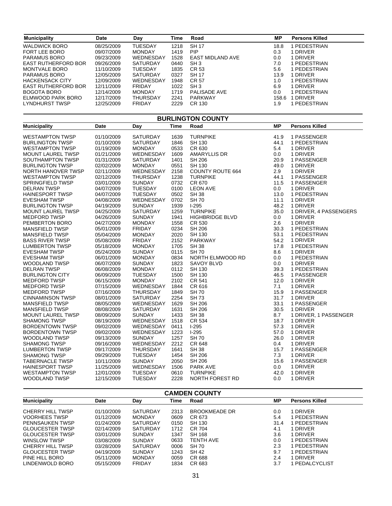| <b>Municipality</b>        | Date       | Day                          | Time        | Road                    | ΜP        | <b>Persons Killed</b>   |  |  |  |  |
|----------------------------|------------|------------------------------|-------------|-------------------------|-----------|-------------------------|--|--|--|--|
|                            |            |                              |             |                         |           |                         |  |  |  |  |
| <b>WALDWICK BORO</b>       | 08/25/2009 | <b>TUESDAY</b>               | 1218        | <b>SH 17</b>            | 18.8      | 1 PEDESTRIAN            |  |  |  |  |
| FORT LEE BORO              | 09/07/2009 | <b>MONDAY</b>                | 1419        | PIP                     | 0.3       | 1 DRIVER                |  |  |  |  |
| PARAMUS BORO               | 09/23/2009 | WEDNESDAY                    | 1528        | EAST MIDLAND AVE        | 0.0       | 1 DRIVER                |  |  |  |  |
| EAST RUTHERFORD BOR        | 09/26/2009 | SATURDAY                     | 0440        | SH <sub>3</sub>         | 7.0       | 1 PEDESTRIAN            |  |  |  |  |
| <b>MONTVALE BORO</b>       | 11/10/2009 | TUESDAY                      | 1835        | <b>CR 53</b>            | 5.6       | 1 PEDESTRIAN            |  |  |  |  |
| PARAMUS BORO               | 12/05/2009 | SATURDAY                     | 0327        | <b>SH 17</b>            | 13.9      | 1 DRIVER                |  |  |  |  |
| <b>HACKENSACK CITY</b>     | 12/09/2009 | WEDNESDAY                    | 1948        | <b>CR 57</b>            | 1.0       | 1 PEDESTRIAN            |  |  |  |  |
| <b>EAST RUTHERFORD BOR</b> | 12/11/2009 | <b>FRIDAY</b>                | 1022        | SH <sub>3</sub>         | 6.9       | 1 DRIVER                |  |  |  |  |
| <b>BOGOTA BORO</b>         | 12/14/2009 | <b>MONDAY</b>                | 1719        | PALISADE AVE            | 0.0       | 1 PEDESTRIAN            |  |  |  |  |
| ELMWOOD PARK BORO          | 12/17/2009 | <b>THURSDAY</b>              | 2241        | PARKWAY                 |           | 158.6 1 DRIVER          |  |  |  |  |
| LYNDHURST TWSP             | 12/25/2009 | <b>FRIDAY</b>                | 2229        | CR 130                  | 1.9       | 1 PEDESTRIAN            |  |  |  |  |
| <b>BURLINGTON COUNTY</b>   |            |                              |             |                         |           |                         |  |  |  |  |
| <b>Municipality</b>        | Date       | Day                          | <b>Time</b> | Road                    | <b>MP</b> | <b>Persons Killed</b>   |  |  |  |  |
| <b>WESTAMPTON TWSP</b>     | 01/10/2009 | SATURDAY                     | 1639        | <b>TURNPIKE</b>         | 41.9      | 1 PASSENGER             |  |  |  |  |
| <b>BURLINGTON TWSP</b>     | 01/10/2009 | SATURDAY                     | 1846        | SH 130                  | 44.1      | 1 PEDESTRIAN            |  |  |  |  |
| <b>WESTAMPTON TWSP</b>     | 01/19/2009 | <b>MONDAY</b>                | 0533        | CR 630                  | 5.4       | 1 DRIVER                |  |  |  |  |
|                            |            |                              |             |                         | 0.0       |                         |  |  |  |  |
| <b>MOUNT LAUREL TWSP</b>   | 01/21/2009 | WEDNESDAY<br><b>SATURDAY</b> | 1609        | <b>AMARYLLIS DR</b>     | 20.9      | 1 DRIVER<br>1 PASSENGER |  |  |  |  |
| SOUTHAMPTON TWSP           | 01/31/2009 |                              | 1401        | <b>SH 206</b>           |           |                         |  |  |  |  |
| <b>BURLINGTON TWSP</b>     | 02/02/2009 | <b>MONDAY</b>                | 0551        | <b>SH 130</b>           | 49.0      | 1 DRIVER                |  |  |  |  |
| NORTH HANOVER TWSP         | 02/11/2009 | WEDNESDAY                    | 2158        | <b>COUNTY ROUTE 664</b> | 2.9       | 1 DRIVER                |  |  |  |  |
| <b>WESTAMPTON TWSP</b>     | 02/12/2009 | <b>THURSDAY</b>              | 1238        | <b>TURNPIKE</b>         | 44.1      | 1 PASSENGER             |  |  |  |  |
| SPRINGFIELD TWSP           | 03/01/2009 | <b>SUNDAY</b>                | 0732        | CR 670                  | 11.5      | 1 PASSENGER             |  |  |  |  |
| <b>DELRAN TWSP</b>         | 04/07/2009 | <b>TUESDAY</b>               | 0100        | <b>LEON AVE</b>         | 0.0       | 1 DRIVER                |  |  |  |  |
| <b>HAINESPORT TWSP</b>     | 04/07/2009 | <b>TUESDAY</b>               | 0502        | <b>SH 38</b>            | 13.0      | 1 PEDESTRIAN            |  |  |  |  |
| <b>EVESHAM TWSP</b>        | 04/08/2009 | WEDNESDAY                    | 0702        | <b>SH 70</b>            | 11.1      | 1 DRIVER                |  |  |  |  |
| <b>BURLINGTON TWSP</b>     | 04/19/2009 | <b>SUNDAY</b>                | 1939        | $1-295$                 | 48.2      | 1 DRIVER                |  |  |  |  |
| MOUNT LAUREL TWSP          | 04/25/2009 | SATURDAY                     | 1259        | <b>TURNPIKE</b>         | 35.0      | 1 DRIVER, 4 PASSENGERS  |  |  |  |  |
| <b>MEDFORD TWSP</b>        | 04/26/2009 | <b>SUNDAY</b>                | 1941        | <b>HIGHBRIDGE BLVD</b>  | 0.0       | 1 DRIVER                |  |  |  |  |
| PEMBERTON BORO             | 04/27/2009 | <b>MONDAY</b>                | 1558        | CR 530                  | 2.6       | 1 DRIVER                |  |  |  |  |
| <b>MANSFIELD TWSP</b>      | 05/01/2009 | <b>FRIDAY</b>                | 0234        | <b>SH 206</b>           | 30.3      | 1 PEDESTRIAN            |  |  |  |  |
| <b>MANSFIELD TWSP</b>      | 05/04/2009 | <b>MONDAY</b>                | 2020        | SH 130                  | 53.1      | 1 PEDESTRIAN            |  |  |  |  |
| <b>BASS RIVER TWSP</b>     | 05/08/2009 | <b>FRIDAY</b>                | 2152        | <b>PARKWAY</b>          | 54.2      | 1 DRIVER                |  |  |  |  |
| <b>LUMBERTON TWSP</b>      | 05/18/2009 | <b>MONDAY</b>                | 1705        | <b>SH 38</b>            | 17.8      | 1 PEDESTRIAN            |  |  |  |  |
| <b>EVESHAM TWSP</b>        | 05/24/2009 | <b>SUNDAY</b>                | 0115        | <b>SH 70</b>            | 8.6       | 1 DRIVER                |  |  |  |  |
| <b>EVESHAM TWSP</b>        | 06/01/2009 | <b>MONDAY</b>                | 0834        | NORTH ELMWOOD RD        | 0.0       | 1 PEDESTRIAN            |  |  |  |  |
| WOODLAND TWSP              | 06/07/2009 | <b>SUNDAY</b>                | 1823        | <b>SAVOY BLVD</b>       | 0.0       | 1 DRIVER                |  |  |  |  |
| <b>DELRAN TWSP</b>         | 06/08/2009 | <b>MONDAY</b>                | 0112        | <b>SH 130</b>           | 39.3      | 1 PEDESTRIAN            |  |  |  |  |
| <b>BURLINGTON CITY</b>     | 06/09/2009 | <b>TUESDAY</b>               | 1500        | <b>SH 130</b>           | 46.5      | 1 PASSENGER             |  |  |  |  |
| <b>MEDFORD TWSP</b>        | 06/15/2009 | <b>MONDAY</b>                | 2102        | CR 541                  | 12.0      | 1 DRIVER                |  |  |  |  |
| <b>MEDFORD TWSP</b>        | 07/15/2009 | WEDNESDAY                    | 1844        | CR 616                  | 7.1       | 1 DRIVER                |  |  |  |  |
| <b>MEDFORD TWSP</b>        | 07/16/2009 | <b>THURSDAY</b>              | 1849        | <b>SH70</b>             | 15.9      | 1 PASSENGER             |  |  |  |  |
| <b>CINNAMINSON TWSP</b>    | 08/01/2009 | SATURDAY                     | 2254        | <b>SH73</b>             | 31.7      | 1 DRIVER                |  |  |  |  |
| <b>MANSFIELD TWSP</b>      | 08/05/2009 | WEDNESDAY                    | 1629        | <b>SH 206</b>           | 33.1      | 1 PASSENGER             |  |  |  |  |
| <b>MANSFIELD TWSP</b>      | 08/08/2009 | SATURDAY                     | 1631        | <b>SH 206</b>           | 30.5      | 1 DRIVER                |  |  |  |  |
| <b>MOUNT LAUREL TWSP</b>   | 08/09/2009 | <b>SUNDAY</b>                | 1433        | <b>SH 38</b>            | 8.7       | 1 DRIVER, 1 PASSENGER   |  |  |  |  |
| <b>SHAMONG TWSP</b>        | 08/19/2009 | WEDNESDAY                    | 1518        | CR 534                  | 18.7      | 1 DRIVER                |  |  |  |  |
| <b>BORDENTOWN TWSP</b>     | 09/02/2009 | WEDNESDAY                    | 0411        | $1-295$                 | 57.3      | 1 DRIVER                |  |  |  |  |
| <b>BORDENTOWN TWSP</b>     | 09/02/2009 | WEDNESDAY                    | 1223        | $1-295$                 | 57.0      | 1 DRIVER                |  |  |  |  |
| <b>WOODLAND TWSP</b>       | 09/13/2009 | <b>SUNDAY</b>                | 1257        | <b>SH70</b>             | 26.0      | 1 DRIVER                |  |  |  |  |
| <b>SHAMONG TWSP</b>        | 09/16/2009 | WEDNESDAY                    | 2212        | CR 648                  | 0.4       | 1 DRIVER                |  |  |  |  |
| <b>LUMBERTON TWSP</b>      | 09/17/2009 | <b>THURSDAY</b>              | 1641        | <b>SH 38</b>            | 15.7      | 1 PASSENGER             |  |  |  |  |
| <b>SHAMONG TWSP</b>        | 09/29/2009 | <b>TUESDAY</b>               | 1454        | <b>SH 206</b>           | 7.3       | 1 DRIVER                |  |  |  |  |
| <b>TABERNACLE TWSP</b>     | 10/11/2009 | <b>SUNDAY</b>                | 2050        | <b>SH 206</b>           | 15.6      | 1 PASSENGER             |  |  |  |  |
| <b>HAINESPORT TWSP</b>     | 11/25/2009 | WEDNESDAY                    | 1506        | <b>PARK AVE</b>         | $0.0\,$   | 1 DRIVER                |  |  |  |  |
| <b>WESTAMPTON TWSP</b>     | 12/01/2009 | <b>TUESDAY</b>               | 0610        | <b>TURNPIKE</b>         | 42.0      | 1 DRIVER                |  |  |  |  |
| <b>WOODLAND TWSP</b>       | 12/15/2009 | <b>TUESDAY</b>               | 2228        | NORTH FOREST RD         | 0.0       | 1 DRIVER                |  |  |  |  |
|                            |            |                              |             |                         |           |                         |  |  |  |  |

| <b>CAMDEN COUNTY</b>   |            |                 |      |                      |           |                       |  |  |
|------------------------|------------|-----------------|------|----------------------|-----------|-----------------------|--|--|
| <b>Municipality</b>    | Date       | Day             | Time | Road                 | <b>MP</b> | <b>Persons Killed</b> |  |  |
| CHERRY HILL TWSP       | 01/10/2009 | <b>SATURDAY</b> | 2313 | <b>BROOKMEADE DR</b> | 0.0       | 1 DRIVER              |  |  |
| <b>VOORHEES TWSP</b>   | 01/12/2009 | <b>MONDAY</b>   | 0609 | CR 673               | 5.4       | 1 PEDESTRIAN          |  |  |
| <b>PENNSAUKEN TWSP</b> | 01/24/2009 | <b>SATURDAY</b> | 0150 | SH 130               | 31.4      | 1 PFDFSTRIAN          |  |  |
| <b>GLOUCESTER TWSP</b> | 02/14/2009 | <b>SATURDAY</b> | 1712 | CR 704               | 4.1       | 1 DRIVER              |  |  |
| <b>GLOUCESTER TWSP</b> | 03/01/2009 | <b>SUNDAY</b>   | 1347 | SH 168               | 3.6       | 1 DRIVER              |  |  |
| WINSLOW TWSP           | 03/08/2009 | <b>SUNDAY</b>   | 0633 | TENTH AVE            | 0.0       | 1 PEDESTRIAN          |  |  |
| CHERRY HILL TWSP       | 03/28/2009 | <b>SATURDAY</b> | 0006 | SH 70                | 2.3       | 1 PEDESTRIAN          |  |  |
| <b>GLOUCESTER TWSP</b> | 04/19/2009 | <b>SUNDAY</b>   | 1243 | SH 42                | 9.7       | 1 PEDESTRIAN          |  |  |
| PINE HILL BORO         | 05/11/2009 | <b>MONDAY</b>   | 0059 | CR 688               | 2.4       | 1 DRIVER              |  |  |
| LINDENWOLD BORO        | 05/15/2009 | <b>FRIDAY</b>   | 1834 | CR 683               | 3.7       | 1 PEDALCYCLIST        |  |  |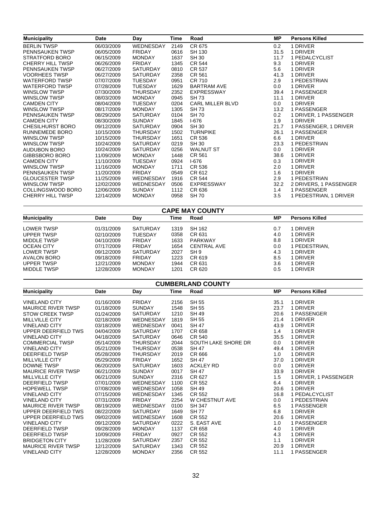| <b>Municipality</b>     | <b>Date</b> | Day              | Time | Road                    | <b>MP</b> | <b>Persons Killed</b>  |
|-------------------------|-------------|------------------|------|-------------------------|-----------|------------------------|
| <b>BERLIN TWSP</b>      | 06/03/2009  | WEDNESDAY        | 2149 | CR 675                  | 0.2       | 1 DRIVER               |
| PENNSAUKEN TWSP         | 06/05/2009  | <b>FRIDAY</b>    | 0616 | SH 130                  | 31.5      | 1 DRIVER               |
| STRATFORD BORO          | 06/15/2009  | <b>MONDAY</b>    | 1637 | SH 30                   | 11.7      | 1 PEDALCYCLIST         |
| <b>CHERRY HILL TWSP</b> | 06/26/2009  | <b>FRIDAY</b>    | 1345 | <b>CR 544</b>           | 9.3       | 1 DRIVER               |
| PENNSAUKEN TWSP         | 06/27/2009  | SATURDAY         | 0810 | CR 537                  | 5.6       | 1 DRIVER               |
| <b>VOORHEES TWSP</b>    | 06/27/2009  | <b>SATURDAY</b>  | 2358 | CR 561                  | 41.3      | 1 DRIVER               |
| <b>WATERFORD TWSP</b>   | 07/07/2009  | <b>TUESDAY</b>   | 0951 | CR 710                  | 2.9       | 1 PEDESTRIAN           |
| <b>WATERFORD TWSP</b>   | 07/28/2009  | TUESDAY          | 1629 | <b>BARTRAM AVE</b>      | $0.0\,$   | 1 DRIVER               |
| WINSLOW TWSP            | 07/30/2009  | THURSDAY         | 2352 | <b>EXPRESSWAY</b>       | 39.4      | 1 PASSENGER            |
| WINSLOW TWSP            | 08/03/2009  | <b>MONDAY</b>    | 0945 | SH 73                   | 11.1      | 1 DRIVER               |
| <b>CAMDEN CITY</b>      | 08/04/2009  | <b>TUESDAY</b>   | 0204 | <b>CARL MILLER BLVD</b> | $0.0\,$   | 1 DRIVER               |
| <b>WINSLOW TWSP</b>     | 08/17/2009  | <b>MONDAY</b>    | 1305 | <b>SH73</b>             | 13.2      | 1 PASSENGER            |
| PENNSAUKEN TWSP         | 08/29/2009  | <b>SATURDAY</b>  | 0104 | <b>SH 70</b>            | 0.2       | 1 DRIVER, 1 PASSENGER  |
| <b>CAMDEN CITY</b>      | 08/30/2009  | <b>SUNDAY</b>    | 1845 | $1-676$                 | 1.9       | 1 DRIVER               |
| <b>CHESILHURST BORO</b> | 09/12/2009  | <b>SATURDAY</b>  | 0904 | <b>SH 30</b>            | 21.7      | 1 PASSENGER, 1 DRIVER  |
| <b>RUNNEMEDE BORO</b>   | 10/15/2009  | <b>THURSDAY</b>  | 1502 | <b>TURNPIKE</b>         | 26.1      | 1 PASSENGER            |
| <b>WINSLOW TWSP</b>     | 10/15/2009  | <b>THURSDAY</b>  | 1651 | CR 536                  | 6.6       | 1 DRIVER               |
| <b>WINSLOW TWSP</b>     | 10/24/2009  | <b>SATURDAY</b>  | 0219 | SH 30                   | 23.3      | 1 PEDESTRIAN           |
| AUDUBON BORO            | 10/24/2009  | <b>SATURDAY</b>  | 0256 | <b>WALNUT ST</b>        | $0.0\,$   | 1 DRIVER               |
| GIBBSBORO BORO          | 11/09/2009  | <b>MONDAY</b>    | 1448 | CR 561                  | 38.6      | 1 DRIVER               |
| <b>CAMDEN CITY</b>      | 11/10/2009  | <b>TUESDAY</b>   | 0924 | $1-676$                 | 0.3       | 1 DRIVER               |
| <b>WINSLOW TWSP</b>     | 11/16/2009  | <b>MONDAY</b>    | 1711 | CR 536                  | 2.0       | 1 DRIVER               |
| PENNSAUKEN TWSP         | 11/20/2009  | FRIDAY           | 0549 | CR 612                  | 1.6       | 1 DRIVER               |
| <b>GLOUCESTER TWSP</b>  | 11/25/2009  | WEDNESDAY        | 1916 | CR 544                  | 2.9       | 1 PEDESTRIAN           |
| <b>WINSLOW TWSP</b>     | 12/02/2009  | <b>WEDNESDAY</b> | 0506 | EXPRESSWAY              | 32.2      | 2 DRIVERS, 1 PASSENGER |
| COLLINGSWOOD BORO       | 12/06/2009  | <b>SUNDAY</b>    | 1112 | CR 636                  | 1.4       | 1 PASSENGER            |
| <b>CHERRY HILL TWSP</b> | 12/14/2009  | <b>MONDAY</b>    | 0958 | <b>SH 70</b>            | 3.5       | 1 PEDESTRIAN, 1 DRIVER |

| <b>CAPE MAY COUNTY</b> |            |                 |      |                    |           |                       |  |  |
|------------------------|------------|-----------------|------|--------------------|-----------|-----------------------|--|--|
| <b>Municipality</b>    | Date       | Day             | Time | Road               | <b>MP</b> | <b>Persons Killed</b> |  |  |
| <b>LOWER TWSP</b>      | 01/31/2009 | <b>SATURDAY</b> | 1319 | SH 162             | 0.7       | <b>DRIVER</b>         |  |  |
| <b>UPPER TWSP</b>      | 02/10/2009 | TUESDAY         | 0358 | CR 631             | 4.0       | <b>DRIVER</b>         |  |  |
| MIDDLE TWSP            | 04/10/2009 | <b>FRIDAY</b>   | 1633 | PARKWAY            | 8.8       | <b>DRIVER</b>         |  |  |
| <b>OCEAN CITY</b>      | 07/17/2009 | <b>FRIDAY</b>   | 1654 | <b>CENTRAL AVE</b> | 0.0       | PEDESTRIAN.           |  |  |
| <b>LOWER TWSP</b>      | 09/12/2009 | <b>SATURDAY</b> | 2027 | SH 9               | 4.3       | <b>DRIVER</b>         |  |  |
| AVALON BORO            | 09/18/2009 | <b>FRIDAY</b>   | 1223 | CR 619             | 8.5       | <b>DRIVER</b>         |  |  |
| <b>UPPER TWSP</b>      | 12/21/2009 | <b>MONDAY</b>   | 1944 | CR 631             | 3.6       | <b>DRIVER</b>         |  |  |
| MIDDLE TWSP            | 12/28/2009 | <b>MONDAY</b>   | 1201 | CR 620             | 0.5       | <b>DRIVER</b>         |  |  |

| <b>CUMBERLAND COUNTY</b>   |            |                  |             |                     |           |                       |  |
|----------------------------|------------|------------------|-------------|---------------------|-----------|-----------------------|--|
| <b>Municipality</b>        | Date       | Day              | <b>Time</b> | Road                | <b>MP</b> | <b>Persons Killed</b> |  |
| <b>VINELAND CITY</b>       | 01/16/2009 | <b>FRIDAY</b>    | 2156        | <b>SH 55</b>        | 35.1      | 1 DRIVER              |  |
| <b>MAURICE RIVER TWSP</b>  | 01/18/2009 | <b>SUNDAY</b>    | 1548        | <b>SH 55</b>        | 23.7      | 1 DRIVER              |  |
| <b>STOW CREEK TWSP</b>     | 01/24/2009 | <b>SATURDAY</b>  | 1210        | <b>SH 49</b>        | 20.6      | 1 PASSENGER           |  |
| MILLVILLE CITY             | 02/18/2009 | WEDNESDAY        | 1819        | <b>SH 55</b>        | 21.4      | 1 DRIVER              |  |
| <b>VINELAND CITY</b>       | 03/18/2009 | <b>WEDNESDAY</b> | 0041        | <b>SH 47</b>        | 43.9      | 1 DRIVER              |  |
| <b>UPPER DEERFIELD TWS</b> | 04/04/2009 | <b>SATURDAY</b>  | 1707        | CR 658              | 1.4       | 1 DRIVER              |  |
| <b>VINELAND CITY</b>       | 04/18/2009 | <b>SATURDAY</b>  | 0646        | CR 540              | 35.5      | 1 DRIVER              |  |
| <b>COMMERCIAL TWSP</b>     | 05/14/2009 | <b>THURSDAY</b>  | 2044        | SOUTH LAKE SHORE DR | 0.0       | 1 DRIVER              |  |
| <b>VINELAND CITY</b>       | 05/21/2009 | <b>THURSDAY</b>  | 0538        | <b>SH 47</b>        | 49.4      | 1 DRIVER              |  |
| <b>DEERFIELD TWSP</b>      | 05/28/2009 | <b>THURSDAY</b>  | 2019        | CR 666              | 1.0       | 1 DRIVER              |  |
| MILLVILLE CITY             | 05/29/2009 | <b>FRIDAY</b>    | 1652        | <b>SH 47</b>        | 37.0      | 1 DRIVER              |  |
| <b>DOWNE TWSP</b>          | 06/20/2009 | <b>SATURDAY</b>  | 1603        | <b>ACKLEY RD</b>    | 0.0       | 1 DRIVER              |  |
| <b>MAURICE RIVER TWSP</b>  | 06/21/2009 | <b>SUNDAY</b>    | 0017        | <b>SH 47</b>        | 33.9      | 1 DRIVER              |  |
| <b>MILLVILLE CITY</b>      | 06/21/2009 | <b>SUNDAY</b>    | 2316        | CR 627              | 1.5       | 1 DRIVER, 1 PASSENGER |  |
| <b>DEERFIELD TWSP</b>      | 07/01/2009 | WEDNESDAY        | 1100        | CR 552              | 6.4       | 1 DRIVER              |  |
| <b>HOPEWELL TWSP</b>       | 07/08/2009 | WEDNESDAY        | 1058        | <b>SH 49</b>        | 20.6      | 1 DRIVER              |  |
| <b>VINELAND CITY</b>       | 07/15/2009 | WEDNESDAY        | 1345        | CR 552              | 16.8      | 1 PEDALCYCLIST        |  |
| <b>VINELAND CITY</b>       | 07/31/2009 | <b>FRIDAY</b>    | 2254        | W CHESTNUT AVE      | 0.0       | 1 PEDESTRIAN          |  |
| <b>MAURICE RIVER TWSP</b>  | 08/19/2009 | <b>WEDNESDAY</b> | 0100        | <b>SH 347</b>       | 6.5       | 1 PASSENGER           |  |
| UPPER DEERFIELD TWS        | 08/22/2009 | <b>SATURDAY</b>  | 1649        | <b>SH77</b>         | 6.8       | 1 DRIVER              |  |
| <b>UPPER DEERFIELD TWS</b> | 09/02/2009 | WEDNESDAY        | 1608        | CR 552              | 20.6      | 1 DRIVER              |  |
| <b>VINELAND CITY</b>       | 09/12/2009 | <b>SATURDAY</b>  | 0222        | S. EAST AVE         | 1.0       | 1 PASSENGER           |  |
| <b>DEERFIELD TWSP</b>      | 09/28/2009 | <b>MONDAY</b>    | 1137        | CR 658              | 4.0       | 1 DRIVER              |  |
| <b>DEERFIELD TWSP</b>      | 10/09/2009 | <b>FRIDAY</b>    | 0927        | CR 552              | 4.3       | 1 DRIVER              |  |
| <b>BRIDGETON CITY</b>      | 11/28/2009 | <b>SATURDAY</b>  | 2357        | CR 552              | 1.1       | 1 DRIVER              |  |
| <b>MAURICE RIVER TWSP</b>  | 12/12/2009 | <b>SATURDAY</b>  | 1343        | CR 552              | 20.9      | 1 DRIVER              |  |
| <b>VINELAND CITY</b>       | 12/28/2009 | <b>MONDAY</b>    | 2356        | CR 552              | 11.1      | 1 PASSENGER           |  |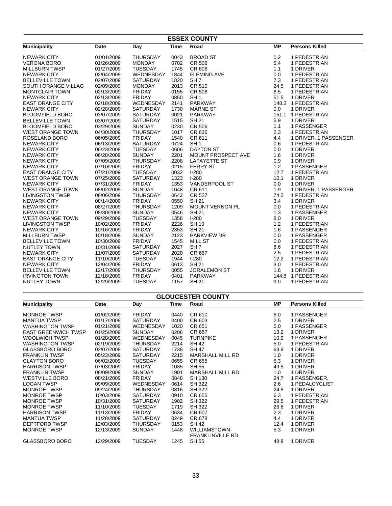| <b>ESSEX COUNTY</b>     |            |                 |             |                           |           |                       |  |  |
|-------------------------|------------|-----------------|-------------|---------------------------|-----------|-----------------------|--|--|
| <b>Municipality</b>     | Date       | Day             | <b>Time</b> | Road                      | <b>MP</b> | <b>Persons Killed</b> |  |  |
| <b>NEWARK CITY</b>      | 01/01/2009 | <b>THURSDAY</b> | 0043        | <b>BROAD ST</b>           | 0.2       | 1 PEDESTRIAN          |  |  |
| <b>VERONA BORO</b>      | 01/26/2009 | <b>MONDAY</b>   | 0702        | <b>CR 506</b>             | 5.4       | 1 PEDESTRIAN          |  |  |
| <b>MILLBURN TWSP</b>    | 01/27/2009 | TUESDAY         | 1745        | CR 606                    | 1.1       | 1 DRIVER              |  |  |
| <b>NEWARK CITY</b>      | 02/04/2009 | WEDNESDAY       | 1844        | <b>FLEMING AVE</b>        | 0.0       | 1 PEDESTRIAN          |  |  |
| <b>BELLEVILLE TOWN</b>  | 02/07/2009 | <b>SATURDAY</b> | 1820        | SH <sub>7</sub>           | 7.3       | 1 PEDESTRIAN          |  |  |
| SOUTH ORANGE VILLAG     | 02/09/2009 | <b>MONDAY</b>   | 2013        | <b>CR 510</b>             | 24.5      | 1 PEDESTRIAN          |  |  |
| <b>MONTCLAIR TOWN</b>   | 02/13/2009 | <b>FRIDAY</b>   | 0155        | <b>CR 506</b>             | 6.5       | 1 PEDESTRIAN          |  |  |
| <b>NEWARK CITY</b>      | 02/13/2009 | <b>FRIDAY</b>   | 0850        | SH <sub>1</sub>           | 51.5      | 1 DRIVER              |  |  |
| <b>EAST ORANGE CITY</b> | 02/18/2009 | WEDNESDAY       | 2141        | PARKWAY                   |           | 148.2 1 PEDESTRIAN    |  |  |
| <b>NEWARK CITY</b>      | 02/28/2009 | SATURDAY        | 1730        | <b>MARNE ST</b>           | 0.0       | 1 DRIVER              |  |  |
| <b>BLOOMFIELD BORO</b>  | 03/07/2009 | <b>SATURDAY</b> | 0021        | <b>PARKWAY</b>            |           | 151.1 1 PEDESTRIAN    |  |  |
| <b>BELLEVILLE TOWN</b>  | 03/07/2009 | <b>SATURDAY</b> | 1515        | SH 21                     | 5.9       | 1 DRIVER              |  |  |
| <b>BLOOMFIELD BORO</b>  | 03/29/2009 | <b>SUNDAY</b>   | 0230        | <b>CR 506</b>             | 1.1       | 1 PASSENGER           |  |  |
| <b>WEST ORANGE TOWN</b> | 04/30/2009 | <b>THURSDAY</b> | 1017        | CR 636                    | 2.3       | 1 PEDESTRIAN          |  |  |
| ROSELAND BORO           | 06/05/2009 | <b>FRIDAY</b>   | 1540        | CR 611                    | 4.4       | 1 DRIVER, 1 PASSENGER |  |  |
| <b>NEWARK CITY</b>      | 06/13/2009 | <b>SATURDAY</b> | 0724        | SH <sub>1</sub>           | 0.6       | 1 PEDESTRIAN          |  |  |
| <b>NEWARK CITY</b>      | 06/23/2009 | <b>TUESDAY</b>  | 0606        | <b>DAYTON ST</b>          | 0.0       | 1 DRIVER              |  |  |
| <b>NEWARK CITY</b>      | 06/28/2009 | <b>SUNDAY</b>   | 2201        | <b>MOUNT PROSPECT AVE</b> | 1.6       | 1 DRIVER              |  |  |
| <b>NEWARK CITY</b>      | 07/09/2009 | <b>THURSDAY</b> | 2208        | <b>LAFAYETTE ST</b>       | 0.9       | 1 DRIVER              |  |  |
| <b>NEWARK CITY</b>      | 07/10/2009 | <b>FRIDAY</b>   | 0215        | <b>FERRY ST</b>           | 1.2       | 1 PASSENGER           |  |  |
| <b>EAST ORANGE CITY</b> | 07/21/2009 | <b>TUESDAY</b>  | 0032        | $I-280$                   | 12.7      | 1 PEDESTRIAN          |  |  |
| <b>WEST ORANGE TOWN</b> | 07/25/2009 | <b>SATURDAY</b> | 1323        | $1-280$                   | 10.1      | 1 DRIVER              |  |  |
| <b>NEWARK CITY</b>      | 07/31/2009 | <b>FRIDAY</b>   | 1353        | <b>VANDERPOOL ST</b>      | 0.0       | 1 DRIVER              |  |  |
| <b>WEST ORANGE TOWN</b> | 08/02/2009 | <b>SUNDAY</b>   | 1048        | CR 611                    | 1.9       | 1 DRIVER, 1 PASSENGER |  |  |
| <b>LIVINGSTON TWSP</b>  | 08/06/2009 | <b>THURSDAY</b> | 0642        | <b>CR 527</b>             | 74.2      | 1 PEDESTRIAN          |  |  |
| <b>NEWARK CITY</b>      | 08/14/2009 | <b>FRIDAY</b>   | 0550        | <b>SH 21</b>              | 3.4       | 1 DRIVER              |  |  |
| <b>NEWARK CITY</b>      | 08/27/2009 | <b>THURSDAY</b> | 1209        | <b>MOUNT VERNON PL</b>    | 0.0       | 1 PEDESTRIAN          |  |  |
| <b>NEWARK CITY</b>      | 08/30/2009 | <b>SUNDAY</b>   | 0546        | <b>SH 21</b>              | 1.3       | 1 PASSENGER           |  |  |
| WEST ORANGE TOWN        | 09/29/2009 | <b>TUESDAY</b>  | 1358        | $1 - 280$                 | 8.0       | 1 DRIVER              |  |  |
| <b>LIVINGSTON TWSP</b>  | 10/02/2009 | <b>FRIDAY</b>   | 2226        | <b>SH 10</b>              | 1.2       | 1 PEDESTRIAN          |  |  |
| <b>NEWARK CITY</b>      | 10/16/2009 | <b>FRIDAY</b>   | 2353        | <b>SH 21</b>              | 1.6       | 1 PASSENGER           |  |  |
| <b>MILLBURN TWSP</b>    | 10/18/2009 | <b>SUNDAY</b>   | 2123        | PARKVIEW DR               | 0.0       | 1 PASSENGER           |  |  |
| <b>BELLEVILLE TOWN</b>  | 10/30/2009 | <b>FRIDAY</b>   | 1545        | <b>MILL ST</b>            | 0.0       | 1 PEDESTRIAN          |  |  |
| <b>NUTLEY TOWN</b>      | 10/31/2009 | <b>SATURDAY</b> | 2027        | SH <sub>7</sub>           | 8.6       | 1 PEDESTRIAN          |  |  |
| <b>NEWARK CITY</b>      | 11/07/2009 | <b>SATURDAY</b> | 2020        | CR 667                    | 2.5       | 1 PEDESTRIAN          |  |  |
| <b>EAST ORANGE CITY</b> | 11/10/2009 | <b>TUESDAY</b>  | 1944        | $I-280$                   | 12.2      | 1 PEDESTRIAN          |  |  |
| <b>NEWARK CITY</b>      | 12/04/2009 | <b>FRIDAY</b>   | 0613        | <b>SH 21</b>              | 3.0       | 1 PEDESTRIAN          |  |  |
| <b>BELLEVILLE TOWN</b>  | 12/17/2009 | <b>THURSDAY</b> | 0055        | <b>JORALEMON ST</b>       | 1.6       | 1 DRIVER              |  |  |
| <b>IRVINGTON TOWN</b>   | 12/18/2009 | <b>FRIDAY</b>   | 0401        | <b>PARKWAY</b>            |           | 144.8 1 PEDESTRIAN    |  |  |
| <b>NUTLEY TOWN</b>      | 12/29/2009 | <b>TUESDAY</b>  | 1157        | SH 21                     | 9.0       | 1 PEDESTRIAN          |  |  |
|                         |            |                 |             | <b>GLOUCESTER COUNTY</b>  |           |                       |  |  |
|                         |            |                 |             |                           |           |                       |  |  |

| <b>Municipality</b>        | Date       | Day             | Time | Road                                            | <b>MP</b> | <b>Persons Killed</b> |
|----------------------------|------------|-----------------|------|-------------------------------------------------|-----------|-----------------------|
| <b>MONROE TWSP</b>         | 01/02/2009 | <b>FRIDAY</b>   | 0440 | CR 610                                          | 6.0       | 1 PASSENGER           |
| <b>MANTUA TWSP</b>         | 01/17/2009 | <b>SATURDAY</b> | 0400 | CR 603                                          | 2.5       | 1 DRIVER              |
| <b>WASHINGTON TWSP</b>     | 01/21/2009 | WEDNESDAY       | 1020 | CR 651                                          | 5.0       | 1 PASSENGER           |
| <b>EAST GREENWICH TWSP</b> | 01/25/2009 | <b>SUNDAY</b>   | 0206 | CR 667                                          | 13.2      | 1 DRIVER              |
| <b>WOOLWICH TWSP</b>       | 01/28/2009 | WEDNESDAY       | 0045 | <b>TURNPIKE</b>                                 | 10.9      | 1 PASSENGER           |
| <b>WASHINGTON TWSP</b>     | 02/19/2009 | <b>THURSDAY</b> | 2214 | <b>SH 42</b>                                    | 5.0       | 1 PEDESTRIAN          |
| <b>GLASSBORO BORO</b>      | 03/07/2009 | <b>SATURDAY</b> | 1738 | <b>SH 47</b>                                    | 63.9      | 1 DRIVER              |
| <b>FRANKLIN TWSP</b>       | 05/23/2009 | <b>SATURDAY</b> | 2215 | <b>MARSHALL MILL RD</b>                         | 1.0       | 1 DRIVER              |
| <b>CLAYTON BORO</b>        | 06/02/2009 | <b>TUESDAY</b>  | 0655 | CR 655                                          | 5.3       | 1 DRIVER              |
| <b>HARRISON TWSP</b>       | 07/03/2009 | <b>FRIDAY</b>   | 1035 | <b>SH 55</b>                                    | 49.5      | 1 DRIVER              |
| <b>FRANKLIN TWSP</b>       | 08/09/2009 | <b>SUNDAY</b>   | 1901 | MARSHALL MILL RD                                | 1.0       | 1 DRIVER              |
| <b>WESTVILLE BORO</b>      | 08/21/2009 | <b>FRIDAY</b>   | 0848 | SH 130                                          | 24.7      | 1 PASSENGER,          |
| <b>LOGAN TWSP</b>          | 09/09/2009 | WEDNESDAY       | 0614 | <b>SH 322</b>                                   | 2.6       | 1 PEDALCYCLIST        |
| <b>MONROE TWSP</b>         | 09/24/2009 | <b>THURSDAY</b> | 0816 | <b>SH 322</b>                                   | 24.8      | 1 DRIVER              |
| <b>MONROE TWSP</b>         | 10/03/2009 | <b>SATURDAY</b> | 0910 | CR 655                                          | 6.3       | 1 PEDESTRIAN          |
| <b>MONROE TWSP</b>         | 10/31/2009 | <b>SATURDAY</b> | 1902 | SH 322                                          | 29.5      | 1 PEDESTRIAN          |
| <b>MONROE TWSP</b>         | 11/10/2009 | <b>TUESDAY</b>  | 1719 | <b>SH 322</b>                                   | 26.6      | 1 DRIVER              |
| <b>HARRISON TWSP</b>       | 11/13/2009 | <b>FRIDAY</b>   | 0634 | CR 607                                          | 2.3       | 1 DRIVER              |
| <b>MANTUA TWSP</b>         | 11/28/2009 | <b>SATURDAY</b> | 0249 | CR 678                                          | 4.4       | 1 DRIVER              |
| DEPTFORD TWSP              | 12/03/2009 | <b>THURSDAY</b> | 0153 | SH 42                                           | 12.4      | 1 DRIVER              |
| <b>MONROE TWSP</b>         | 12/13/2009 | <b>SUNDAY</b>   | 1448 | <b>WILLIAMSTOWN-</b><br><b>FRANKLINVILLE RD</b> | 5.3       | 1 DRIVER              |
| <b>GLASSBORO BORO</b>      | 12/29/2009 | <b>TUESDAY</b>  | 1245 | SH 55                                           | 48.8      | 1 DRIVER              |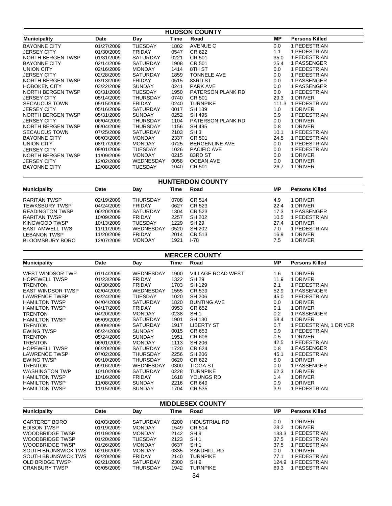| <b>HUDSON COUNTY</b> |            |                 |      |                          |           |                       |  |
|----------------------|------------|-----------------|------|--------------------------|-----------|-----------------------|--|
| <b>Municipality</b>  | Date       | Day             | Time | Road                     | <b>MP</b> | <b>Persons Killed</b> |  |
| <b>BAYONNE CITY</b>  | 01/27/2009 | <b>TUESDAY</b>  | 1802 | AVENUE C                 | 0.0       | 1 PEDESTRIAN          |  |
| <b>JERSEY CITY</b>   | 01/30/2009 | <b>FRIDAY</b>   | 0547 | CR 622                   | 1.1       | 1 PEDESTRIAN          |  |
| NORTH BERGEN TWSP    | 01/31/2009 | SATURDAY        | 0221 | CR 501                   | 35.0      | 1 PEDESTRIAN          |  |
| <b>BAYONNE CITY</b>  | 02/14/2009 | <b>SATURDAY</b> | 1908 | CR 501                   | 25.4      | 1 PASSENGER           |  |
| UNION CITY           | 02/16/2009 | <b>MONDAY</b>   | 1414 | 8TH ST                   | 0.0       | 1 PEDESTRIAN          |  |
| <b>JERSEY CITY</b>   | 02/28/2009 | <b>SATURDAY</b> | 1859 | <b>TONNELE AVE</b>       | 0.0       | 1 PEDESTRIAN          |  |
| NORTH BERGEN TWSP    | 03/13/2009 | <b>FRIDAY</b>   | 0515 | 83RD ST                  | 0.0       | 1 PASSENGER           |  |
| <b>HOBOKEN CITY</b>  | 03/22/2009 | <b>SUNDAY</b>   | 0241 | <b>PARK AVE</b>          | 0.0       | 1 PASSENGER           |  |
| NORTH BERGEN TWSP    | 03/31/2009 | <b>TUESDAY</b>  | 1950 | PATERSON PLANK RD        | 0.0       | 1 PEDESTRIAN          |  |
| <b>JERSEY CITY</b>   | 05/14/2009 | <b>THURSDAY</b> | 0740 | CR 501                   | 29.3      | 1 DRIVER              |  |
| <b>SECAUCUS TOWN</b> | 05/15/2009 | <b>FRIDAY</b>   | 0240 | <b>TURNPIKE</b>          |           | 111.3 1 PEDESTRIAN    |  |
| <b>JERSEY CITY</b>   | 05/16/2009 | <b>SATURDAY</b> | 0017 | SH 139                   | 1.0       | 1 DRIVER              |  |
| NORTH BERGEN TWSP    | 05/31/2009 | <b>SUNDAY</b>   | 0252 | SH 495                   | 0.9       | 1 PEDESTRIAN          |  |
| <b>JERSEY CITY</b>   | 06/04/2009 | <b>THURSDAY</b> | 1104 | <b>PATERSON PLANK RD</b> | 0.0       | 1 DRIVER              |  |
| NORTH BERGEN TWSP    | 06/04/2009 | <b>THURSDAY</b> | 1156 | SH 495                   | 0.8       | 1 DRIVER              |  |
| <b>SECAUCUS TOWN</b> | 07/25/2009 | <b>SATURDAY</b> | 2103 | SH3                      | 10.1      | 1 PEDESTRIAN          |  |
| <b>BAYONNE CITY</b>  | 08/03/2009 | <b>MONDAY</b>   | 2337 | CR 501                   | 24.5      | 1 PEDESTRIAN          |  |
| UNION CITY           | 08/17/2009 | <b>MONDAY</b>   | 0725 | <b>BERGENLINE AVE</b>    | 0.0       | 1 PEDESTRIAN          |  |
| <b>JERSEY CITY</b>   | 09/01/2009 | <b>TUESDAY</b>  | 1026 | <b>PACIFIC AVE</b>       | 0.0       | 1 PEDESTRIAN          |  |
| NORTH BERGEN TWSP    | 11/09/2009 | <b>MONDAY</b>   | 0215 | 83RD ST                  | 0.0       | 1 DRIVER              |  |
| <b>JERSEY CITY</b>   | 12/02/2009 | WEDNESDAY       | 0058 | <b>OCEAN AVE</b>         | 0.0       | 1 DRIVER              |  |
| <b>BAYONNE CITY</b>  | 12/08/2009 | <b>TUESDAY</b>  | 1040 | CR 501                   | 26.7      | 1 DRIVER              |  |

#### **HUNTERDON COUNTY**

| <b>Municipality</b>    | Date       | Day             | Time | Road   | МP   | <b>Persons Killed</b> |
|------------------------|------------|-----------------|------|--------|------|-----------------------|
|                        |            |                 |      |        |      |                       |
| RARITAN TWSP           | 02/19/2009 | <b>THURSDAY</b> | 0708 | CR 514 | 4.9  | 1 DRIVER              |
| <b>TEWKSBURY TWSP</b>  | 04/24/2009 | <b>FRIDAY</b>   | 0627 | CR 523 | 22.4 | 1 DRIVER              |
| <b>READINGTON TWSP</b> | 06/20/2009 | SATURDAY        | 1304 | CR 523 | 17.3 | I PASSENGER           |
| RARITAN TWSP           | 10/09/2009 | <b>FRIDAY</b>   | 2257 | SH 202 | 10.5 | 1 PEDESTRIAN          |
| KINGWOOD TWSP          | 10/13/2009 | <b>TUESDAY</b>  | 1229 | SH 29  | 27.4 | 1 DRIVER              |
| <b>EAST AMWELL TWS</b> | 11/11/2009 | WEDNESDAY       | 0520 | SH 202 | 7.0  | I PEDESTRIAN          |
| <b>LEBANON TWSP</b>    | 11/20/2009 | <b>FRIDAY</b>   | 2014 | CR 513 | 16.9 | 1 DRIVER              |
| <b>BLOOMSBURY BORO</b> | 12/07/2009 | <b>MONDAY</b>   | 1921 | I-78   | 7.5  | 1 DRIVER              |

| <b>MERCER COUNTY</b>     |            |                  |      |                          |      |                        |  |  |
|--------------------------|------------|------------------|------|--------------------------|------|------------------------|--|--|
| <b>Municipality</b>      | Date       | Day              | Time | Road                     | MР   | <b>Persons Killed</b>  |  |  |
| WEST WINDSOR TWP         | 01/14/2009 | <b>WEDNESDAY</b> | 1900 | <b>VILLAGE ROAD WEST</b> | 1.6  | 1 DRIVER               |  |  |
| <b>HOPEWELL TWSP</b>     | 01/23/2009 | <b>FRIDAY</b>    | 1322 | <b>SH 29</b>             | 11.9 | 1 DRIVER               |  |  |
| <b>TRENTON</b>           | 01/30/2009 | <b>FRIDAY</b>    | 1703 | SH 129                   | 2.1  | 1 PEDESTRIAN           |  |  |
| <b>EAST WINDSOR TWSP</b> | 02/04/2009 | WEDNESDAY        | 1555 | CR 539                   | 52.9 | 1 PASSENGER            |  |  |
| <b>LAWRENCE TWSP</b>     | 03/24/2009 | TUESDAY          | 1020 | SH 206                   | 45.0 | 1 PEDESTRIAN           |  |  |
| <b>HAMILTON TWSP</b>     | 04/04/2009 | <b>SATURDAY</b>  | 1820 | <b>BUNTING AVE</b>       | 0.0  | 1 DRIVER               |  |  |
| <b>HAMILTON TWSP</b>     | 04/17/2009 | <b>FRIDAY</b>    | 0953 | CR 652                   | 0.1  | 1 DRIVER               |  |  |
| <b>TRENTON</b>           | 04/20/2009 | <b>MONDAY</b>    | 0238 | SH <sub>1</sub>          | 0.2  | 1 PASSENGER            |  |  |
| <b>HAMILTON TWSP</b>     | 05/09/2009 | <b>SATURDAY</b>  | 1901 | SH 130                   | 58.4 | 1 DRIVER               |  |  |
| <b>TRENTON</b>           | 05/09/2009 | <b>SATURDAY</b>  | 1917 | <b>LIBERTY ST</b>        | 0.7  | 1 PEDESTRIAN, 1 DRIVER |  |  |
| <b>EWING TWSP</b>        | 05/24/2009 | <b>SUNDAY</b>    | 0015 | CR 653                   | 0.9  | 1 PEDESTRIAN           |  |  |
| TRENTON                  | 05/24/2009 | <b>SUNDAY</b>    | 1951 | CR 606                   | 0.5  | 1 DRIVER               |  |  |
| <b>TRENTON</b>           | 06/01/2009 | <b>MONDAY</b>    | 1113 | <b>SH 206</b>            | 42.5 | 1 PEDESTRIAN           |  |  |
| <b>HOPEWELL TWSP</b>     | 06/20/2009 | <b>SATURDAY</b>  | 1720 | CR 624                   | 0.8  | 1 PASSENGER            |  |  |
| <b>LAWRENCE TWSP</b>     | 07/02/2009 | <b>THURSDAY</b>  | 2256 | SH 206                   | 45.1 | 1 PEDESTRIAN           |  |  |
| <b>EWING TWSP</b>        | 09/10/2009 | <b>THURSDAY</b>  | 0620 | CR 622                   | 5.0  | 1 DRIVER               |  |  |
| <b>TRENTON</b>           | 09/16/2009 | WEDNESDAY        | 0300 | <b>TIOGA ST</b>          | 0.0  | 1 PASSENGER            |  |  |
| <b>WASHINGTON TWP</b>    | 10/10/2009 | <b>SATURDAY</b>  | 0228 | <b>TURNPIKE</b>          | 62.3 | 1 DRIVER               |  |  |
| <b>HAMILTON TWSP</b>     | 10/16/2009 | <b>FRIDAY</b>    | 1618 | YOUNGS RD                | 1.4  | 1 DRIVER               |  |  |
| <b>HAMILTON TWSP</b>     | 11/08/2009 | <b>SUNDAY</b>    | 2216 | CR 649                   | 0.9  | 1 DRIVER               |  |  |
| <b>HAMILTON TWSP</b>     | 11/15/2009 | <b>SUNDAY</b>    | 1704 | CR 535                   | 3.9  | 1 PEDESTRIAN           |  |  |

| <b>MIDDLESEX COUNTY</b>    |            |               |      |                      |           |                       |  |
|----------------------------|------------|---------------|------|----------------------|-----------|-----------------------|--|
| <b>Municipality</b>        | Date       | Day           | Time | Road                 | <b>MP</b> | <b>Persons Killed</b> |  |
| CARTERET BORO              | 01/03/2009 | SATURDAY      | 0200 | <b>INDUSTRIAL RD</b> | 0.0       | 1 DRIVER              |  |
| <b>EDISON TWSP</b>         | 01/19/2009 | <b>MONDAY</b> | 1549 | CR 514               | 28.2      | 1 DRIVER              |  |
| WOODBRIDGE TWSP            | 01/19/2009 | <b>MONDAY</b> | 2142 | SH <sub>9</sub>      | 133.3     | 1 PEDESTRIAN          |  |
| WOODBRIDGE TWSP            | 01/20/2009 | TUESDAY       | 2123 | SH <sub>1</sub>      | 37.5      | 1 PEDESTRIAN          |  |
| WOODBRIDGE TWSP            | 01/26/2009 | <b>MONDAY</b> | 0637 | SH <sub>1</sub>      | 37.5      | 1 PEDESTRIAN          |  |
| <b>SOUTH BRUNSWICK TWS</b> | 02/16/2009 | <b>MONDAY</b> | 0335 | SANDHILL RD          | 0.0       | 1 DRIVER              |  |
| <b>SOUTH BRUNSWICK TWS</b> | 02/20/2009 | <b>FRIDAY</b> | 2140 | <b>TURNPIKE</b>      | 77.1      | 1 PEDESTRIAN          |  |
| OLD BRIDGE TWSP            | 02/21/2009 | SATURDAY      | 2300 | SH <sub>9</sub>      | 124.9     | 1 PEDESTRIAN          |  |
| <b>CRANBURY TWSP</b>       | 03/05/2009 | THURSDAY      | 1942 | <b>TURNPIKE</b>      | 69.3      | 1 PEDESTRIAN          |  |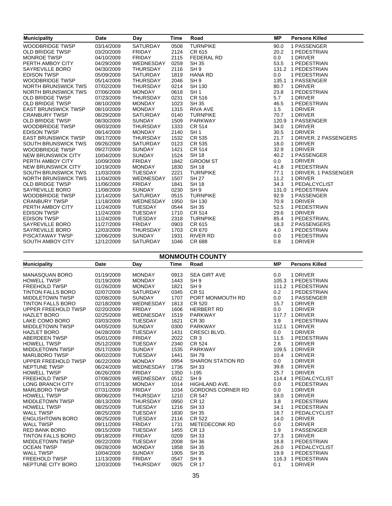| <b>Municipality</b>        | Date       | Day             | <b>Time</b> | Road              | <b>MP</b> | <b>Persons Killed</b>  |
|----------------------------|------------|-----------------|-------------|-------------------|-----------|------------------------|
| <b>WOODBRIDGE TWSP</b>     | 03/14/2009 | <b>SATURDAY</b> | 0508        | <b>TURNPIKE</b>   | 90.0      | 1 PASSENGER            |
| <b>OLD BRIDGE TWSP</b>     | 03/20/2009 | <b>FRIDAY</b>   | 2124        | CR 615            | 20.2      | 1 PEDESTRIAN           |
| <b>MONROE TWSP</b>         | 04/10/2009 | <b>FRIDAY</b>   | 2115        | <b>FEDERAL RD</b> | 0.0       | 1 DRIVER               |
| PERTH AMBOY CITY           | 04/29/2009 | WEDNESDAY       | 0259        | <b>SH 35</b>      | 53.5      | 1 PEDESTRIAN           |
| SAYREVILLE BORO            | 04/30/2009 | <b>THURSDAY</b> | 2116        | SH <sub>9</sub>   |           | 131.2 1 PEDESTRIAN     |
| <b>EDISON TWSP</b>         | 05/09/2009 | SATURDAY        | 1819        | <b>HANA RD</b>    | 0.0       | 1 PEDESTRIAN           |
| <b>WOODBRIDGE TWSP</b>     | 05/14/2009 | <b>THURSDAY</b> | 2046        | SH <sub>9</sub>   |           | 135.1 1 PASSENGER      |
| <b>NORTH BRUNSWICK TWS</b> | 07/02/2009 | <b>THURSDAY</b> | 0214        | SH 130            | 80.7      | 1 DRIVER               |
| <b>NORTH BRUNSWICK TWS</b> | 07/06/2009 | <b>MONDAY</b>   | 0618        | SH <sub>1</sub>   | 23.8      | 1 PEDESTRIAN           |
| <b>OLD BRIDGE TWSP</b>     | 07/23/2009 | <b>THURSDAY</b> | 0231        | CR 516            | 5.7       | 1 DRIVER               |
| <b>OLD BRIDGE TWSP</b>     | 08/10/2009 | <b>MONDAY</b>   | 1023        | <b>SH 35</b>      | 46.5      | 1 PEDESTRIAN           |
| <b>EAST BRUNSWICK TWSP</b> | 08/10/2009 | <b>MONDAY</b>   | 1315        | <b>RIVA AVE</b>   | 1.5       | 1 DRIVER               |
| <b>CRANBURY TWSP</b>       | 08/29/2009 | SATURDAY        | 0140        | <b>TURNPIKE</b>   | 70.7      | 1 DRIVER               |
| <b>OLD BRIDGE TWSP</b>     | 08/30/2009 | <b>SUNDAY</b>   | 1509        | <b>PARKWAY</b>    |           | 120.9 1 PASSENGER      |
| <b>WOODBRIDGE TWSP</b>     | 09/03/2009 | <b>THURSDAY</b> | 1333        | CR 514            | 34.0      | 1 DRIVER               |
| <b>EDISON TWSP</b>         | 09/14/2009 | <b>MONDAY</b>   | 2140        | SH <sub>1</sub>   | 30.5      | 1 DRIVER               |
| <b>EAST BRUNSWICK TWSP</b> | 09/17/2009 | <b>THURSDAY</b> | 1532        | CR 535            | 21.7      | 1 DRIVER, 2 PASSENGERS |
| SOUTH BRUNSWICK TWS        | 09/26/2009 | SATURDAY        | 0123        | CR 535            | 18.0      | 1 DRIVER               |
| <b>WOODBRIDGE TWSP</b>     | 09/27/2009 | <b>SUNDAY</b>   | 1421        | CR 514            | 32.9      | 1 DRIVER               |
| <b>NEW BRUNSWICK CITY</b>  | 10/04/2009 | <b>SUNDAY</b>   | 1524        | <b>SH 18</b>      | 40.2      | 1 PASSENGER            |
| PERTH AMBOY CITY           | 10/09/2009 | <b>FRIDAY</b>   | 1842        | <b>GROOM ST</b>   | 0.0       | 1 DRIVER               |
| NEW BRUNSWICK CITY         | 10/19/2009 | <b>MONDAY</b>   | 1830        | <b>SH 18</b>      | 41.8      | 1 PEDESTRIAN           |
| SOUTH BRUNSWICK TWS        | 11/03/2009 | <b>TUESDAY</b>  | 2221        | <b>TURNPIKE</b>   | 77.1      | 1 DRIVER, 1 PASSENGER  |
| <b>NORTH BRUNSWICK TWS</b> | 11/04/2009 | WEDNESDAY       | 1507        | <b>SH 27</b>      | 11.2      | 1 DRIVER               |
| <b>OLD BRIDGE TWSP</b>     | 11/06/2009 | <b>FRIDAY</b>   | 1841        | <b>SH 18</b>      | 34.3      | 1 PEDALCYCLIST         |
| SAYREVILLE BORO            | 11/08/2009 | <b>SUNDAY</b>   | 0230        | SH <sub>9</sub>   |           | 131.0 1 PEDESTRIAN     |
| <b>WOODBRIDGE TWSP</b>     | 11/14/2009 | SATURDAY        | 0515        | <b>TURNPIKE</b>   | 92.9      | 1 PASSENGER            |
| <b>CRANBURY TWSP</b>       | 11/18/2009 | WEDNESDAY       | 1950        | SH 130            | 70.9      | 1 DRIVER               |
| PERTH AMBOY CITY           | 11/24/2009 | <b>TUESDAY</b>  | 0544        | <b>SH 35</b>      | 52.5      | 1 PEDESTRIAN           |
| <b>EDISON TWSP</b>         | 11/24/2009 | <b>TUESDAY</b>  | 1710        | CR 514            | 29.6      | 1 DRIVER               |
| <b>EDISON TWSP</b>         | 11/24/2009 | <b>TUESDAY</b>  | 2318        | <b>TURNPIKE</b>   | 85.4      | 1 PEDESTRIAN.          |
| SAYREVILLE BORO            | 11/27/2009 | <b>FRIDAY</b>   | 0903        | CR 615            | 18.3      | 2 PASSENGERS           |
| SAYREVILLE BORO            | 12/03/2009 | <b>THURSDAY</b> | 1703        | CR 670            | 4.0       | 1 PEDESTRIAN           |
| PISCATAWAY TWSP            | 12/06/2009 | <b>SUNDAY</b>   | 1931        | <b>RIVER RD</b>   | 0.0       | 1 PEDESTRIAN           |
| <b>SOUTH AMBOY CITY</b>    | 12/12/2009 | <b>SATURDAY</b> | 1046        | <b>CR 688</b>     | 0.8       | 1 DRIVER               |

| <b>MONMOUTH COUNTY</b>   |            |                 |             |                          |           |                       |  |  |
|--------------------------|------------|-----------------|-------------|--------------------------|-----------|-----------------------|--|--|
| <b>Municipality</b>      | Date       | Day             | <b>Time</b> | Road                     | <b>MP</b> | <b>Persons Killed</b> |  |  |
| <b>MANASQUAN BORO</b>    | 01/19/2009 | <b>MONDAY</b>   | 0913        | <b>SEA GIRT AVE</b>      | 0.0       | 1 DRIVER              |  |  |
| <b>HOWELL TWSP</b>       | 01/19/2009 | <b>MONDAY</b>   | 1443        | SH <sub>9</sub>          |           | 105.3 1 PEDESTRIAN    |  |  |
| <b>FREEHOLD TWSP</b>     | 01/26/2009 | <b>MONDAY</b>   | 1821        | SH <sub>9</sub>          |           | 111.2 1 PEDESTRIAN    |  |  |
| <b>TINTON FALLS BORO</b> | 02/07/2009 | <b>SATURDAY</b> | 0345        | <b>CR 51</b>             | 0.2       | 1 PEDESTRIAN          |  |  |
| <b>MIDDLETOWN TWSP</b>   | 02/08/2009 | <b>SUNDAY</b>   | 1707        | PORT MONMOUTH RD         | 0.0       | 1 PASSENGER           |  |  |
| <b>TINTON FALLS BORO</b> | 02/18/2009 | WEDNESDAY       | 1813        | <b>CR 520</b>            | 15.7      | 1 DRIVER              |  |  |
| UPPER FREEHOLD TWSP      | 02/20/2009 | <b>FRIDAY</b>   | 1606        | <b>HERBERT RD</b>        | 0.0       | 1 DRIVER              |  |  |
| <b>HAZLET BORO</b>       | 02/25/2009 | WEDNESDAY       | 1519        | <b>PARKWAY</b>           |           | 117.7 1 DRIVER        |  |  |
| LAKE COMO BORO           | 03/03/2009 | <b>TUESDAY</b>  | 1621        | <b>CR 30</b>             | 3.9       | 1 PEDESTRIAN          |  |  |
| <b>MIDDLETOWN TWSP</b>   | 04/05/2009 | <b>SUNDAY</b>   | 0300        | <b>PARKWAY</b>           |           | 112.1 1 DRIVER        |  |  |
| <b>HAZLET BORO</b>       | 04/28/2009 | <b>TUESDAY</b>  | 1431        | CRESCI BLVD.             | 0.0       | 1 DRIVER              |  |  |
| <b>ABERDEEN TWSP</b>     | 05/01/2009 | <b>FRIDAY</b>   | 2022        | CR <sub>3</sub>          | 11.5      | 1 PEDESTRIAN          |  |  |
| <b>HOWELL TWSP</b>       | 05/12/2009 | <b>TUESDAY</b>  | 2340        | <b>CR 524</b>            | 2.6       | 1 DRIVER              |  |  |
| MIDDLETOWN TWSP          | 05/17/2009 | <b>SUNDAY</b>   | 1535        | <b>PARKWAY</b>           |           | 109.5 1 DRIVER        |  |  |
| <b>MARLBORO TWSP</b>     | 06/02/2009 | <b>TUESDAY</b>  | 1441        | <b>SH 79</b>             | 10.4      | 1 DRIVER              |  |  |
| UPPER FREEHOLD TWSP      | 06/22/2009 | <b>MONDAY</b>   | 0954        | <b>SHARON STATION RD</b> | 0.0       | 1 DRIVER              |  |  |
| <b>NEPTUNE TWSP</b>      | 06/24/2009 | WEDNESDAY       | 1736        | <b>SH33</b>              | 39.8      | 1 DRIVER              |  |  |
| <b>HOWELL TWSP</b>       | 06/26/2009 | <b>FRIDAY</b>   | 1350        | $I - 195$                | 25.7      | 1 DRIVER              |  |  |
| <b>FREEHOLD TWSP</b>     | 07/08/2009 | WEDNESDAY       | 0512        | SH <sub>9</sub>          |           | 114.4 1 PEDALCYCLIST  |  |  |
| <b>LONG BRANCH CITY</b>  | 07/13/2009 | <b>MONDAY</b>   | 1014        | <b>HIGHLAND AVE.</b>     | 0.0       | 1 PEDESTRIAN          |  |  |
| <b>MARLBORO TWSP</b>     | 07/31/2009 | <b>FRIDAY</b>   | 1034        | <b>GORDONS CORNER RD</b> | 0.0       | 1 DRIVER              |  |  |
| <b>HOWELL TWSP</b>       | 08/06/2009 | <b>THURSDAY</b> | 1210        | <b>CR 547</b>            | 18.0      | 1 DRIVER              |  |  |
| <b>MIDDLETOWN TWSP</b>   | 08/13/2009 | <b>THURSDAY</b> | 0950        | <b>CR 12</b>             | 3.8       | 1 PEDESTRIAN          |  |  |
| <b>HOWELL TWSP</b>       | 08/25/2009 | <b>TUESDAY</b>  | 1216        | <b>SH33</b>              | 34.1      | 1 PEDESTRIAN          |  |  |
| <b>WALL TWSP</b>         | 08/25/2009 | <b>TUESDAY</b>  | 1830        | <b>SH 35</b>             | 18.7      | 1 PEDALCYCLIST        |  |  |
| <b>ENGLISHTOWN BORO</b>  | 08/25/2009 | <b>TUESDAY</b>  | 2116        | CR 522                   | 14.0      | 1 DRIVER              |  |  |
| <b>WALL TWSP</b>         | 09/11/2009 | <b>FRIDAY</b>   | 1731        | <b>METEDECONK RD</b>     | 0.0       | 1 DRIVER              |  |  |
| <b>RED BANK BORO</b>     | 09/15/2009 | TUESDAY         | 1455        | <b>CR 13</b>             | 1.9       | 1 PASSENGER           |  |  |
| <b>TINTON FALLS BORO</b> | 09/18/2009 | <b>FRIDAY</b>   | 0209        | <b>SH 33</b>             | 37.3      | 1 DRIVER              |  |  |
| <b>MIDDLETOWN TWSP</b>   | 09/22/2009 | <b>TUESDAY</b>  | 2008        | <b>SH 36</b>             | 18.8      | 1 PEDESTRIAN          |  |  |
| <b>OCEAN TWSP</b>        | 09/28/2009 | <b>MONDAY</b>   | 1858        | <b>SH 35</b>             | 26.0      | 1 PEDALCYCLIST        |  |  |
| <b>WALL TWSP</b>         | 10/04/2009 | <b>SUNDAY</b>   | 1905        | <b>SH 35</b>             | 19.9      | 1 PEDESTRIAN          |  |  |
| <b>FREEHOLD TWSP</b>     | 11/13/2009 | <b>FRIDAY</b>   | 0547        | SH <sub>9</sub>          |           | 116.3 1 PEDESTRIAN    |  |  |
| NEPTUNE CITY BORO        | 12/03/2009 | <b>THURSDAY</b> | 0925        | <b>CR 17</b>             | 0.1       | 1 DRIVER              |  |  |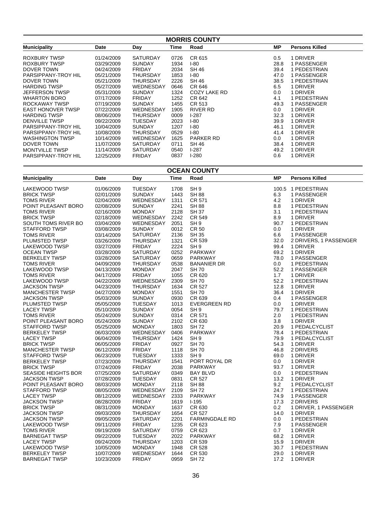| <b>MORRIS COUNTY</b>     |            |                 |      |              |      |                       |  |
|--------------------------|------------|-----------------|------|--------------|------|-----------------------|--|
| <b>Municipality</b>      | Date       | Day             | Time | Road         | MР   | <b>Persons Killed</b> |  |
| ROXBURY TWSP             | 01/24/2009 | <b>SATURDAY</b> | 0726 | CR 615       | 0.5  | 1 DRIVER              |  |
| ROXBURY TWSP             | 03/29/2009 | <b>SUNDAY</b>   | 1934 | $I-80$       | 28.8 | 1 PASSENGER           |  |
| DOVER TOWN               | 04/24/2009 | <b>FRIDAY</b>   | 2034 | SH 46        | 39.4 | 1 PEDESTRIAN          |  |
| PARSIPPANY-TROY HIL      | 05/21/2009 | THURSDAY        | 1853 | $I-80$       | 47.0 | 1 PASSENGER           |  |
| <b>DOVER TOWN</b>        | 05/21/2009 | THURSDAY        | 2226 | <b>SH 46</b> | 38.5 | 1 PEDESTRIAN          |  |
| <b>HARDING TWSP</b>      | 05/27/2009 | WEDNESDAY       | 0646 | CR 646       | 6.5  | 1 DRIVER              |  |
| <b>JEFFERSON TWSP</b>    | 05/31/2009 | SUNDAY          | 1324 | COZY LAKE RD | 0.0  | 1 DRIVER              |  |
| <b>WHARTON BORO</b>      | 07/17/2009 | <b>FRIDAY</b>   | 1252 | CR 642       | 4.1  | 1 PEDESTRIAN          |  |
| ROCKAWAY TWSP            | 07/19/2009 | <b>SUNDAY</b>   | 1455 | CR 513       | 49.3 | 1 PASSENGER           |  |
| <b>EAST HONOVER TWSP</b> | 07/22/2009 | WEDNESDAY       | 1905 | RIVER RD     | 0.0  | 1 DRIVER              |  |
| <b>HARDING TWSP</b>      | 08/06/2009 | THURSDAY        | 0009 | $1-287$      | 32.3 | 1 DRIVER              |  |
| <b>DENVILLE TWSP</b>     | 09/22/2009 | TUESDAY         | 2023 | I-80         | 39.9 | 1 DRIVER              |  |
| PARSIPPANY-TROY HIL      | 10/04/2009 | <b>SUNDAY</b>   | 1207 | I-80         | 46.1 | 1 DRIVER              |  |
| PARSIPPANY-TROY HIL      | 10/08/2009 | THURSDAY        | 0529 | $I-80$       | 41.4 | 1 DRIVER              |  |
| <b>WASHINGTON TWSP</b>   | 10/14/2009 | WEDNESDAY       | 1625 | PARKER RD    | 0.0  | 1 DRIVER              |  |
| DOVER TOWN               | 11/07/2009 | <b>SATURDAY</b> | 0711 | SH 46        | 38.4 | 1 DRIVER              |  |
| <b>MONTVILLE TWSP</b>    | 11/14/2009 | <b>SATURDAY</b> | 0540 | $1-287$      | 49.2 | 1 DRIVER              |  |
| PARSIPPANY-TROY HIL      | 12/25/2009 | <b>FRIDAY</b>   | 0837 | $1-280$      | 0.6  | 1 DRIVER              |  |

**OCEAN COUNTY**

| <b>Municipality</b>        | Date       | Day             | <b>Time</b> | Road                  | <b>MP</b>     | <b>Persons Killed</b>  |
|----------------------------|------------|-----------------|-------------|-----------------------|---------------|------------------------|
| <b>LAKEWOOD TWSP</b>       | 01/06/2009 | <b>TUESDAY</b>  | 1708        | SH <sub>9</sub>       |               | 100.5 1 PEDESTRIAN     |
| <b>BRICK TWSP</b>          | 02/01/2009 | <b>SUNDAY</b>   | 1443        | <b>SH 88</b>          | 6.3           | 1 PASSENGER            |
| TOMS RIVER                 | 02/04/2009 | WEDNESDAY       | 1311        | CR 571                | 4.2           | 1 DRIVER               |
| POINT PLEASANT BORO        | 02/08/2009 | <b>SUNDAY</b>   | 2241        | <b>SH 88</b>          | 8.8           | 1 PEDESTRIAN           |
| <b>TOMS RIVER</b>          | 02/16/2009 | <b>MONDAY</b>   | 2128        | <b>SH 37</b>          | 3.1           | 1 PEDESTRIAN           |
| <b>BRICK TWSP</b>          | 02/18/2009 | WEDNESDAY       | 2242        | CR 549                | 8.9           | 1 DRIVER               |
| SOUTH TOMS RIVER BO        | 03/04/2009 | WEDNESDAY       | 2051        | SH <sub>9</sub>       | 90.7          | 1 PEDESTRIAN           |
| STAFFORD TWSP              | 03/08/2009 | <b>SUNDAY</b>   | 0012        | <b>CR 50</b>          | 0.0           | 1 DRIVER               |
| <b>TOMS RIVER</b>          | 03/14/2009 | <b>SATURDAY</b> | 2136        | <b>SH 35</b>          | 6.6           | 1 PASSENGER            |
| PLUMSTED TWSP              | 03/26/2009 | <b>THURSDAY</b> | 1321        | CR 539                | 32.0          | 2 DRIVERS, 1 PASSENGER |
| LAKEWOOD TWSP              | 03/27/2009 | <b>FRIDAY</b>   | 2224        | SH <sub>9</sub>       | 99.4          | 1 DRIVER               |
| <b>OCEAN TWSP</b>          | 03/28/2009 | <b>SATURDAY</b> | 0252        | PARKWAY               | 69.2          | 1 DRIVER               |
| <b>BERKELEY TWSP</b>       | 03/28/2009 | <b>SATURDAY</b> | 0659        | PARKWAY               | 78.0          | 1 PASSENGER            |
| <b>TOMS RIVER</b>          | 04/09/2009 | THURSDAY        | 0538        | <b>BANANIER DR</b>    | 0.0           | 1 PEDESTRIAN           |
| LAKEWOOD TWSP              | 04/13/2009 | <b>MONDAY</b>   | 2047        | <b>SH70</b>           | 52.2          | 1 PASSENGER            |
| <b>TOMS RIVER</b>          | 04/17/2009 | <b>FRIDAY</b>   | 1055        | CR 620                | 1.7           | 1 DRIVER               |
| <b>LAKEWOOD TWSP</b>       | 04/22/2009 | WEDNESDAY       | 2309        | <b>SH70</b>           | 52.2          | 1 PEDESTRIAN           |
| <b>JACKSON TWSP</b>        | 04/23/2009 | <b>THURSDAY</b> | 1634        | CR 527                | 12.8          | 1 DRIVER               |
| <b>MANCHESTER TWSP</b>     | 04/27/2009 | <b>MONDAY</b>   | 1551        | <b>SH70</b>           | 36.4          | 1 DRIVER               |
| <b>JACKSON TWSP</b>        | 05/03/2009 | <b>SUNDAY</b>   | 0930        | CR 639                | $0.4^{\circ}$ | 1 PASSENGER            |
| PLUMSTED TWSP              | 05/05/2009 | <b>TUESDAY</b>  | 1013        | <b>EVERGREEN RD</b>   | 0.0           | 1 DRIVER               |
| <b>LACEY TWSP</b>          | 05/10/2009 | <b>SUNDAY</b>   | 0054        | SH <sub>9</sub>       | 79.7          | 1 PEDESTRIAN           |
| <b>TOMS RIVER</b>          | 05/24/2009 | <b>SUNDAY</b>   | 0314        | CR 571                | 2.0           | 1 PEDESTRIAN           |
| POINT PLEASANT BORO        | 05/24/2009 | <b>SUNDAY</b>   | 2102        | CR 630                | 3.8           | 1 DRIVER               |
| <b>STAFFORD TWSP</b>       | 05/25/2009 | <b>MONDAY</b>   | 1803        | <b>SH72</b>           | 20.9          | 1 PEDALCYCLIST         |
| <b>BERKELEY TWSP</b>       | 06/03/2009 | WEDNESDAY       | 0406        | PARKWAY               | 78.4          | 1 PEDESTRIAN           |
| <b>LACEY TWSP</b>          | 06/04/2009 | <b>THURSDAY</b> | 1424        | SH <sub>9</sub>       | 79.9          | 1 PEDALCYCLIST         |
| <b>BRICK TWSP</b>          | 06/05/2009 | <b>FRIDAY</b>   | 0927        | <b>SH70</b>           | 54.3          | 1 DRIVER               |
| <b>MANCHESTER TWSP</b>     | 06/12/2009 | <b>FRIDAY</b>   | 1118        | <b>SH70</b>           | 46.8          | 2 DRIVERS              |
| STAFFORD TWSP              | 06/23/2009 | <b>TUESDAY</b>  | 1333        | SH <sub>9</sub>       | 69.0          | 1 DRIVER               |
| <b>BERKELEY TWSP</b>       | 07/23/2009 | THURSDAY        | 1541        | PORT ROYAL DR         | 0.0           | 1 DRIVER               |
| <b>BRICK TWSP</b>          | 07/24/2009 | <b>FRIDAY</b>   | 2038        | <b>PARKWAY</b>        | 93.7          | 1 DRIVER               |
| <b>SEASIDE HEIGHTS BOR</b> | 07/25/2009 | <b>SATURDAY</b> | 0349        | <b>BAY BLVD</b>       | 0.0           | 1 PEDESTRIAN           |
| <b>JACKSON TWSP</b>        | 07/28/2009 | <b>TUESDAY</b>  | 0831        | CR 527                | 13.2          | 1 DRIVER               |
| POINT PLEASANT BORO        | 08/03/2009 | <b>MONDAY</b>   | 2118        | <b>SH 88</b>          | 9.2           | 1 PEDALCYCLIST         |
| STAFFORD TWSP              | 08/05/2009 | WEDNESDAY       | 2109        | <b>SH72</b>           | 24.7          | 1 PEDESTRIAN           |
| <b>LACEY TWSP</b>          | 08/12/2009 | WEDNESDAY       | 2333        | PARKWAY               | 74.9          | 1 PASSENGER            |
| <b>JACKSON TWSP</b>        | 08/28/2009 | <b>FRIDAY</b>   | 1619        | $I-195$               | 17.3          | 2 DRIVERS              |
| <b>BRICK TWSP</b>          | 08/31/2009 | <b>MONDAY</b>   | 1637        | CR 630                | 0.2           | 1 DRIVER, 1 PASSENGER  |
| <b>JACKSON TWSP</b>        | 09/03/2009 | <b>THURSDAY</b> | 1654        | CR 527                | 14.0          | 1 DRIVER               |
| <b>JACKSON TWSP</b>        | 09/05/2009 | <b>SATURDAY</b> | 2201        | <b>FARMINGDALE RD</b> | 0.0           | 1 PEDESTRIAN           |
| LAKEWOOD TWSP              | 09/11/2009 | <b>FRIDAY</b>   | 1235        | CR 623                | 7.9           | 1 PASSENGER            |
| <b>TOMS RIVER</b>          | 09/19/2009 | <b>SATURDAY</b> | 0759        | CR 623                | 0.7           | 1 DRIVER               |
| <b>BARNEGAT TWSP</b>       | 09/22/2009 | <b>TUESDAY</b>  | 2022        | PARKWAY               | 68.2          | 1 DRIVER               |
| <b>LACEY TWSP</b>          | 09/24/2009 | THURSDAY        | 1203        | CR 539                | 15.9          | 1 DRIVER               |
| LAKEWOOD TWSP              | 10/05/2009 | <b>MONDAY</b>   | 1948        | CR 528                | 30.7          | 1 PEDESTRIAN           |
| <b>BERKELEY TWSP</b>       | 10/07/2009 | WEDNESDAY       | 1644        | <b>CR 530</b>         | 29.0          | 1 DRIVER               |
| <b>BARNEGAT TWSP</b>       | 10/23/2009 | <b>FRIDAY</b>   | 0959        | <b>SH72</b>           | 17.2          | 1 DRIVER               |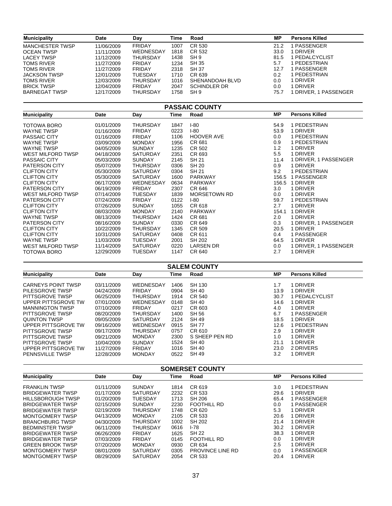| <b>Municipality</b>                                 | Date                     | Day                             | Time         | Road                         | ΜP              | <b>Persons Killed</b>      |  |  |  |
|-----------------------------------------------------|--------------------------|---------------------------------|--------------|------------------------------|-----------------|----------------------------|--|--|--|
| <b>MANCHESTER TWSP</b>                              | 11/06/2009               | <b>FRIDAY</b>                   | 1007         | CR 530                       | 21.2            | 1 PASSENGER                |  |  |  |
| <b>OCEAN TWSP</b>                                   | 11/11/2009               | WEDNESDAY                       | 1818         | CR 532                       | 33.0            | 1 DRIVER                   |  |  |  |
| LACEY TWSP                                          | 11/12/2009               | <b>THURSDAY</b>                 | 1438         | SH <sub>9</sub>              | 81.5            | 1 PEDALCYCLIST             |  |  |  |
| <b>TOMS RIVER</b>                                   | 11/27/2009               | <b>FRIDAY</b>                   | 1234         | <b>SH 35</b>                 | 5.7             | 1 PEDESTRIAN               |  |  |  |
| <b>TOMS RIVER</b>                                   | 11/27/2009               | <b>FRIDAY</b>                   | 2318         | <b>SH 37</b>                 | 12.7            | 1 PASSENGER                |  |  |  |
| <b>JACKSON TWSP</b>                                 | 12/01/2009               | <b>TUESDAY</b>                  | 1710         | CR 639                       | 0.2             | 1 PEDESTRIAN               |  |  |  |
| TOMS RIVER                                          | 12/03/2009               | THURSDAY                        | 1016         | SHENANDOAH BLVD              | 0.0             | 1 DRIVER                   |  |  |  |
| <b>BRICK TWSP</b>                                   | 12/04/2009               | <b>FRIDAY</b>                   | 2047         | <b>SCHINDLER DR</b>          | 0.0             | 1 DRIVER                   |  |  |  |
| <b>BARNEGAT TWSP</b>                                | 12/17/2009               | THURSDAY                        | 1758         | SH <sub>9</sub>              | 75.7            | 1 DRIVER, 1 PASSENGER      |  |  |  |
| <b>PASSAIC COUNTY</b>                               |                          |                                 |              |                              |                 |                            |  |  |  |
| <b>Municipality</b>                                 | Date                     | Day                             | Time         | Road                         | <b>MP</b>       | <b>Persons Killed</b>      |  |  |  |
| TOTOWA BORO                                         | 01/01/2009               | <b>THURSDAY</b>                 | 1847         | $I-80$                       | 54.9            | 1 PEDESTRIAN               |  |  |  |
| <b>WAYNE TWSP</b>                                   | 01/16/2009               | <b>FRIDAY</b>                   | 0223         | $I-80$                       | 53.9            | 1 DRIVER                   |  |  |  |
| <b>PASSAIC CITY</b>                                 | 01/16/2009               | <b>FRIDAY</b>                   | 1106         | <b>HOOVER AVE</b>            | 0.0             | 1 PEDESTRIAN               |  |  |  |
| <b>WAYNE TWSP</b>                                   | 03/09/2009               | <b>MONDAY</b>                   | 1956         | CR 681                       | 0.9             | 1 PEDESTRIAN               |  |  |  |
| <b>WAYNE TWSP</b>                                   | 04/05/2009               | <b>SUNDAY</b>                   | 1235         | CR 502                       | 1.2             | 1 DRIVER                   |  |  |  |
| <b>WEST MILFORD TWSP</b>                            | 04/18/2009               | SATURDAY                        | 2351         | CR 693                       | 5.5             | 1 DRIVER                   |  |  |  |
| <b>PASSAIC CITY</b>                                 | 05/03/2009               | <b>SUNDAY</b>                   | 2145         | SH 21                        | 11.4            | 1 DRIVER, 1 PASSENGER      |  |  |  |
| PATERSON CITY                                       | 05/07/2009               | <b>THURSDAY</b>                 | 0306         | <b>SH 20</b>                 | 0.9             | 1 DRIVER                   |  |  |  |
| <b>CLIFTON CITY</b>                                 | 05/30/2009               | <b>SATURDAY</b>                 | 0304         | SH 21                        | 9.2             | 1 PEDESTRIAN               |  |  |  |
| <b>CLIFTON CITY</b>                                 | 05/30/2009               | <b>SATURDAY</b>                 | 1600         | PARKWAY                      |                 | 156.5 1 PASSENGER          |  |  |  |
| <b>CLIFTON CITY</b>                                 | 06/17/2009               | WEDNESDAY                       | 0634         | <b>PARKWAY</b>               |                 | 156.5 1 DRIVER             |  |  |  |
| <b>PATERSON CITY</b>                                | 06/19/2009               | <b>FRIDAY</b>                   | 2307         | CR 646                       | 3.0             | 1 DRIVER                   |  |  |  |
| WEST MILFORD TWSP                                   | 07/14/2009               | <b>TUESDAY</b>                  | 1839         | <b>MORSETOWN RD</b>          | 0.0<br>59.7     | 1 DRIVER                   |  |  |  |
| PATERSON CITY<br><b>CLIFTON CITY</b>                | 07/24/2009               | <b>FRIDAY</b>                   | 0122<br>1055 | $I-80$<br>CR 618             | 2.7             | 1 PEDESTRIAN<br>1 DRIVER   |  |  |  |
| <b>CLIFTON CITY</b>                                 | 07/26/2009<br>08/03/2009 | <b>SUNDAY</b><br><b>MONDAY</b>  | 2140         | <b>PARKWAY</b>               |                 | 154.1 1 DRIVER             |  |  |  |
| <b>WAYNE TWSP</b>                                   | 08/13/2009               | <b>THURSDAY</b>                 | 1424         | CR 681                       | 2.0             | 1 DRIVER                   |  |  |  |
| PATERSON CITY                                       | 08/16/2009               | <b>SUNDAY</b>                   | 0330         | CR 649                       | 0.3             | 1 DRIVER, 1 PASSENGER      |  |  |  |
| <b>CLIFTON CITY</b>                                 | 10/22/2009               | <b>THURSDAY</b>                 | 1345         | CR 509                       | 20.5            | 1 DRIVER                   |  |  |  |
| <b>CLIFTON CITY</b>                                 | 10/31/2009               | SATURDAY                        | 0408         | CR 611                       | 0.4             | 1 PASSENGER                |  |  |  |
| <b>WAYNE TWSP</b>                                   | 11/03/2009               | <b>TUESDAY</b>                  | 2001         | <b>SH 202</b>                | 64.5            | 1 DRIVER                   |  |  |  |
| WEST MILFORD TWSP                                   | 11/14/2009               | SATURDAY                        | 0220         | <b>LARSEN DR</b>             | 0.0             | 1 DRIVER, 1 PASSENGER      |  |  |  |
| <b>TOTOWA BORO</b>                                  | 12/29/2009               | <b>TUESDAY</b>                  | 1147         | CR 640                       | 2.7             | 1 DRIVER                   |  |  |  |
|                                                     |                          |                                 |              | <b>SALEM COUNTY</b>          |                 |                            |  |  |  |
| <b>Municipality</b>                                 | Date                     | Day                             | Time         | Road                         | <b>MP</b>       | <b>Persons Killed</b>      |  |  |  |
| <b>CARNEYS POINT TWSP</b>                           | 03/11/2009               | WEDNESDAY                       | 1406         | SH 130                       | 1.7             | 1 DRIVER                   |  |  |  |
| PILESGROVE TWSP                                     | 04/24/2009               | <b>FRIDAY</b>                   | 0904         | <b>SH 40</b>                 | 13.9            | 1 DRIVER                   |  |  |  |
| PITTSGROVE TWSP                                     | 06/25/2009               | <b>THURSDAY</b>                 | 1914         | <b>CR 540</b>                | 30.7            | 1 PEDALCYCLIST             |  |  |  |
| UPPER PITTSGROVE TW                                 | 07/01/2009               | WEDNESDAY                       | 0148         | <b>SH 40</b>                 | 14.6            | 1 DRIVER                   |  |  |  |
| <b>MANNINGTON TWSP</b>                              | 07/10/2009               | <b>FRIDAY</b>                   | 0217         | CR 603                       | 4.0             | 1 DRIVER                   |  |  |  |
| PITTSGROVE TWSP                                     | 08/20/2009               | THURSDAY                        | 1400         | SH 56                        | 6.7             | 1 PASSENGER                |  |  |  |
| <b>QUINTON TWSP</b>                                 | 09/05/2009               | <b>SATURDAY</b>                 | 2124         | SH 49                        | 18.5            | 1 DRIVER                   |  |  |  |
| UPPER PITTSGROVE TW                                 | 09/16/2009               | WEDNESDAY                       | 0915         | <b>SH77</b>                  | 12.6            | 1 PEDESTRIAN               |  |  |  |
| PITTSGROVE TWSP                                     | 09/17/2009               | <b>THURSDAY</b>                 | 0757         | CR 610                       | 2.9             | 1 DRIVER                   |  |  |  |
| PITTSGROVE TWSP                                     | 09/21/2009               | <b>MONDAY</b>                   | 2300         | S SHEEP PEN RD               | 1.0             | 1 DRIVER                   |  |  |  |
| PITTSGROVE TWSP                                     | 10/04/2009               | <b>SUNDAY</b>                   | 1524         | <b>SH 40</b>                 | 21.1            | 1 DRIVER                   |  |  |  |
| UPPER PITTSGROVE TW                                 | 11/27/2009               | <b>FRIDAY</b>                   | 1016         | <b>SH 40</b>                 | 23.0            | 2 DRIVERS                  |  |  |  |
| PENNSVILLE TWSP                                     | 12/28/2009               | <b>MONDAY</b>                   | 0522         | <b>SH 49</b>                 | 3.2             | 1 DRIVER                   |  |  |  |
|                                                     |                          |                                 |              | <b>SOMERSET COUNTY</b>       |                 |                            |  |  |  |
| <b>Municipality</b>                                 | Date                     | Day                             | Time         | Road                         | ΜP              | <b>Persons Killed</b>      |  |  |  |
|                                                     |                          |                                 |              |                              |                 |                            |  |  |  |
| <b>FRANKLIN TWSP</b><br><b>BRIDGEWATER TWSP</b>     | 01/11/2009               | <b>SUNDAY</b><br>SATURDAY       | 1814         | CR 619<br>CR 533             | 3.0             | 1 PEDESTRIAN               |  |  |  |
|                                                     | 01/17/2009               |                                 | 2232         |                              | 29.6            | 1 DRIVER                   |  |  |  |
| <b>HILLSBOROUGH TWSP</b><br><b>BRIDGEWATER TWSP</b> | 01/20/2009<br>02/15/2009 | <b>TUESDAY</b><br><b>SUNDAY</b> | 1713<br>2230 | <b>SH 206</b><br>FOOTHILL RD | 65.4<br>$0.0\,$ | 1 PASSENGER<br>1 PASSENGER |  |  |  |
| <b>BRIDGEWATER TWSP</b>                             | 02/19/2009               | <b>THURSDAY</b>                 | 1748         | CR 620                       | 5.3             | 1 DRIVER                   |  |  |  |
| MONTGOMERY TWSP                                     | 04/13/2009               | <b>MONDAY</b>                   | 2105         | CR 533                       | 20.6            | 1 DRIVER                   |  |  |  |
| <b>BRANCHBURG TWSP</b>                              | 04/30/2009               | <b>THURSDAY</b>                 | 1002         | SH 202                       | 21.4            | 1 DRIVER                   |  |  |  |
| <b>BEDMINSTER TWSP</b>                              | 06/11/2009               | <b>THURSDAY</b>                 | 0616         | $I-78$                       | 30.2            | 1 DRIVER                   |  |  |  |
| <b>BRIDGEWATER TWSP</b>                             | 06/26/2009               | <b>FRIDAY</b>                   | 1625         | <b>SH 22</b>                 | 38.3            | 1 DRIVER                   |  |  |  |
| <b>BRIDGEWATER TWSP</b>                             | 07/03/2009               | <b>FRIDAY</b>                   | 0145         | <b>FOOTHILL RD</b>           | $0.0\,$         | 1 DRIVER                   |  |  |  |
| <b>GREEN BROOK TWSP</b>                             | 07/20/2009               | MONDAY                          | 0930         | CR 634                       | 2.5             | 1 DRIVER                   |  |  |  |
| MONTGOMERY TWSP                                     | 08/01/2009               | SATURDAY                        | 0305         | PROVINCE LINE RD             | $0.0\,$         | 1 PASSENGER                |  |  |  |
| MONTGOMERY TWSP                                     | 08/29/2009               | SATURDAY                        | 2054         | CR 533                       | 20.4            | 1 DRIVER                   |  |  |  |
|                                                     |                          |                                 |              |                              |                 |                            |  |  |  |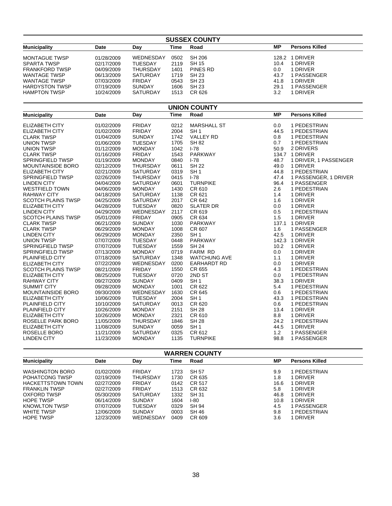|                           | <b>SUSSEX COUNTY</b> |                 |             |                     |           |                       |  |  |
|---------------------------|----------------------|-----------------|-------------|---------------------|-----------|-----------------------|--|--|
| <b>Municipality</b>       | Date                 | Day             | <b>Time</b> | Road                | <b>MP</b> | <b>Persons Killed</b> |  |  |
| <b>MONTAGUE TWSP</b>      | 01/28/2009           | WEDNESDAY       | 0502        | <b>SH 206</b>       |           | 128.2 1 DRIVER        |  |  |
| SPARTA TWSP               | 02/17/2009           | <b>TUESDAY</b>  | 2119        | <b>SH 15</b>        | 10.4      | 1 DRIVER              |  |  |
| <b>FRANKFORD TWSP</b>     | 04/09/2009           | <b>THURSDAY</b> | 1401        | PINES RD            | 0.0       | 1 DRIVER              |  |  |
| <b>WANTAGE TWSP</b>       | 06/13/2009           | <b>SATURDAY</b> | 1719        | <b>SH 23</b>        | 43.7      | 1 PASSENGER           |  |  |
| <b>WANTAGE TWSP</b>       | 07/03/2009           | <b>FRIDAY</b>   | 0543        | <b>SH 23</b>        | 41.8      | 1 DRIVER              |  |  |
| <b>HARDYSTON TWSP</b>     | 07/19/2009           | <b>SUNDAY</b>   | 1606        | <b>SH 23</b>        | 29.1      | 1 PASSENGER           |  |  |
| <b>HAMPTON TWSP</b>       | 10/24/2009           | <b>SATURDAY</b> | 1513        | CR 626              | 3.2       | 1 DRIVER              |  |  |
| <b>UNION COUNTY</b>       |                      |                 |             |                     |           |                       |  |  |
| <b>Municipality</b>       | Date                 | Day             | <b>Time</b> | Road                | <b>MP</b> | <b>Persons Killed</b> |  |  |
| <b>ELIZABETH CITY</b>     | 01/02/2009           | <b>FRIDAY</b>   | 0212        | <b>MARSHALL ST</b>  | 0.0       | 1 PEDESTRIAN          |  |  |
| <b>ELIZABETH CITY</b>     | 01/02/2009           | <b>FRIDAY</b>   | 2004        | SH <sub>1</sub>     | 44.5      | 1 PEDESTRIAN          |  |  |
| <b>CLARK TWSP</b>         | 01/04/2009           | <b>SUNDAY</b>   | 1742        | <b>VALLEY RD</b>    | 0.8       | 1 PEDESTRIAN          |  |  |
| <b>UNION TWSP</b>         | 01/06/2009           | <b>TUESDAY</b>  | 1705        | <b>SH 82</b>        | 0.7       | 1 PEDESTRIAN          |  |  |
| <b>UNION TWSP</b>         | 01/12/2009           | <b>MONDAY</b>   | 1042        | $I - 78$            | 50.9      | 2 DRIVERS             |  |  |
| <b>CLARK TWSP</b>         | 01/16/2009           | <b>FRIDAY</b>   | 1543        | <b>PARKWAY</b>      |           | 134.7 1 DRIVER        |  |  |
| SPRINGFIELD TWSP          | 01/19/2009           | <b>MONDAY</b>   | 0840        | $I-78$              | 48.7      | 1 DRIVER, 1 PASSENGER |  |  |
| <b>MOUNTAINSIDE BORO</b>  | 02/12/2009           | <b>THURSDAY</b> | 0611        | <b>SH 22</b>        | 49.0      | 1 DRIVER              |  |  |
| <b>ELIZABETH CITY</b>     | 02/21/2009           | <b>SATURDAY</b> | 0319        | SH <sub>1</sub>     | 44.8      | 1 PEDESTRIAN          |  |  |
| SPRINGFIELD TWSP          | 02/26/2009           | <b>THURSDAY</b> | 0415        | $I - 78$            | 47.4      | 1 PASSENGER, 1 DRIVER |  |  |
| <b>LINDEN CITY</b>        | 04/04/2009           | <b>SATURDAY</b> | 0601        | <b>TURNPIKE</b>     | 96.4      | 1 PASSENGER           |  |  |
| <b>WESTFIELD TOWN</b>     | 04/06/2009           | <b>MONDAY</b>   | 1430        | CR 610              | 2.6       | 1 PEDESTRIAN          |  |  |
| RAHWAY CITY               | 04/18/2009           | <b>SATURDAY</b> | 1138        | CR 621              | 1.4       | 1 DRIVER              |  |  |
| <b>SCOTCH PLAINS TWSP</b> | 04/25/2009           | <b>SATURDAY</b> | 2017        | CR 642              | 1.6       | 1 DRIVER              |  |  |
| <b>ELIZABETH CITY</b>     | 04/28/2009           | <b>TUESDAY</b>  | 0820        | <b>SLATER DR</b>    | 0.0       | 1 DRIVER              |  |  |
| <b>LINDEN CITY</b>        | 04/29/2009           | WEDNESDAY       | 2117        | CR 619              | 0.5       | 1 PEDESTRIAN          |  |  |
| <b>SCOTCH PLAINS TWSP</b> | 05/01/2009           | <b>FRIDAY</b>   | 0905        | CR 634              | 1.5       | 1 DRIVER              |  |  |
| <b>CLARK TWSP</b>         | 06/21/2009           | <b>SUNDAY</b>   | 1030        | <b>PARKWAY</b>      | 137.1     | 1 DRIVER              |  |  |
| <b>CLARK TWSP</b>         | 06/29/2009           | <b>MONDAY</b>   | 1008        | CR 607              | 1.6       | 1 PASSENGER           |  |  |
| <b>LINDEN CITY</b>        | 06/29/2009           | <b>MONDAY</b>   | 2350        | SH <sub>1</sub>     | 42.5      | 1 DRIVER              |  |  |
| <b>UNION TWSP</b>         | 07/07/2009           | <b>TUESDAY</b>  | 0448        | PARKWAY             |           | 142.3 1 DRIVER        |  |  |
| SPRINGFIELD TWSP          | 07/07/2009           | <b>TUESDAY</b>  | 1559        | <b>SH 24</b>        | 10.2      | 1 DRIVER              |  |  |
| SPRINGFIELD TWSP          | 07/13/2009           | <b>MONDAY</b>   | 0719        | FARM RD             | 0.0       | 1 DRIVER              |  |  |
| PLAINFIELD CITY           | 07/18/2009           | <b>SATURDAY</b> | 1348        | <b>WATCHUNG AVE</b> | 1.1       | 1 DRIVER              |  |  |
| <b>ELIZABETH CITY</b>     | 07/22/2009           | WEDNESDAY       | 0200        | <b>EARHARDT RD</b>  | 0.0       | 1 DRIVER              |  |  |
| <b>SCOTCH PLAINS TWSP</b> | 08/21/2009           | <b>FRIDAY</b>   | 1550        | CR 655              | 4.3       | 1 PEDESTRIAN          |  |  |
| <b>ELIZABETH CITY</b>     | 08/25/2009           | TUESDAY         | 0720        | 2ND ST              | 0.0       | 1 PEDESTRIAN          |  |  |
| <b>RAHWAY CITY</b>        | 09/27/2009           | <b>SUNDAY</b>   | 0409        | SH <sub>1</sub>     | 38.3      | 1 DRIVER              |  |  |
| <b>SUMMIT CITY</b>        | 09/28/2009           | <b>MONDAY</b>   | 1001        | CR 622              | 5.4       | 1 PEDESTRIAN          |  |  |
| <b>MOUNTAINSIDE BORO</b>  | 09/30/2009           | WEDNESDAY       | 1630        | CR 645              | 0.6       | 1 PEDESTRIAN          |  |  |
| <b>ELIZABETH CITY</b>     | 10/06/2009           | <b>TUESDAY</b>  | 2004        | SH <sub>1</sub>     | 43.3      | 1 PEDESTRIAN          |  |  |
| PLAINFIELD CITY           | 10/10/2009           | <b>SATURDAY</b> | 0013        | CR 620              | 0.6       | 1 PEDESTRIAN          |  |  |
| PLAINFIELD CITY           | 10/26/2009           | <b>MONDAY</b>   | 2151        | <b>SH 28</b>        | 13.4      | 1 DRIVER              |  |  |
| <b>ELIZABETH CITY</b>     | 10/26/2009           | <b>MONDAY</b>   | 2321        | CR 610              | 8.8       | 1 DRIVER              |  |  |
| ROSELLE PARK BORO         | 11/05/2009           | <b>THURSDAY</b> | 1846        | <b>SH 28</b>        | 24.2      | 1 PEDESTRIAN          |  |  |
| <b>ELIZABETH CITY</b>     | 11/08/2009           | <b>SUNDAY</b>   | 0059        | SH <sub>1</sub>     | 44.5      | 1 DRIVER              |  |  |
| ROSELLE BORO              | 11/21/2009           | <b>SATURDAY</b> | 0325        | CR 612              | $1.2$     | 1 PASSENGER           |  |  |
| <b>LINDEN CITY</b>        | 11/23/2009           | <b>MONDAY</b>   | 1135        | <b>TURNPIKE</b>     | 98.8      | 1 PASSENGER           |  |  |
|                           |                      |                 |             |                     |           |                       |  |  |
| <b>WARREN COUNTY</b>      |                      |                 |             |                     |           |                       |  |  |

| <b>Municipality</b>      | Date       | Day             | Time | Road   | МP   | <b>Persons Killed</b> |  |  |  |
|--------------------------|------------|-----------------|------|--------|------|-----------------------|--|--|--|
| <b>WASHINGTON BORO</b>   | 01/02/2009 | <b>FRIDAY</b>   | 1723 | SH 57  | 9.9  | PEDESTRIAN            |  |  |  |
|                          |            |                 |      |        |      |                       |  |  |  |
| POHATCONG TWSP           | 02/19/2009 | THURSDAY        | 1730 | CR 635 | 1.8  | 1 DRIVER              |  |  |  |
| <b>HACKETTSTOWN TOWN</b> | 02/27/2009 | <b>FRIDAY</b>   | 0142 | CR 517 | 16.6 | 1 DRIVER              |  |  |  |
| <b>FRANKLIN TWSP</b>     | 02/27/2009 | <b>FRIDAY</b>   | 1513 | CR 632 | 5.8  | 1 DRIVER              |  |  |  |
| OXFORD TWSP              | 05/30/2009 | <b>SATURDAY</b> | 1332 | SH 31  | 46.8 | 1 DRIVER              |  |  |  |
| <b>HOPE TWSP</b>         | 06/14/2009 | <b>SUNDAY</b>   | 1604 | $1-80$ | 10.8 | 1 DRIVER              |  |  |  |
| <b>KNOWLTON TWSP</b>     | 07/07/2009 | TUESDAY         | 0329 | SH 94  | 4.5  | <b>PASSENGER</b>      |  |  |  |
| WHITE TWSP               | 12/06/2009 | <b>SUNDAY</b>   | 0003 | SH 46  | 9.8  | 1 PEDESTRIAN          |  |  |  |
| <b>HOPE TWSP</b>         | 12/23/2009 | WEDNESDAY       | 0409 | CR 609 | 3.6  | I DRIVER              |  |  |  |
|                          |            |                 |      |        |      |                       |  |  |  |